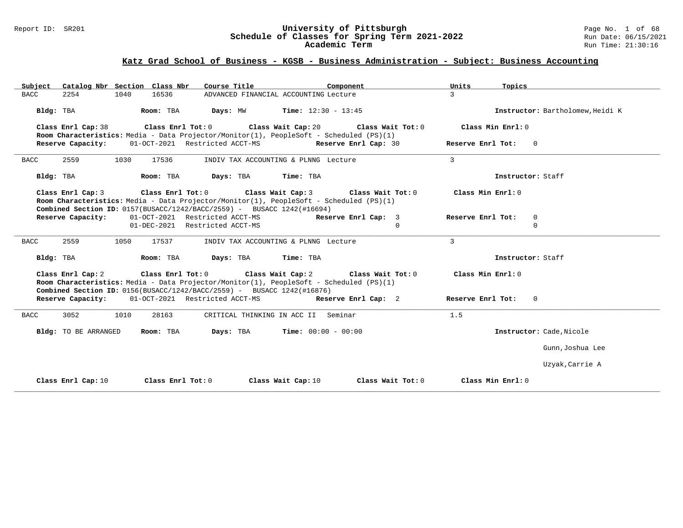### Report ID: SR201 **University of Pittsburgh** Page No. 1 of 68 **Schedule of Classes for Spring Term 2021-2022** Run Date: 06/15/2021 **Academic Term** Run Time: 21:30:16

## **Katz Grad School of Business - KGSB - Business Administration - Subject: Business Accounting**

| Subject Catalog Nbr Section Class Nbr                                                                                                                                                                                                        | Course Title<br>Component                              | Units<br>Topics                          |                                  |
|----------------------------------------------------------------------------------------------------------------------------------------------------------------------------------------------------------------------------------------------|--------------------------------------------------------|------------------------------------------|----------------------------------|
| 2254<br>1040<br>16536<br><b>BACC</b>                                                                                                                                                                                                         | ADVANCED FINANCIAL ACCOUNTING Lecture                  | 3                                        |                                  |
| Bldg: TBA<br>Room: TBA                                                                                                                                                                                                                       | <b>Days:</b> MW <b>Time:</b> $12:30 - 13:45$           |                                          | Instructor: Bartholomew, Heidi K |
| Class Enrl Cap: 38<br>Room Characteristics: Media - Data Projector/Monitor(1), PeopleSoft - Scheduled (PS)(1)                                                                                                                                | Class Enrl Tot: 0 Class Wait Cap: 20                   | Class Wait Tot: 0<br>Class Min Enrl: 0   |                                  |
| Reserve Capacity:                                                                                                                                                                                                                            | 01-OCT-2021 Restricted ACCT-MS<br>Reserve Enrl Cap: 30 | Reserve Enrl Tot:                        | $\overline{0}$                   |
| 2559<br>1030<br>17536<br><b>BACC</b>                                                                                                                                                                                                         | INDIV TAX ACCOUNTING & PLNNG Lecture                   | $\mathcal{E}$                            |                                  |
| Bldg: TBA<br>Room: TBA                                                                                                                                                                                                                       | Days: TBA Time: TBA                                    |                                          | Instructor: Staff                |
| Class Enrl Cap: 3<br>Room Characteristics: Media - Data Projector/Monitor(1), PeopleSoft - Scheduled (PS)(1)<br>Combined Section ID: 0157(BUSACC/1242/BACC/2559) - BUSACC 1242(#16694)                                                       | Class Enrl Tot: 0 Class Wait Cap: 3                    | Class Wait Tot: 0<br>Class Min Enrl: 0   |                                  |
| Reserve Capacity:                                                                                                                                                                                                                            | 01-OCT-2021 Restricted ACCT-MS                         | Reserve Enrl Cap: 3<br>Reserve Enrl Tot: | $\mathbf 0$                      |
|                                                                                                                                                                                                                                              | 01-DEC-2021 Restricted ACCT-MS                         | $\Omega$                                 | $\Omega$                         |
| <b>BACC</b><br>2559<br>1050<br>17537                                                                                                                                                                                                         | INDIV TAX ACCOUNTING & PLNNG Lecture                   | 3                                        |                                  |
| Bldg: TBA<br>Room: TBA                                                                                                                                                                                                                       | Days: TBA<br>Time: TBA                                 |                                          | Instructor: Staff                |
| Class Enrl Cap: 2 Class Enrl Tot: 0 Class Wait Cap: 2 Class Wait Tot: 0<br>Room Characteristics: Media - Data Projector/Monitor(1), PeopleSoft - Scheduled (PS)(1)<br>Combined Section ID: 0156(BUSACC/1242/BACC/2559) - BUSACC 1242(#16876) |                                                        | Class Min Enrl: 0                        |                                  |
| Reserve Capacity: 01-OCT-2021 Restricted ACCT-MS Reserve Enrl Cap: 2                                                                                                                                                                         |                                                        | Reserve Enrl Tot:                        | $\Omega$                         |
| 3052<br>1010<br>28163<br>BACC                                                                                                                                                                                                                | CRITICAL THINKING IN ACC II Seminar                    | 1.5                                      |                                  |
| Bldg: TO BE ARRANGED<br>Room: TBA                                                                                                                                                                                                            | <b>Days:</b> TBA <b>Time:</b> $00:00 - 00:00$          |                                          | Instructor: Cade, Nicole         |
|                                                                                                                                                                                                                                              |                                                        |                                          | Gunn, Joshua Lee                 |
|                                                                                                                                                                                                                                              |                                                        |                                          | Uzyak, Carrie A                  |
| Class Enrl Cap: 10<br>Class Enrl Tot: $0$                                                                                                                                                                                                    | Class Wait Cap: 10                                     | Class Wait Tot: 0<br>Class Min $Enr1: 0$ |                                  |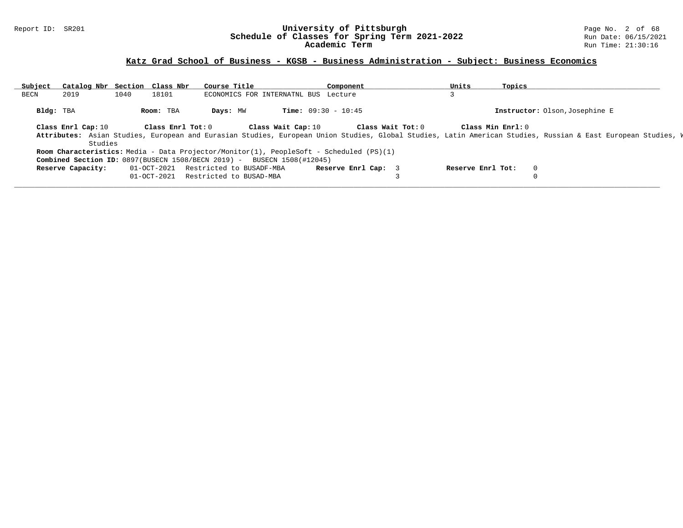### Report ID: SR201 **University of Pittsburgh** Page No. 2 of 68 **Schedule of Classes for Spring Term 2021-2022** Run Date: 06/15/2021 **Academic Term** Run Time: 21:30:16

## **Katz Grad School of Business - KGSB - Business Administration - Subject: Business Economics**

| Subject   | Catalog Nbr Section Class Nbr |      |                   | Course Title                                                                            |                                      | Component           |                   | Units             | Topics             |                                                                                                                                                              |  |
|-----------|-------------------------------|------|-------------------|-----------------------------------------------------------------------------------------|--------------------------------------|---------------------|-------------------|-------------------|--------------------|--------------------------------------------------------------------------------------------------------------------------------------------------------------|--|
| BECN      | 2019                          | 1040 | 18101             |                                                                                         | ECONOMICS FOR INTERNATNL BUS Lecture |                     |                   |                   |                    |                                                                                                                                                              |  |
| Bldg: TBA |                               |      | Room: TBA         | Days: MW                                                                                | <b>Time:</b> $09:30 - 10:45$         |                     |                   |                   |                    | Instructor: Olson, Josephine E                                                                                                                               |  |
|           | Class Enrl Cap: 10<br>Studies |      | Class Enrl Tot: 0 |                                                                                         | Class Wait Cap: 10                   |                     | Class Wait Tot: 0 |                   | Class Min $Enr1:0$ | Attributes: Asian Studies, European and Eurasian Studies, European Union Studies, Global Studies, Latin American Studies, Russian & East European Studies, W |  |
|           |                               |      |                   | Room Characteristics: Media - Data Projector/Monitor(1), PeopleSoft - Scheduled (PS)(1) |                                      |                     |                   |                   |                    |                                                                                                                                                              |  |
|           |                               |      |                   | <b>Combined Section ID:</b> $0897(BUSER) 1508/BECN 2019$ - BUSECN 1508(#12045)          |                                      |                     |                   |                   |                    |                                                                                                                                                              |  |
|           | Reserve Capacity:             |      | 01-OCT-2021       | Restricted to BUSADF-MBA                                                                |                                      | Reserve Enrl Cap: 3 |                   | Reserve Enrl Tot: | $\Omega$           |                                                                                                                                                              |  |
|           |                               |      | $01 - OCT - 2021$ | Restricted to BUSAD-MBA                                                                 |                                      |                     |                   |                   |                    |                                                                                                                                                              |  |
|           |                               |      |                   |                                                                                         |                                      |                     |                   |                   |                    |                                                                                                                                                              |  |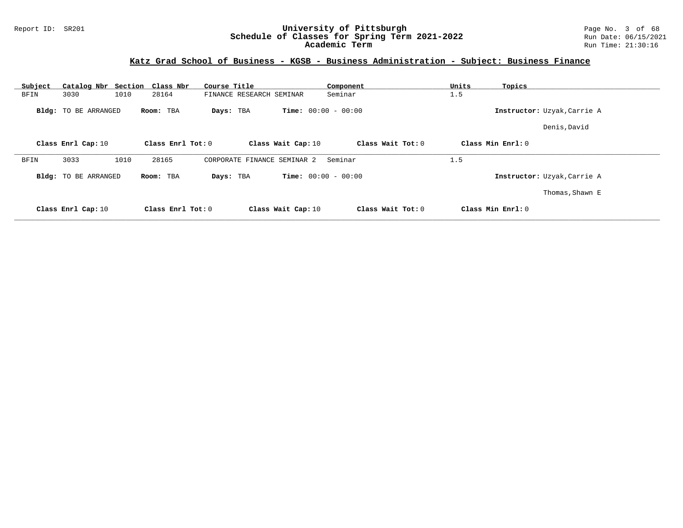### Report ID: SR201 **University of Pittsburgh** Page No. 3 of 68 **Schedule of Classes for Spring Term 2021-2022** Run Date: 06/15/2021 **Academic Term** Run Time: 21:30:16

## **Katz Grad School of Business - KGSB - Business Administration - Subject: Business Finance**

| Subject |                             | Catalog Nbr Section Class Nbr | Course Title                   | Component                    | Units<br>Topics             |  |
|---------|-----------------------------|-------------------------------|--------------------------------|------------------------------|-----------------------------|--|
| BFIN    | 3030                        | 1010<br>28164                 | FINANCE RESEARCH SEMINAR       | Seminar                      | 1.5                         |  |
|         | <b>Bldg:</b> TO BE ARRANGED | Room: TBA                     | Days: TBA                      | <b>Time:</b> $00:00 - 00:00$ | Instructor: Uzyak, Carrie A |  |
|         |                             |                               |                                |                              | Denis, David                |  |
|         | Class Enrl Cap: 10          | Class Enrl Tot: $0$           | Class Wait Cap: 10             | Class Wait Tot: 0            | Class Min Enrl: 0           |  |
| BFIN    | 3033                        | 1010<br>28165                 | CORPORATE FINANCE<br>SEMINAR 2 | Seminar                      | 1.5                         |  |
|         | Bldg: TO BE ARRANGED        | Room: TBA                     | Days: TBA                      | <b>Time:</b> $00:00 - 00:00$ | Instructor: Uzyak, Carrie A |  |
|         |                             |                               |                                |                              | Thomas, Shawn E             |  |
|         | Class Enrl Cap: 10          | Class Enrl Tot: 0             | Class Wait Cap: 10             | Class Wait Tot: 0            | Class Min Enrl: 0           |  |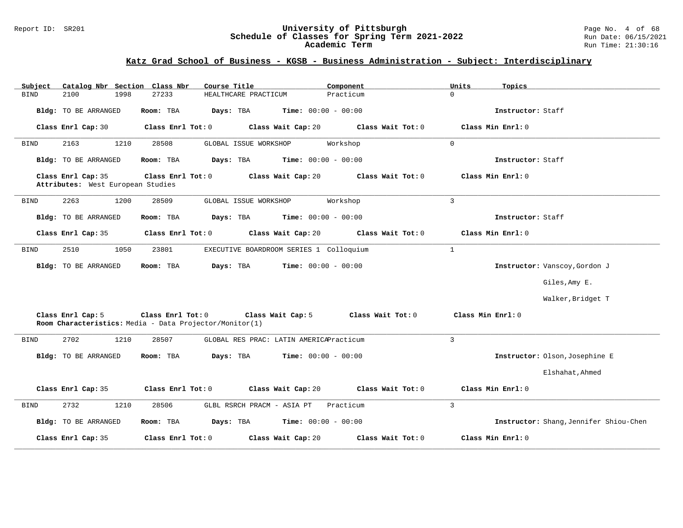### Report ID: SR201 **University of Pittsburgh** Page No. 4 of 68 **Schedule of Classes for Spring Term 2021-2022** Run Date: 06/15/2021 **Academic Term** Run Time: 21:30:16

## **Katz Grad School of Business - KGSB - Business Administration - Subject: Interdisciplinary**

| Subject                                                 | Catalog Nbr Section Class Nbr                                                | Course Title                                  | Component         | Units<br>Topics   |                                        |
|---------------------------------------------------------|------------------------------------------------------------------------------|-----------------------------------------------|-------------------|-------------------|----------------------------------------|
| <b>BIND</b><br>2100                                     | 1998<br>27233                                                                | HEALTHCARE PRACTICUM                          | Practicum         | $\Omega$          |                                        |
| Bldg: TO BE ARRANGED                                    | Room: TBA                                                                    | <b>Time:</b> $00:00 - 00:00$<br>Days: TBA     |                   | Instructor: Staff |                                        |
| Class Enrl Cap: 30                                      | Class Enrl Tot: 0                                                            | Class Wait Cap: 20                            | Class Wait Tot: 0 | Class Min Enrl: 0 |                                        |
| 2163<br><b>BIND</b>                                     | 1210<br>28508                                                                | GLOBAL ISSUE WORKSHOP                         | Workshop          | $\mathbf 0$       |                                        |
| Bldg: TO BE ARRANGED                                    | Room: TBA                                                                    | Days: TBA<br><b>Time:</b> $00:00 - 00:00$     |                   | Instructor: Staff |                                        |
| Class Enrl Cap: 35<br>Attributes: West European Studies | Class Enrl Tot: 0                                                            | Class Wait Cap: 20                            | Class Wait Tot: 0 | Class Min Enrl: 0 |                                        |
| 2263<br><b>BIND</b>                                     | 1200<br>28509                                                                | GLOBAL ISSUE WORKSHOP                         | Workshop          | $\overline{3}$    |                                        |
| Bldg: TO BE ARRANGED                                    | Room: TBA                                                                    | Days: TBA<br><b>Time:</b> $00:00 - 00:00$     |                   | Instructor: Staff |                                        |
| Class Enrl Cap: 35                                      | Class Enrl Tot: 0                                                            | Class Wait Cap: 20                            | Class Wait Tot: 0 | Class Min Enrl: 0 |                                        |
| 2510<br>BIND                                            | 1050<br>23801                                                                | EXECUTIVE BOARDROOM SERIES 1 Colloquium       |                   | $\mathbf{1}$      |                                        |
| Bldg: TO BE ARRANGED                                    | Room: TBA                                                                    | Days: TBA<br><b>Time:</b> $00:00 - 00:00$     |                   |                   | Instructor: Vanscoy, Gordon J          |
|                                                         |                                                                              |                                               |                   |                   | Giles, Amy E.                          |
|                                                         |                                                                              |                                               |                   |                   | Walker, Bridget T                      |
| Class Enrl Cap: 5                                       | Class Enrl Tot: 0<br>Room Characteristics: Media - Data Projector/Monitor(1) | Class Wait Cap: 5                             | Class Wait Tot: 0 | Class Min Enrl: 0 |                                        |
| 2702<br><b>BIND</b>                                     | 1210<br>28507                                                                | GLOBAL RES PRAC: LATIN AMERICAPracticum       |                   | 3                 |                                        |
| Bldg: TO BE ARRANGED                                    | Room: TBA                                                                    | <b>Days:</b> TBA <b>Time:</b> $00:00 - 00:00$ |                   |                   | Instructor: Olson, Josephine E         |
|                                                         |                                                                              |                                               |                   |                   | Elshahat, Ahmed                        |
| Class Enrl Cap: 35                                      | Class Enrl Tot: 0                                                            | Class Wait Cap: 20                            | Class Wait Tot: 0 | Class Min Enrl: 0 |                                        |
| 2732<br>BIND                                            | 1210<br>28506                                                                | GLBL RSRCH PRACM - ASIA PT                    | Practicum         | $\overline{3}$    |                                        |
| Bldg: TO BE ARRANGED                                    | Days: TBA<br>Room: TBA                                                       | $Time: 00:00 - 00:00$                         |                   |                   | Instructor: Shang, Jennifer Shiou-Chen |
| Class Enrl Cap: 35                                      | Class Enrl Tot: 0                                                            | Class Wait Cap: 20                            | Class Wait Tot: 0 | Class Min Enrl: 0 |                                        |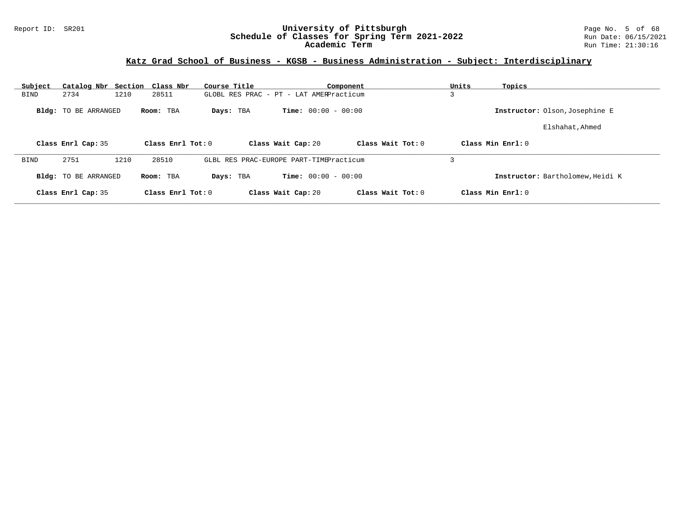### Report ID: SR201 **University of Pittsburgh** Page No. 5 of 68 **Schedule of Classes for Spring Term 2021-2022** Run Date: 06/15/2021 **Academic Term** Run Time: 21:30:16

## **Katz Grad School of Business - KGSB - Business Administration - Subject: Interdisciplinary**

| Subject     | Catalog Nbr Section Class Nbr |      |                     | Course Title |                                         | Component         | Units  | Topics                           |
|-------------|-------------------------------|------|---------------------|--------------|-----------------------------------------|-------------------|--------|----------------------------------|
| <b>BIND</b> | 2734                          | 1210 | 28511               |              | GLOBL RES PRAC - PT - LAT AMERPracticum |                   | $\sim$ |                                  |
|             | <b>Bldg:</b> TO BE ARRANGED   |      | Room: TBA           | Days: TBA    | <b>Time:</b> $00:00 - 00:00$            |                   |        | Instructor: Olson, Josephine E   |
|             |                               |      |                     |              |                                         |                   |        | Elshahat, Ahmed                  |
|             | Class Enrl Cap: 35            |      | Class Enrl Tot: 0   |              | Class Wait Cap: 20                      | Class Wait Tot: 0 |        | Class Min $Enr1:0$               |
| <b>BIND</b> | 2751                          | 1210 | 28510               |              | GLBL RES PRAC-EUROPE PART-TIMEPracticum |                   |        |                                  |
|             | <b>Bldg:</b> TO BE ARRANGED   |      | Room: TBA           | Days: TBA    | <b>Time:</b> $00:00 - 00:00$            |                   |        | Instructor: Bartholomew, Heidi K |
|             | Class Enrl Cap: 35            |      | Class Enrl Tot: $0$ |              | Class Wait Cap: 20                      | Class Wait Tot: 0 |        | Class Min $Enrl: 0$              |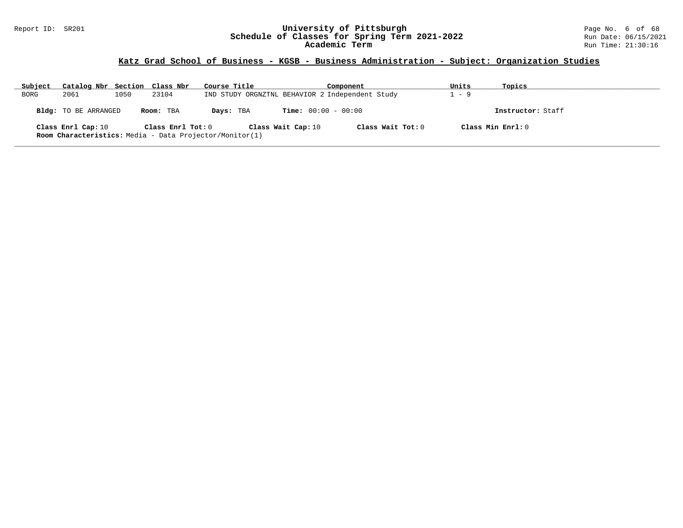### Report ID: SR201 **University of Pittsburgh** Page No. 6 of 68 **Schedule of Classes for Spring Term 2021-2022** Run Date: 06/15/2021 **Academic Term** Run Time: 21:30:16

# **Katz Grad School of Business - KGSB - Business Administration - Subject: Organization Studies**

| Subject | Catalog Nbr Section Class Nbr |      |                   | Course Title                                            |                              | Component           | Units               | Topics            |
|---------|-------------------------------|------|-------------------|---------------------------------------------------------|------------------------------|---------------------|---------------------|-------------------|
| BORG    | 2061                          | 1050 | 23104             | IND STUDY ORGNZTNL BEHAVIOR 2 Independent Study         |                              |                     | 1 - 9               |                   |
|         | <b>Bldg:</b> TO BE ARRANGED   |      | Room: TBA         | Days: TBA                                               | <b>Time:</b> $00:00 - 00:00$ |                     |                     | Instructor: Staff |
|         | Class Enrl Cap: 10            |      | Class Enrl Tot: 0 | Room Characteristics: Media - Data Projector/Monitor(1) | Class Wait Cap: 10           | Class Wait Tot: $0$ | Class Min $Enrl: 0$ |                   |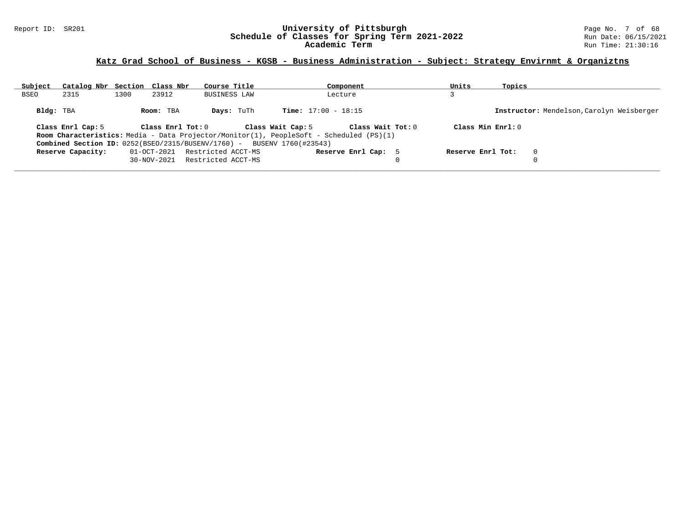### Report ID: SR201 **University of Pittsburgh** Page No. 7 of 68 **Schedule of Classes for Spring Term 2021-2022** Run Date: 06/15/2021 **Academic Term** Run Time: 21:30:16

## **Katz Grad School of Business - KGSB - Business Administration - Subject: Strategy Envirnmt & Organiztns**

| Subject     | Catalog Nbr Section Class Nbr |      |                   | Course Title                                                             |                   | Component                                                                                      | Units             | Topics |                                           |
|-------------|-------------------------------|------|-------------------|--------------------------------------------------------------------------|-------------------|------------------------------------------------------------------------------------------------|-------------------|--------|-------------------------------------------|
| <b>BSEO</b> | 2315                          | 1300 | 23912             | BUSINESS LAW                                                             |                   | Lecture                                                                                        |                   |        |                                           |
| Bldg: TBA   |                               |      | Room: TBA         | <b>Days:</b> TuTh                                                        |                   | <b>Time:</b> $17:00 - 18:15$                                                                   |                   |        | Instructor: Mendelson, Carolyn Weisberger |
|             | Class Enrl Cap: 5             |      | Class Enrl Tot: 0 |                                                                          | Class Wait Cap: 5 | Class Wait Tot: 0                                                                              | Class Min Enrl: 0 |        |                                           |
|             |                               |      |                   |                                                                          |                   | <b>Room Characteristics:</b> Media - Data Projector/Monitor(1), PeopleSoft - Scheduled (PS)(1) |                   |        |                                           |
|             |                               |      |                   | Combined Section ID: $0252(BSEO/2315/BUSENV/1760)$ - BUSENV 1760(#23543) |                   |                                                                                                |                   |        |                                           |
|             | Reserve Capacity:             |      | 01-OCT-2021       | Restricted ACCT-MS                                                       |                   | Reserve Enrl Cap: 5                                                                            | Reserve Enrl Tot: |        | $\Omega$                                  |
|             |                               |      | $30 - NOV - 2021$ | Restricted ACCT-MS                                                       |                   |                                                                                                |                   |        |                                           |
|             |                               |      |                   |                                                                          |                   |                                                                                                |                   |        |                                           |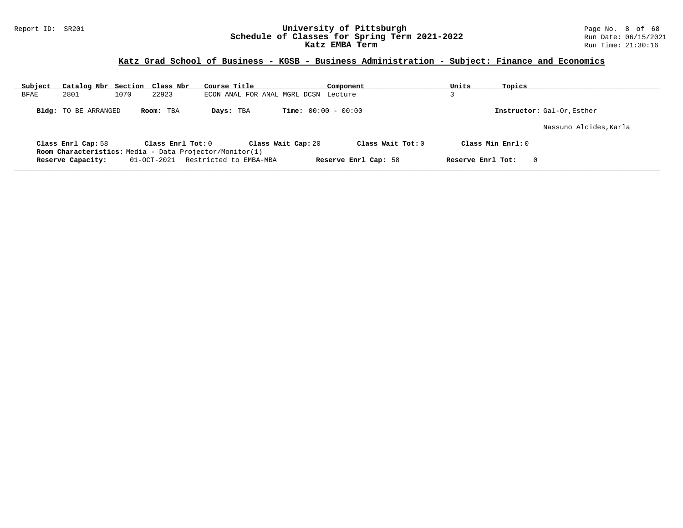### Report ID: SR201 **University of Pittsburgh** Page No. 8 of 68 **Schedule of Classes for Spring Term 2021-2022** Run Date: 06/15/2021 **Katz EMBA Term Run Time: 21:30:16** Run Time: 21:30:16

## **Katz Grad School of Business - KGSB - Business Administration - Subject: Finance and Economics**

| Subject | Catalog Nbr Section Class Nbr |      |                   | Course Title                                                   |                              | Component            | Units | Topics             |                            |
|---------|-------------------------------|------|-------------------|----------------------------------------------------------------|------------------------------|----------------------|-------|--------------------|----------------------------|
| BFAE    | 2801                          | 1070 | 22923             | ECON ANAL FOR ANAL MGRL DCSN                                   |                              | Lecture              |       |                    |                            |
|         | <b>Bldg:</b> TO BE ARRANGED   |      | Room: TBA         | Days: TBA                                                      | <b>Time:</b> $00:00 - 00:00$ |                      |       |                    | Instructor: Gal-Or, Esther |
|         |                               |      |                   |                                                                |                              |                      |       |                    | Nassuno Alcides, Karla     |
|         | Class Enrl Cap: 58            |      | Class Enrl Tot: 0 | <b>Room Characteristics:</b> Media - Data Projector/Monitor(1) | Class Wait Cap: 20           | Class Wait Tot: $0$  |       | Class Min $Enr1:0$ |                            |
|         | Reserve Capacity:             |      | 01-OCT-2021       | Restricted to EMBA-MBA                                         |                              | Reserve Enrl Cap: 58 |       | Reserve Enrl Tot:  | $\Omega$                   |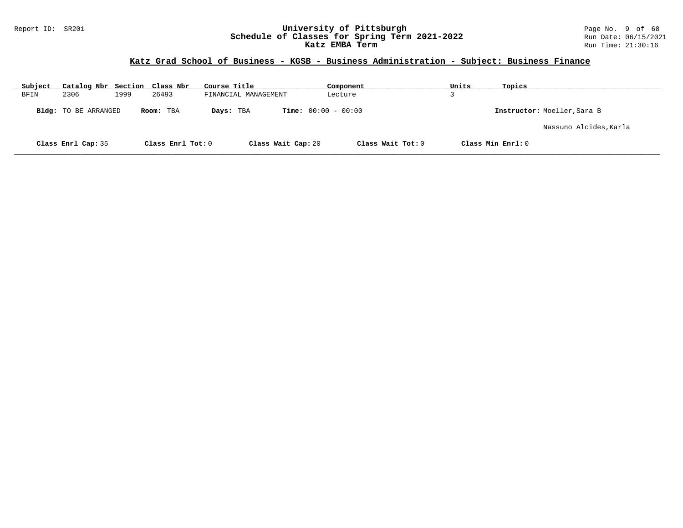### Report ID: SR201 **University of Pittsburgh** Page No. 9 of 68 **Schedule of Classes for Spring Term 2021-2022** Run Date: 06/15/2021 **Katz EMBA Term Run Time: 21:30:16** Run Time: 21:30:16

## **Katz Grad School of Business - KGSB - Business Administration - Subject: Business Finance**

| Subject | Catalog Nbr Section Class Nbr |      |                   | Course Title         | Component                    | Units | Topics                      |
|---------|-------------------------------|------|-------------------|----------------------|------------------------------|-------|-----------------------------|
| BFIN    | 2306                          | 1999 | 26493             | FINANCIAL MANAGEMENT | Lecture                      |       |                             |
|         | Bldg: TO BE ARRANGED          |      | Room: TBA         | Days: TBA            | <b>Time:</b> $00:00 - 00:00$ |       | Instructor: Moeller, Sara B |
|         |                               |      |                   |                      |                              |       | Nassuno Alcides, Karla      |
|         | Class Enrl Cap: 35            |      | Class Enrl Tot: 0 | Class Wait Cap: 20   | Class Wait Tot: 0            |       | Class Min Enrl: 0           |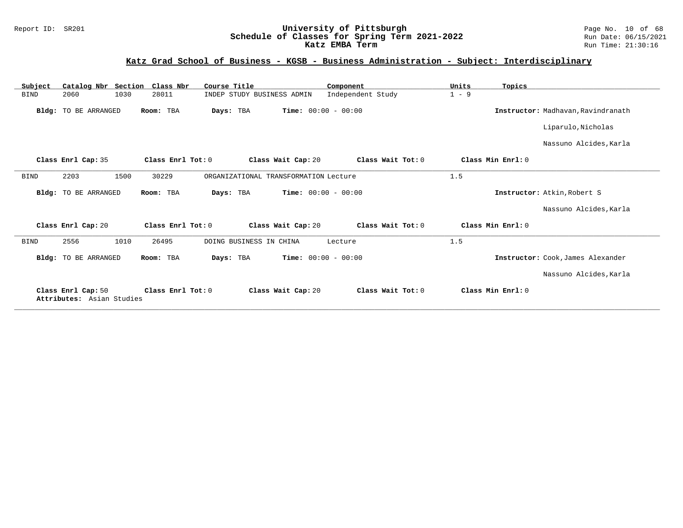### Report ID: SR201 **University of Pittsburgh** Page No. 10 of 68 **Schedule of Classes for Spring Term 2021-2022** Run Date: 06/15/2021 **Katz EMBA Term Run Time: 21:30:16** Run Time: 21:30:16

## **Katz Grad School of Business - KGSB - Business Administration - Subject: Interdisciplinary**

| Catalog Nbr Section<br>Subject                  | Class Nbr<br>Course Title           | Component                               | Units<br>Topics                    |
|-------------------------------------------------|-------------------------------------|-----------------------------------------|------------------------------------|
| 2060<br>1030<br><b>BIND</b>                     | 28011<br>INDEP STUDY BUSINESS ADMIN | Independent Study                       | $1 - 9$                            |
| Bldg: TO BE ARRANGED                            | Room: TBA<br>Days: TBA              | <b>Time:</b> $00:00 - 00:00$            | Instructor: Madhavan, Ravindranath |
|                                                 |                                     |                                         | Liparulo, Nicholas                 |
|                                                 |                                     |                                         | Nassuno Alcides, Karla             |
| Class Enrl Cap: 35                              | Class Enrl Tot: 0                   | Class Wait Tot: 0<br>Class Wait Cap: 20 | Class Min Enrl: 0                  |
| <b>BIND</b><br>2203<br>1500                     | 30229                               | ORGANIZATIONAL TRANSFORMATION Lecture   | 1.5                                |
| Bldg: TO BE ARRANGED                            | Room: TBA<br>Days: TBA              | <b>Time:</b> $00:00 - 00:00$            | Instructor: Atkin, Robert S        |
|                                                 |                                     |                                         | Nassuno Alcides, Karla             |
| Class Enrl Cap: 20                              | Class Enrl Tot: 0                   | Class Wait Tot: 0<br>Class Wait Cap: 20 | Class Min Enrl: 0                  |
| 2556<br>1010<br><b>BIND</b>                     | 26495<br>DOING BUSINESS IN CHINA    | Lecture                                 | 1.5                                |
| Bldg: TO BE ARRANGED                            | Room: TBA<br>Days: TBA              | <b>Time:</b> $00:00 - 00:00$            | Instructor: Cook, James Alexander  |
|                                                 |                                     |                                         | Nassuno Alcides, Karla             |
| Class Enrl Cap: 50<br>Attributes: Asian Studies | Class Enrl Tot: 0                   | Class Wait Cap: 20<br>Class Wait Tot: 0 | Class Min Enrl: 0                  |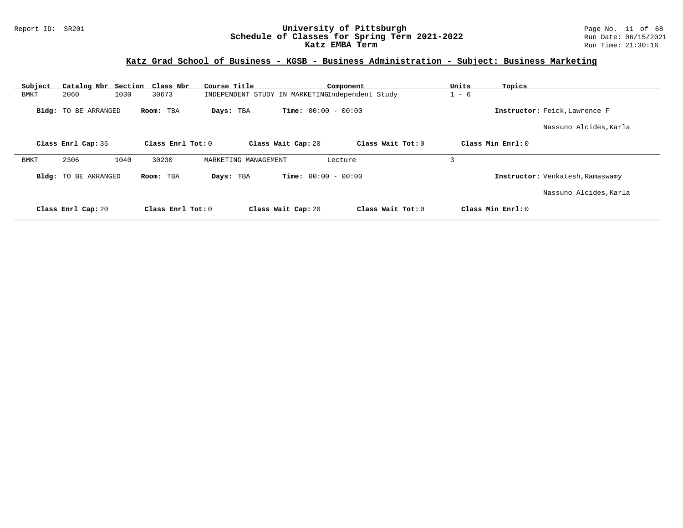### Report ID: SR201 **University of Pittsburgh** Page No. 11 of 68 **Schedule of Classes for Spring Term 2021-2022** Run Date: 06/15/2021 **Katz EMBA Term Run Time: 21:30:16** Run Time: 21:30:16

## **Katz Grad School of Business - KGSB - Business Administration - Subject: Business Marketing**

| Subject     | Catalog Nbr Section Class Nbr |                     | Course Title                                    |                              | Component           | Units   | Topics                           |
|-------------|-------------------------------|---------------------|-------------------------------------------------|------------------------------|---------------------|---------|----------------------------------|
| <b>BMKT</b> | 2060<br>1030                  | 30673               | INDEPENDENT STUDY IN MARKETINGIndependent Study |                              |                     | $1 - 6$ |                                  |
|             | <b>Bldg:</b> TO BE ARRANGED   | Room: TBA           | Days: TBA                                       | <b>Time:</b> $00:00 - 00:00$ |                     |         | Instructor: Feick, Lawrence F    |
|             |                               |                     |                                                 |                              |                     |         | Nassuno Alcides, Karla           |
|             | Class Enrl Cap: 35            | Class Enrl Tot: $0$ |                                                 | Class Wait Cap: 20           | Class Wait Tot: $0$ |         | Class Min $Enrl: 0$              |
| BMKT        | 2306<br>1040                  | 30230               | MARKETING MANAGEMENT                            |                              | Lecture             | 3       |                                  |
|             | <b>Bldg:</b> TO BE ARRANGED   | Room: TBA           | Days: TBA                                       | <b>Time:</b> $00:00 - 00:00$ |                     |         | Instructor: Venkatesh, Ramaswamy |
|             |                               |                     |                                                 |                              |                     |         | Nassuno Alcides, Karla           |
|             | Class Enrl Cap: 20            | Class Enrl Tot: 0   |                                                 | Class Wait Cap: 20           | Class Wait Tot: 0   |         | Class Min $Enrl: 0$              |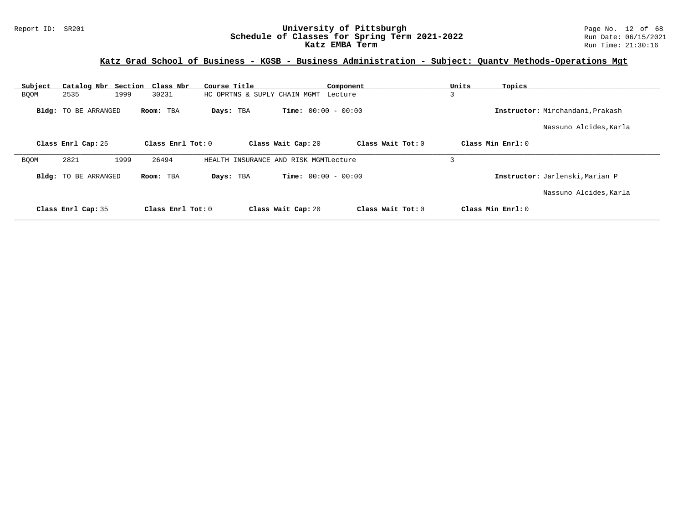### Report ID: SR201 **University of Pittsburgh** Page No. 12 of 68 **Schedule of Classes for Spring Term 2021-2022** Run Date: 06/15/2021 **Katz EMBA Term Run Time: 21:30:16** Run Time: 21:30:16

## **Katz Grad School of Business - KGSB - Business Administration - Subject: Quantv Methods-Operations Mgt**

| Subject     |                             | Catalog Nbr Section Class Nbr | Course Title                          |                              | Component           | Units | Topics                           |
|-------------|-----------------------------|-------------------------------|---------------------------------------|------------------------------|---------------------|-------|----------------------------------|
| <b>BQOM</b> | 2535                        | 1999<br>30231                 | HC OPRTNS & SUPLY CHAIN MGMT          |                              | Lecture             | 3     |                                  |
|             | Bldg: TO BE ARRANGED        | Room: TBA                     | Days: TBA                             | <b>Time:</b> $00:00 - 00:00$ |                     |       | Instructor: Mirchandani, Prakash |
|             |                             |                               |                                       |                              |                     |       | Nassuno Alcides, Karla           |
|             | Class Enrl Cap: 25          | Class Enrl Tot: 0             |                                       | Class Wait Cap: 20           | Class Wait Tot: 0   |       | Class Min Enrl: 0                |
| <b>BQOM</b> | 2821                        | 1999<br>26494                 | HEALTH INSURANCE AND RISK MGMTLecture |                              |                     | 3     |                                  |
|             | <b>Bldg:</b> TO BE ARRANGED | Room: TBA                     | Days: TBA                             | <b>Time:</b> $00:00 - 00:00$ |                     |       | Instructor: Jarlenski, Marian P  |
|             |                             |                               |                                       |                              |                     |       | Nassuno Alcides, Karla           |
|             | Class Enrl Cap: 35          | Class Enrl Tot: $0$           |                                       | Class Wait Cap: 20           | Class Wait $Tot: 0$ |       | Class Min Enrl: 0                |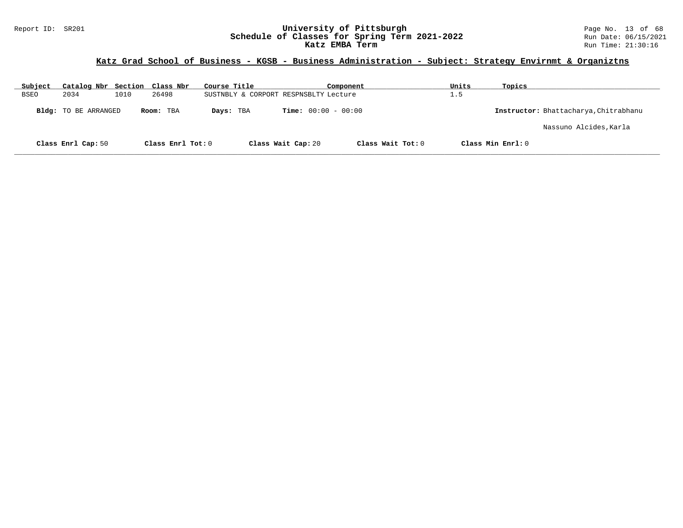### Report ID: SR201 **University of Pittsburgh** Page No. 13 of 68 **Schedule of Classes for Spring Term 2021-2022** Run Date: 06/15/2021 **Katz EMBA Term Run Time: 21:30:16** Run Time: 21:30:16

## **Katz Grad School of Business - KGSB - Business Administration - Subject: Strategy Envirnmt & Organiztns**

| Subject     | Catalog Nbr Section Class Nbr |      |                   | Course Title                          |                              | Component         | Units | Topics                                |
|-------------|-------------------------------|------|-------------------|---------------------------------------|------------------------------|-------------------|-------|---------------------------------------|
| <b>BSEO</b> | 2034                          | 1010 | 26498             | SUSTNBLY & CORPORT RESPNSBLTY Lecture |                              |                   | 1.5   |                                       |
|             | <b>Bldg:</b> TO BE ARRANGED   |      | Room: TBA         | Days: TBA                             | <b>Time:</b> $00:00 - 00:00$ |                   |       | Instructor: Bhattacharya, Chitrabhanu |
|             |                               |      |                   |                                       |                              |                   |       | Nassuno Alcides, Karla                |
|             | Class Enrl Cap: 50            |      | Class Enrl Tot: 0 |                                       | Class Wait Cap: 20           | Class Wait Tot: 0 |       | Class Min Enrl: 0                     |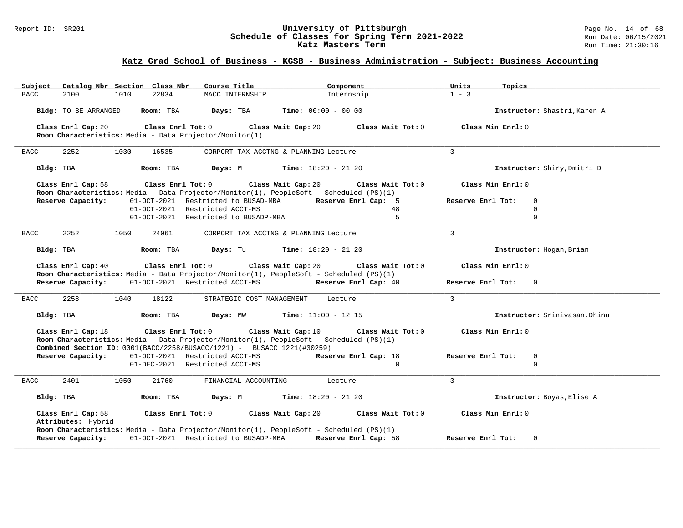### Report ID: SR201 **University of Pittsburgh** Page No. 14 of 68 **Schedule of Classes for Spring Term 2021-2022** Run Date: 06/15/2021 **Katz Masters Term Run Time: 21:30:16** Run Time: 21:30:16

## **Katz Grad School of Business - KGSB - Business Administration - Subject: Business Accounting**

| Catalog Nbr Section Class Nbr<br>Subject                                                                                                                                                         | Course Title                                | Component                                                    | Units<br>Topics                     |
|--------------------------------------------------------------------------------------------------------------------------------------------------------------------------------------------------|---------------------------------------------|--------------------------------------------------------------|-------------------------------------|
| 2100<br>1010<br>22834<br><b>BACC</b>                                                                                                                                                             | MACC INTERNSHIP                             | Internship                                                   | $1 - 3$                             |
| Room: TBA<br>Bldg: TO BE ARRANGED                                                                                                                                                                | Days: TBA                                   | <b>Time:</b> $00:00 - 00:00$                                 | Instructor: Shastri, Karen A        |
| Class Enrl Cap: 20<br>Room Characteristics: Media - Data Projector/Monitor(1)                                                                                                                    | Class Enrl Tot: 0 Class Wait Cap: 20        | Class Wait Tot: 0                                            | Class Min Enrl: 0                   |
| 2252<br>1030<br>16535<br><b>BACC</b>                                                                                                                                                             | CORPORT TAX ACCTNG & PLANNING Lecture       |                                                              | $\overline{3}$                      |
| Bldg: TBA<br>Room: TBA                                                                                                                                                                           | <b>Days:</b> M <b>Time:</b> $18:20 - 21:20$ |                                                              | Instructor: Shiry, Dmitri D         |
| Class Enrl Cap: 58<br>Room Characteristics: Media - Data Projector/Monitor(1), PeopleSoft - Scheduled (PS)(1)                                                                                    |                                             | Class Enrl Tot: $0$ Class Wait Cap: $20$ Class Wait Tot: $0$ | Class Min Enrl: 0                   |
| Reserve Capacity:                                                                                                                                                                                |                                             | 01-OCT-2021 Restricted to BUSAD-MBA Reserve Enrl Cap: 5      | Reserve Enrl Tot:<br>$\Omega$       |
|                                                                                                                                                                                                  | 01-OCT-2021 Restricted ACCT-MS              | 48                                                           | $\mathbf 0$                         |
|                                                                                                                                                                                                  | 01-OCT-2021 Restricted to BUSADP-MBA        | 5                                                            | $\mathbf 0$                         |
| 2252<br>1050<br>24061<br><b>BACC</b>                                                                                                                                                             | CORPORT TAX ACCTNG & PLANNING Lecture       |                                                              | 3                                   |
| Bldg: TBA<br><b>Room:</b> TBA <b>Days:</b> Tu <b>Time:</b> $18:20 - 21:20$                                                                                                                       |                                             |                                                              | Instructor: Hogan, Brian            |
| Class Enrl Cap: 40<br>Room Characteristics: Media - Data Projector/Monitor(1), PeopleSoft - Scheduled (PS)(1)                                                                                    |                                             | Class Enrl Tot: $0$ Class Wait Cap: $20$ Class Wait Tot: $0$ | Class Min Enrl: 0                   |
| 01-OCT-2021 Restricted ACCT-MS<br>Reserve Capacity:                                                                                                                                              |                                             | Reserve Enrl Cap: 40                                         | Reserve Enrl Tot:<br>$\Omega$       |
| 2258<br>1040<br>18122<br><b>BACC</b>                                                                                                                                                             | STRATEGIC COST MANAGEMENT                   | Lecture                                                      | $\mathbf{3}$                        |
| <b>Room:</b> TBA <b>Days:</b> MW <b>Time:</b> $11:00 - 12:15$<br>Bldg: TBA                                                                                                                       |                                             |                                                              | Instructor: Srinivasan, Dhinu       |
| Class Enrl Cap: 18<br>Room Characteristics: Media - Data Projector/Monitor(1), PeopleSoft - Scheduled (PS)(1)<br><b>Combined Section ID:</b> $0001(BACC/2258/BUSACC/1221)$ - BUSACC 1221(#30259) | Class Enrl Tot: $0$ Class Wait Cap: $10$    | Class Wait Tot: 0                                            | Class Min Enrl: 0                   |
| Reserve Capacity: 01-OCT-2021 Restricted ACCT-MS                                                                                                                                                 |                                             | Reserve Enrl Cap: 18                                         | Reserve Enrl Tot:<br>0              |
|                                                                                                                                                                                                  | 01-DEC-2021 Restricted ACCT-MS              | $\Omega$                                                     | $\Omega$                            |
| <b>BACC</b><br>2401<br>1050<br>21760                                                                                                                                                             | FINANCIAL ACCOUNTING                        | Lecture                                                      | $\mathcal{L}$                       |
| Bldg: TBA                                                                                                                                                                                        | Room: TBA $Days: M$ Time: $18:20 - 21:20$   |                                                              | Instructor: Boyas, Elise A          |
| Class Enrl Cap: 58<br>Attributes: Hybrid<br>Room Characteristics: Media - Data Projector/Monitor(1), PeopleSoft - Scheduled (PS)(1)                                                              | Class Enrl Tot: 0 Class Wait Cap: 20        | Class Wait Tot: 0                                            | Class Min Enrl: 0                   |
| Reserve Capacity:                                                                                                                                                                                |                                             | 01-OCT-2021 Restricted to BUSADP-MBA Reserve Enrl Cap: 58    | Reserve Enrl Tot:<br>$\overline{0}$ |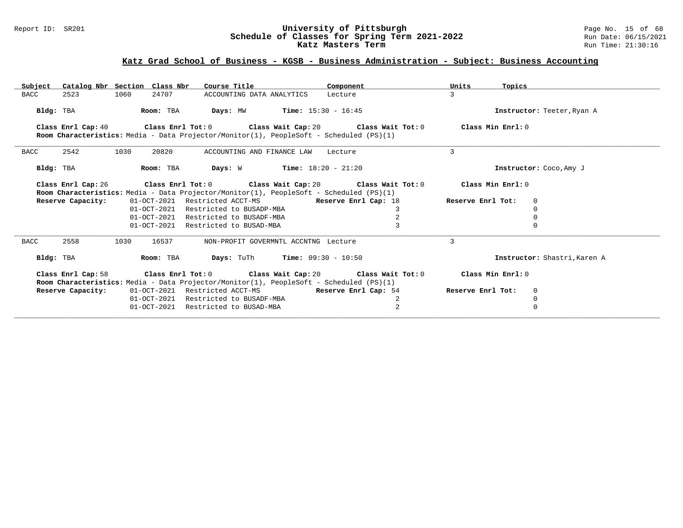### Report ID: SR201 **University of Pittsburgh** Page No. 15 of 68 **Schedule of Classes for Spring Term 2021-2022** Run Date: 06/15/2021 **Katz Masters Term Run Time: 21:30:16** Run Time: 21:30:16

## **Katz Grad School of Business - KGSB - Business Administration - Subject: Business Accounting**

| Subject             | Catalog Nbr Section Class Nbr | Course Title                                                                                                                                            | Component                                                                                    | Units<br>Topics   |                              |
|---------------------|-------------------------------|---------------------------------------------------------------------------------------------------------------------------------------------------------|----------------------------------------------------------------------------------------------|-------------------|------------------------------|
| <b>BACC</b><br>2523 | 1060<br>24707                 | ACCOUNTING DATA ANALYTICS Lecture                                                                                                                       |                                                                                              | 3                 |                              |
| Bldg: TBA           | Room: TBA                     | <b>Days:</b> MW <b>Time:</b> $15:30 - 16:45$                                                                                                            |                                                                                              |                   | Instructor: Teeter, Ryan A   |
| Class Enrl Cap: 40  |                               | Room Characteristics: Media - Data Projector/Monitor(1), PeopleSoft - Scheduled (PS)(1)                                                                 | Class Enrl Tot: 0 $\,$ Class Wait Cap: 20 $\,$ Class Wait Tot: 0 $\,$ Class Min Enrl: 0 $\,$ |                   |                              |
| 2542<br>BACC        | 1030<br>20820                 | ACCOUNTING AND FINANCE LAW                                                                                                                              | Lecture                                                                                      | 3                 |                              |
| Bldg: TBA           | Room: TBA                     | <b>Days:</b> W <b>Time:</b> $18:20 - 21:20$                                                                                                             |                                                                                              |                   | Instructor: Coco, Amy J      |
| Class Enrl Cap: 26  |                               |                                                                                                                                                         | Class Enrl Tot: 0 Class Wait Cap: 20 Class Wait Tot: 0                                       | Class Min Enrl: 0 |                              |
|                     |                               | Room Characteristics: Media - Data Projector/Monitor(1), PeopleSoft - Scheduled (PS)(1)                                                                 |                                                                                              |                   |                              |
| Reserve Capacity:   |                               | 01-OCT-2021 Restricted ACCT-MS Reserve Enrl Cap: 18                                                                                                     |                                                                                              | Reserve Enrl Tot: | 0                            |
|                     | $01 - OCT - 2021$             | Restricted to BUSADP-MBA                                                                                                                                | 3                                                                                            |                   | $\Omega$                     |
|                     |                               | 01-OCT-2021 Restricted to BUSADF-MBA                                                                                                                    | $\overline{2}$                                                                               |                   | 0                            |
|                     | 01-OCT-2021                   | Restricted to BUSAD-MBA                                                                                                                                 |                                                                                              |                   | $\Omega$                     |
| 2558<br>BACC        | 1030<br>16537                 | NON-PROFIT GOVERMNTL ACCNTNG Lecture                                                                                                                    |                                                                                              | 3                 |                              |
| Bldg: TBA           | Room: TBA                     | <b>Days:</b> TuTh <b>Time:</b> $09:30 - 10:50$                                                                                                          |                                                                                              |                   | Instructor: Shastri, Karen A |
| Class Enrl Cap: 58  |                               | Class Enrl Tot: $0$ Class Wait Cap: $20$ Class Wait Tot: $0$<br>Room Characteristics: Media - Data Projector/Monitor(1), PeopleSoft - Scheduled (PS)(1) |                                                                                              | Class Min Enrl: 0 |                              |
| Reserve Capacity:   |                               | 01-OCT-2021 Restricted ACCT-MS Reserve Enrl Cap: 54                                                                                                     |                                                                                              | Reserve Enrl Tot: | $\mathbf 0$                  |
|                     | $01 - OCT - 2021$             | Restricted to BUSADF-MBA                                                                                                                                | 2                                                                                            |                   | $\Omega$                     |
|                     |                               | 01-OCT-2021 Restricted to BUSAD-MBA                                                                                                                     | 2                                                                                            |                   | $\Omega$                     |
|                     |                               |                                                                                                                                                         |                                                                                              |                   |                              |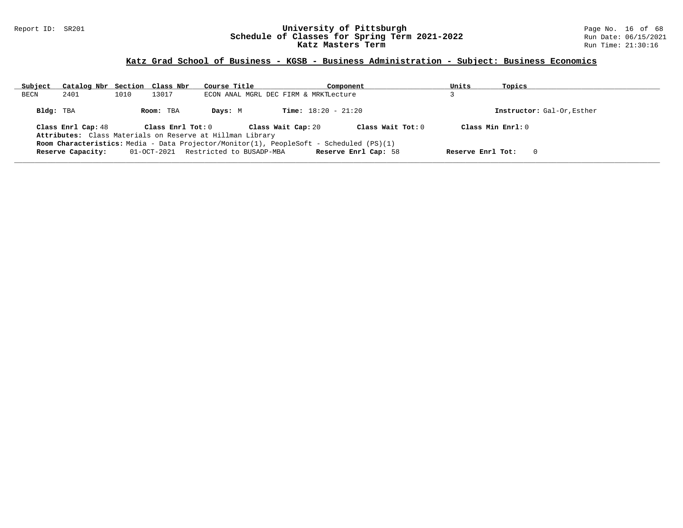### Report ID: SR201 **University of Pittsburgh** Page No. 16 of 68 **Schedule of Classes for Spring Term 2021-2022** Run Date: 06/15/2021 **Katz Masters Term Run Time: 21:30:16** Run Time: 21:30:16

## **Katz Grad School of Business - KGSB - Business Administration - Subject: Business Economics**

| Subject   | Catalog Nbr Section Class Nbr                                                           |      |                   | Course Title                                              |                                       | Component            | Units             | Topics                     |  |
|-----------|-----------------------------------------------------------------------------------------|------|-------------------|-----------------------------------------------------------|---------------------------------------|----------------------|-------------------|----------------------------|--|
| BECN      | 2401                                                                                    | 1010 | 13017             |                                                           | ECON ANAL MGRL DEC FIRM & MRKTLecture |                      |                   |                            |  |
| Bldg: TBA |                                                                                         |      | Room: TBA         | Davs: M                                                   | <b>Time:</b> $18:20 - 21:20$          |                      |                   | Instructor: Gal-Or, Esther |  |
|           | Class Enrl Cap: 48                                                                      |      | Class Enrl Tot: 0 | Attributes: Class Materials on Reserve at Hillman Library | Class Wait Cap: 20                    | Class Wait Tot: $0$  |                   | Class Min $Enr1:0$         |  |
|           | Room Characteristics: Media - Data Projector/Monitor(1), PeopleSoft - Scheduled (PS)(1) |      |                   |                                                           |                                       |                      |                   |                            |  |
|           | Reserve Capacity:                                                                       |      | 01-OCT-2021       | Restricted to BUSADP-MBA                                  |                                       | Reserve Enrl Cap: 58 | Reserve Enrl Tot: | 0                          |  |
|           |                                                                                         |      |                   |                                                           |                                       |                      |                   |                            |  |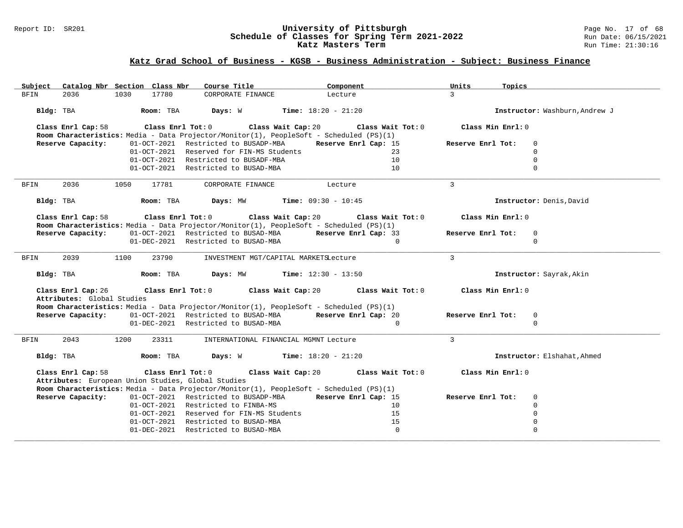### Report ID: SR201 **University of Pittsburgh** Page No. 17 of 68 **Schedule of Classes for Spring Term 2021-2022** Run Date: 06/15/2021 **Katz Masters Term Run Time: 21:30:16** Run Time: 21:30:16

## **Katz Grad School of Business - KGSB - Business Administration - Subject: Business Finance**

| Catalog Nbr Section Class Nbr<br>Subject                                                                                                 | Course Title                                                 | Component                    | Units<br>Topics   |                                |
|------------------------------------------------------------------------------------------------------------------------------------------|--------------------------------------------------------------|------------------------------|-------------------|--------------------------------|
| 17780<br><b>BFIN</b><br>2036<br>1030                                                                                                     | CORPORATE FINANCE                                            | Lecture                      | $\mathcal{L}$     |                                |
| Room: TBA<br>Bldg: TBA                                                                                                                   | Days: W                                                      | <b>Time:</b> $18:20 - 21:20$ |                   | Instructor: Washburn, Andrew J |
| Class Enrl Cap: 58<br>$Class$ $Enr1$ $Tot: 0$<br>Room Characteristics: Media - Data Projector/Monitor(1), PeopleSoft - Scheduled (PS)(1) | Class Wait Cap: 20                                           | Class Wait Tot: 0            | Class Min Enrl: 0 |                                |
| Reserve Capacity:                                                                                                                        | 01-OCT-2021 Restricted to BUSADP-MBA                         | Reserve Enrl Cap: 15         | Reserve Enrl Tot: | $\Omega$                       |
|                                                                                                                                          | 01-OCT-2021 Reserved for FIN-MS Students                     | 23                           |                   | $\Omega$                       |
|                                                                                                                                          | 01-OCT-2021 Restricted to BUSADF-MBA                         | 10                           |                   | $\Omega$                       |
|                                                                                                                                          | 01-OCT-2021 Restricted to BUSAD-MBA                          | 10                           |                   | $\Omega$                       |
| 2036<br>1050<br>17781<br>BFIN                                                                                                            | CORPORATE FINANCE                                            | Lecture                      | $\mathbf{3}$      |                                |
| Bldg: TBA<br>Room: TBA                                                                                                                   | <b>Days:</b> MW <b>Time:</b> $09:30 - 10:45$                 |                              |                   | Instructor: Denis, David       |
| Class Enrl Cap: 58<br>Room Characteristics: Media - Data Projector/Monitor(1), PeopleSoft - Scheduled (PS)(1)                            | Class Enrl Tot: $0$ Class Wait Cap: $20$ Class Wait Tot: $0$ |                              | Class Min Enrl: 0 |                                |
| Reserve Capacity:                                                                                                                        | 01-OCT-2021 Restricted to BUSAD-MBA Reserve Enrl Cap: 33     |                              | Reserve Enrl Tot: | $\mathbf 0$                    |
|                                                                                                                                          | 01-DEC-2021 Restricted to BUSAD-MBA                          | $\Omega$                     |                   | $\Omega$                       |
|                                                                                                                                          |                                                              |                              |                   |                                |
| 2039<br>1100<br>23790<br>BFIN                                                                                                            | INVESTMENT MGT/CAPITAL MARKETSLecture                        |                              | $\mathbf{3}$      |                                |
| Room: TBA<br>Bldg: TBA                                                                                                                   | <b>Days:</b> $MW$ <b>Time:</b> $12:30 - 13:50$               |                              |                   | Instructor: Sayrak, Akin       |
| Class Enrl Cap: 26<br>$Class$ $Enr1$ $Tot: 0$                                                                                            | Class Wait Cap: 20                                           | Class Wait Tot: 0            | Class Min Enrl: 0 |                                |
| Attributes: Global Studies                                                                                                               |                                                              |                              |                   |                                |
| Room Characteristics: Media - Data Projector/Monitor(1), PeopleSoft - Scheduled (PS)(1)<br>Reserve Capacity:                             | 01-OCT-2021 Restricted to BUSAD-MBA                          | Reserve Enrl Cap: 20         | Reserve Enrl Tot: | $\mathbf 0$                    |
|                                                                                                                                          | 01-DEC-2021 Restricted to BUSAD-MBA                          | $\mathbf 0$                  |                   | $\Omega$                       |
|                                                                                                                                          |                                                              |                              |                   |                                |
| 2043<br>1200<br>23311<br>BFIN                                                                                                            | INTERNATIONAL FINANCIAL MGMNT Lecture                        |                              | $\mathbf{3}$      |                                |
| Bldg: TBA<br>Room: TBA                                                                                                                   | <b>Days:</b> W <b>Time:</b> $18:20 - 21:20$                  |                              |                   | Instructor: Elshahat, Ahmed    |
| Class Enrl Cap: 58<br>Class Enrl Tot: 0<br>Attributes: European Union Studies, Global Studies                                            | Class Wait Cap: 20                                           | Class Wait Tot: 0            | Class Min Enrl: 0 |                                |
| Room Characteristics: Media - Data Projector/Monitor(1), PeopleSoft - Scheduled (PS)(1)                                                  |                                                              |                              |                   |                                |
| Reserve Capacity:                                                                                                                        | 01-OCT-2021 Restricted to BUSADP-MBA                         | Reserve Enrl Cap: 15         | Reserve Enrl Tot: | 0                              |
|                                                                                                                                          | 01-OCT-2021 Restricted to FINBA-MS                           | 10                           |                   | $\Omega$                       |
|                                                                                                                                          | 01-OCT-2021 Reserved for FIN-MS Students                     | 15                           |                   | $\Omega$                       |
|                                                                                                                                          | 01-OCT-2021 Restricted to BUSAD-MBA                          | 15                           |                   | $\Omega$                       |
|                                                                                                                                          | 01-DEC-2021 Restricted to BUSAD-MBA                          | $\Omega$                     |                   | $\Omega$                       |
|                                                                                                                                          |                                                              |                              |                   |                                |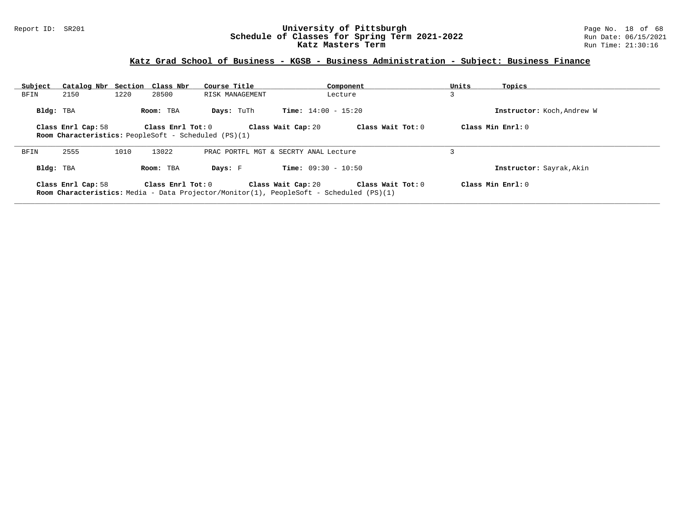### Report ID: SR201 **University of Pittsburgh** Page No. 18 of 68 **Schedule of Classes for Spring Term 2021-2022** Run Date: 06/15/2021 **Katz Masters Term Run Time: 21:30:16** Run Time: 21:30:16

## **Katz Grad School of Business - KGSB - Business Administration - Subject: Business Finance**

| Subject   | Catalog Nbr Section Class Nbr                                                                                                                                     |      |                   | Course Title                                                                                   |                              | Component         | Units | Topics                     |  |
|-----------|-------------------------------------------------------------------------------------------------------------------------------------------------------------------|------|-------------------|------------------------------------------------------------------------------------------------|------------------------------|-------------------|-------|----------------------------|--|
| BFIN      | 2150                                                                                                                                                              | 1220 | 28500             | RISK MANAGEMENT                                                                                |                              | Lecture           | 3     |                            |  |
| Bldg: TBA |                                                                                                                                                                   |      | Room: TBA         | Days: TuTh                                                                                     | <b>Time:</b> $14:00 - 15:20$ |                   |       | Instructor: Koch, Andrew W |  |
|           | Class Wait Tot: 0<br>Class Min $Enrl: 0$<br>Class Enrl Cap: 58<br>Class Enrl Tot: 0<br>Class Wait Cap: 20<br>Room Characteristics: PeopleSoft - Scheduled (PS)(1) |      |                   |                                                                                                |                              |                   |       |                            |  |
| BFIN      | 2555                                                                                                                                                              | 1010 | 13022             | PRAC PORTFL MGT & SECRTY ANAL Lecture                                                          |                              |                   |       |                            |  |
| Bldg: TBA |                                                                                                                                                                   |      | Room: TBA         | Days: F                                                                                        | <b>Time:</b> $09:30 - 10:50$ |                   |       | Instructor: Sayrak, Akin   |  |
|           | Class Enrl Cap: 58                                                                                                                                                |      | Class Enrl Tot: 0 | <b>Room Characteristics:</b> Media - Data Projector/Monitor(1), PeopleSoft - Scheduled (PS)(1) | Class Wait Cap: 20           | Class Wait Tot: 0 |       | Class Min $Enrl: 0$        |  |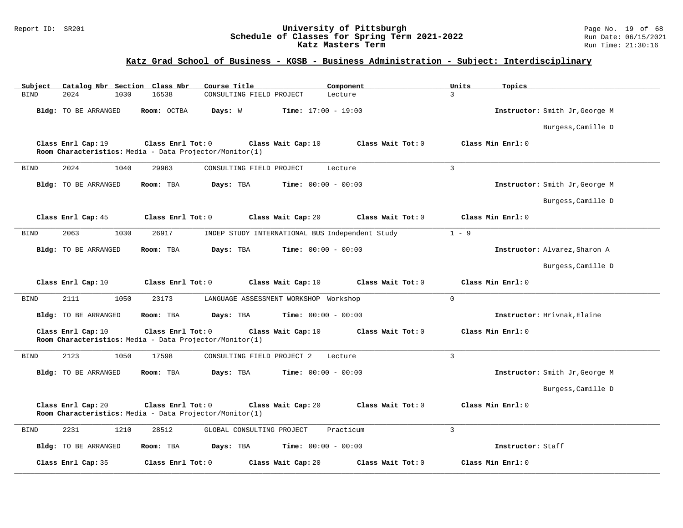### Report ID: SR201 **University of Pittsburgh** Page No. 19 of 68 **Schedule of Classes for Spring Term 2021-2022** Run Date: 06/15/2021 **Katz Masters Term Run Time: 21:30:16** Run Time: 21:30:16

## **Katz Grad School of Business - KGSB - Business Administration - Subject: Interdisciplinary**

| Subject     |                      | Catalog Nbr Section Class Nbr                                                | Course Title                          | Component                                       | Units<br>Topics                |
|-------------|----------------------|------------------------------------------------------------------------------|---------------------------------------|-------------------------------------------------|--------------------------------|
| <b>BIND</b> | 2024                 | 1030<br>16538                                                                | CONSULTING FIELD PROJECT              | Lecture                                         | $\mathbf{R}$                   |
|             | Bldg: TO BE ARRANGED | Room: OCTBA                                                                  | Days: W                               | <b>Time:</b> $17:00 - 19:00$                    | Instructor: Smith Jr, George M |
|             |                      |                                                                              |                                       |                                                 | Burgess, Camille D             |
|             | Class Enrl Cap: 19   | Class Enrl Tot: 0<br>Room Characteristics: Media - Data Projector/Monitor(1) | Class Wait Cap: 10                    | Class Wait Tot: 0                               | Class Min Enrl: 0              |
| <b>BIND</b> | 2024                 | 1040<br>29963                                                                | CONSULTING FIELD PROJECT              | Lecture                                         | 3                              |
|             | Bldg: TO BE ARRANGED | Room: TBA                                                                    | Days: TBA                             | <b>Time:</b> $00:00 - 00:00$                    | Instructor: Smith Jr, George M |
|             |                      |                                                                              |                                       |                                                 | Burgess, Camille D             |
|             | Class Enrl Cap: 45   | Class Enrl Tot: 0                                                            | Class Wait Cap: 20                    | Class Wait Tot: 0                               | Class Min Enrl: 0              |
| <b>BIND</b> | 2063                 | 1030<br>26917                                                                |                                       | INDEP STUDY INTERNATIONAL BUS Independent Study | $1 - 9$                        |
|             | Bldg: TO BE ARRANGED | Room: TBA                                                                    | Days: TBA                             | <b>Time:</b> $00:00 - 00:00$                    | Instructor: Alvarez, Sharon A  |
|             |                      |                                                                              |                                       |                                                 | Burgess, Camille D             |
|             | Class Enrl Cap: 10   | Class Enrl Tot: 0                                                            | Class Wait Cap: 10                    | Class Wait Tot: 0                               | Class Min Enrl: 0              |
| BIND        | 2111                 | 1050<br>23173                                                                | LANGUAGE ASSESSMENT WORKSHOP Workshop |                                                 | $\Omega$                       |
|             | Bldg: TO BE ARRANGED | Room: TBA                                                                    | Days: TBA                             | <b>Time:</b> $00:00 - 00:00$                    | Instructor: Hrivnak, Elaine    |
|             | Class Enrl Cap: 10   | Class Enrl Tot: 0<br>Room Characteristics: Media - Data Projector/Monitor(1) | Class Wait Cap: 10                    | Class Wait Tot: 0                               | Class Min Enrl: 0              |
| <b>BIND</b> | 2123                 | 1050<br>17598                                                                | CONSULTING FIELD PROJECT 2            | Lecture                                         | $\overline{3}$                 |
|             | Bldg: TO BE ARRANGED | Room: TBA                                                                    | Days: TBA                             | Time: $00:00 - 00:00$                           | Instructor: Smith Jr, George M |
|             |                      |                                                                              |                                       |                                                 | Burgess, Camille D             |
|             | Class Enrl Cap: 20   | Class Enrl Tot: 0                                                            | Class Wait Cap: 20                    | Class Wait Tot: 0                               | Class Min Enrl: 0              |
|             |                      | Room Characteristics: Media - Data Projector/Monitor(1)                      |                                       |                                                 |                                |
| <b>BIND</b> | 2231                 | 1210<br>28512                                                                | GLOBAL CONSULTING PROJECT             | Practicum                                       | 3                              |
|             | Bldg: TO BE ARRANGED | Room: TBA                                                                    | Days: TBA                             | Time: $00:00 - 00:00$                           | Instructor: Staff              |
|             | Class Enrl Cap: 35   | Class Enrl Tot: 0                                                            | Class Wait Cap: 20                    | Class Wait Tot: 0                               | Class Min Enrl: 0              |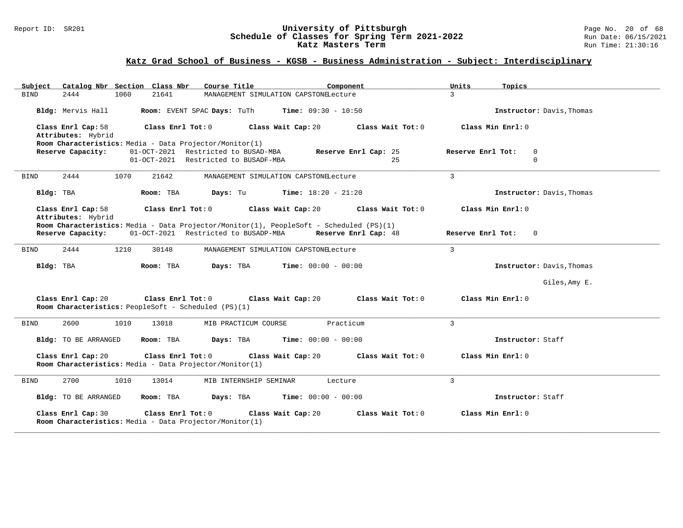### Report ID: SR201 **University of Pittsburgh** Page No. 20 of 68 **Schedule of Classes for Spring Term 2021-2022** Run Date: 06/15/2021 **Katz Masters Term Run Time: 21:30:16** Run Time: 21:30:16

## **Katz Grad School of Business - KGSB - Business Administration - Subject: Interdisciplinary**

| Catalog Nbr Section Class Nbr<br>Course Title<br>Subject<br>Component                                                                         | Units<br>Topics                              |
|-----------------------------------------------------------------------------------------------------------------------------------------------|----------------------------------------------|
| 2444<br>1060<br>21641<br><b>BIND</b><br>MANAGEMENT SIMULATION CAPSTONELecture                                                                 | $\overline{3}$                               |
| Room: EVENT SPAC Days: TuTh $Time: 09:30 - 10:50$<br>Bldg: Mervis Hall                                                                        | Instructor: Davis, Thomas                    |
| Class Enrl Cap: 58<br>Class Enrl Tot: 0<br>Class Wait Cap: 20<br>Class Wait Tot: 0<br>Attributes: Hybrid                                      | Class Min Enrl: 0                            |
| Room Characteristics: Media - Data Projector/Monitor(1)                                                                                       |                                              |
| 01-OCT-2021 Restricted to BUSAD-MBA<br>Reserve Capacity:<br>Reserve Enrl Cap: 25<br>01-OCT-2021 Restricted to BUSADF-MBA<br>2.5               | Reserve Enrl Tot:<br>$\mathbf 0$<br>$\Omega$ |
|                                                                                                                                               |                                              |
| 2444<br>1070<br>21642<br>MANAGEMENT SIMULATION CAPSTONELecture<br><b>BIND</b>                                                                 | $\overline{3}$                               |
| $Time: 18:20 - 21:20$<br>Bldg: TBA<br>Room: TBA<br>Days: Tu                                                                                   | Instructor: Davis, Thomas                    |
| Class Enrl Cap: 58<br>Class Enrl Tot: 0<br>Class Wait Cap: 20<br>Class Wait Tot: 0                                                            | Class Min Enrl: 0                            |
| Attributes: Hybrid                                                                                                                            |                                              |
| Room Characteristics: Media - Data Projector/Monitor(1), PeopleSoft - Scheduled (PS)(1)<br>01-OCT-2021 Restricted to BUSADP-MBA               |                                              |
| Reserve Capacity:<br>Reserve Enrl Cap: 48                                                                                                     | Reserve Enrl Tot: 0                          |
| 1210<br><b>BIND</b><br>2444<br>30148<br>MANAGEMENT SIMULATION CAPSTONELecture                                                                 | $\overline{3}$                               |
| Bldg: TBA<br>Room: TBA<br><b>Days:</b> TBA <b>Time:</b> $00:00 - 00:00$                                                                       | Instructor: Davis, Thomas                    |
|                                                                                                                                               | Giles, Amy E.                                |
| Class Enrl Cap: 20<br>Class Enrl Tot: 0 Class Wait Cap: 20<br>Class Wait Tot: 0<br>Room Characteristics: PeopleSoft - Scheduled (PS)(1)       | Class Min Enrl: 0                            |
| 2600<br>Practicum<br><b>BIND</b><br>1010<br>13018<br>MIB PRACTICUM COURSE                                                                     | $\overline{3}$                               |
| Bldg: TO BE ARRANGED<br>Days: TBA<br><b>Time:</b> $00:00 - 00:00$<br>Room: TBA                                                                | Instructor: Staff                            |
| Class Enrl Cap: 20<br>Class Enrl Tot: 0<br>Class Wait Cap: 20<br>Class Wait Tot: 0<br>Room Characteristics: Media - Data Projector/Monitor(1) | Class Min Enrl: 0                            |
| 2700<br>13014<br><b>BIND</b><br>1010<br>MIB INTERNSHIP SEMINAR<br>Lecture                                                                     | 3                                            |
|                                                                                                                                               |                                              |
| Bldg: TO BE ARRANGED<br>Room: TBA<br>Days: TBA<br><b>Time:</b> $00:00 - 00:00$                                                                | Instructor: Staff                            |
| Class Enrl Cap: 30<br>Class Enrl Tot: 0<br>Class Wait Cap: 20<br>Class Wait Tot: 0<br>Room Characteristics: Media - Data Projector/Monitor(1) | Class Min Enrl: 0                            |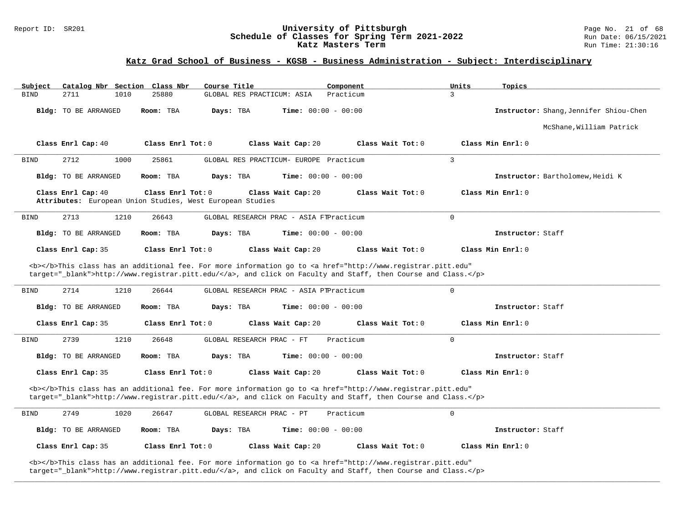### Report ID: SR201 **University of Pittsburgh University of Pittsburgh** Page No. 21 of 68<br>**Schedule of Classes for Spring Term 2021-2022** Run Date: 06/15/2021 **Schedule of Classes for Spring Term 2021-2022** Run Date: 06/15/2021<br>**Katz Masters Term Run Time:** 21:30:16 Katz Masters Term

## **Katz Grad School of Business - KGSB - Business Administration - Subject: Interdisciplinary**

| Subject                     | Catalog Nbr Section Class Nbr<br>Course Title                                    | Component                                                                                                                                                                                                                          | Units<br>Topics                        |
|-----------------------------|----------------------------------------------------------------------------------|------------------------------------------------------------------------------------------------------------------------------------------------------------------------------------------------------------------------------------|----------------------------------------|
| <b>BIND</b><br>2711<br>1010 | GLOBAL RES PRACTICUM: ASIA<br>25880                                              | Practicum                                                                                                                                                                                                                          | $\mathcal{L}$                          |
| Bldg: TO BE ARRANGED        | Room: TBA<br>Days: TBA                                                           | <b>Time:</b> $00:00 - 00:00$                                                                                                                                                                                                       | Instructor: Shang, Jennifer Shiou-Chen |
|                             |                                                                                  |                                                                                                                                                                                                                                    | McShane, William Patrick               |
| Class Enrl Cap: 40          | Class Enrl Tot: 0                                                                | Class Wait Cap: 20<br>Class Wait Tot: 0                                                                                                                                                                                            | Class Min Enrl: 0                      |
| 2712<br>1000<br><b>BIND</b> | 25861                                                                            | GLOBAL RES PRACTICUM- EUROPE Practicum                                                                                                                                                                                             | $\overline{3}$                         |
| <b>Bldg:</b> TO BE ARRANGED | Room: TBA<br>Days: TBA                                                           | <b>Time:</b> $00:00 - 00:00$                                                                                                                                                                                                       | Instructor: Bartholomew, Heidi K       |
| Class Enrl Cap: 40          | Class Enrl Tot: $0$<br>Attributes: European Union Studies, West European Studies | Class Wait Cap: 20<br>Class Wait Tot: 0                                                                                                                                                                                            | Class Min Enrl: 0                      |
| 2713<br>1210<br><b>BIND</b> | 26643                                                                            | GLOBAL RESEARCH PRAC - ASIA FTPracticum                                                                                                                                                                                            | $\mathbf 0$                            |
| <b>Bldg:</b> TO BE ARRANGED | Room: TBA<br>Days: TBA                                                           | <b>Time:</b> $00:00 - 00:00$                                                                                                                                                                                                       | Instructor: Staff                      |
| Class Enrl Cap: 35          | Class Enrl Tot: 0                                                                | Class Wait Cap: 20<br>Class Wait Tot: 0                                                                                                                                                                                            | Class Min Enrl: 0                      |
|                             |                                                                                  | <b></b> This class has an additional fee. For more information go to <a <br="" href="http://www.registrar.pitt.edu">target="_blank"&gt;http://www.registrar.pitt.edu/</a> , and click on Faculty and Staff, then Course and Class. |                                        |
|                             |                                                                                  |                                                                                                                                                                                                                                    |                                        |
| 2714<br>1210<br><b>BIND</b> | 26644                                                                            | GLOBAL RESEARCH PRAC - ASIA PTPracticum                                                                                                                                                                                            | $\mathbf 0$                            |
| <b>Bldg:</b> TO BE ARRANGED | Room: TBA<br>Days: TBA                                                           | <b>Time:</b> $00:00 - 00:00$                                                                                                                                                                                                       | Instructor: Staff                      |
| Class Enrl Cap: 35          | Class Enrl Tot: 0                                                                | Class Wait Cap: 20<br>Class Wait Tot: 0                                                                                                                                                                                            | Class Min Enrl: 0                      |
| 2739<br><b>BIND</b><br>1210 | GLOBAL RESEARCH PRAC - FT<br>26648                                               | Practicum                                                                                                                                                                                                                          | $\mathbf 0$                            |
| Bldg: TO BE ARRANGED        | Room: TBA<br>Days: TBA                                                           | <b>Time:</b> $00:00 - 00:00$                                                                                                                                                                                                       | Instructor: Staff                      |
| Class Enrl Cap: 35          | Class Enrl Tot: 0                                                                | Class Wait Cap: 20<br>Class Wait Tot: 0                                                                                                                                                                                            | Class Min Enrl: 0                      |
|                             |                                                                                  | <b></b> This class has an additional fee. For more information go to <a <br="" href="http://www.registrar.pitt.edu">target="_blank"&gt;http://www.registrar.pitt.edu/</a> , and click on Faculty and Staff, then Course and Class. |                                        |
| 2749<br><b>BIND</b><br>1020 | 26647<br>GLOBAL RESEARCH PRAC - PT                                               | Practicum                                                                                                                                                                                                                          | 0                                      |
| <b>Bldg:</b> TO BE ARRANGED | Room: TBA<br>Days: TBA                                                           | <b>Time:</b> $00:00 - 00:00$                                                                                                                                                                                                       | Instructor: Staff                      |
| Class Enrl Cap: 35          | Class Enrl Tot: 0                                                                | Class Wait Cap: 20<br>Class Wait Tot: 0                                                                                                                                                                                            | Class Min Enrl: 0                      |

**\_\_\_\_\_\_\_\_\_\_\_\_\_\_\_\_\_\_\_\_\_\_\_\_\_\_\_\_\_\_\_\_\_\_\_\_\_\_\_\_\_\_\_\_\_\_\_\_\_\_\_\_\_\_\_\_\_\_\_\_\_\_\_\_\_\_\_\_\_\_\_\_\_\_\_\_\_\_\_\_\_\_\_\_\_\_\_\_\_\_\_\_\_\_\_\_\_\_\_\_\_\_\_\_\_\_\_\_\_\_\_\_\_\_\_\_\_\_\_\_\_\_\_\_\_\_\_\_\_\_\_\_\_\_\_\_\_\_\_\_\_\_\_\_\_\_\_\_\_\_\_\_\_\_\_\_**

target="\_blank">http://www.registrar.pitt.edu/</a>, and click on Faculty and Staff, then Course and Class.</p>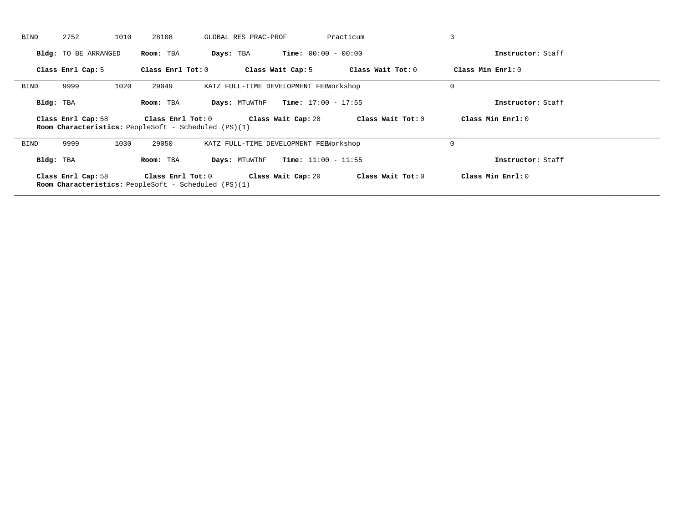| <b>BIND</b> | 2752                        | 1010 | 28108             | GLOBAL RES PRAC-PROF                                        |                              | Practicum         | 3                 |  |
|-------------|-----------------------------|------|-------------------|-------------------------------------------------------------|------------------------------|-------------------|-------------------|--|
|             | <b>Bldg:</b> TO BE ARRANGED |      | Room: TBA         | Days: TBA                                                   | <b>Time:</b> $00:00 - 00:00$ |                   | Instructor: Staff |  |
|             | Class Enrl Cap: 5           |      | Class Enrl Tot: 0 |                                                             | Class Wait Cap: 5            | Class Wait Tot: 0 | Class Min Enrl: 0 |  |
| BIND        | 9999                        | 1020 | 29049             | KATZ FULL-TIME DEVELOPMENT FEEWorkshop                      |                              |                   | $\mathbf 0$       |  |
| Bldg: TBA   |                             |      | Room: TBA         | Days: MTuWThF                                               | <b>Time:</b> $17:00 - 17:55$ |                   | Instructor: Staff |  |
|             | Class Enrl Cap: 58          |      | Class Enrl Tot: 0 | Room Characteristics: PeopleSoft - Scheduled (PS)(1)        | Class Wait Cap: 20           | Class Wait Tot: 0 | Class Min Enrl: 0 |  |
| <b>BIND</b> | 9999                        | 1030 | 29050             | KATZ FULL-TIME DEVELOPMENT FEEWorkshop                      |                              |                   | $\mathbf 0$       |  |
| Bldg: TBA   |                             |      | Room: TBA         | Days: MTuWThF                                               | <b>Time:</b> $11:00 - 11:55$ |                   | Instructor: Staff |  |
|             | Class Enrl Cap: 58          |      | Class Enrl Tot: 0 | <b>Room Characteristics:</b> PeopleSoft - Scheduled (PS)(1) | Class Wait Cap: 20           | Class Wait Tot: 0 | Class Min Enrl: 0 |  |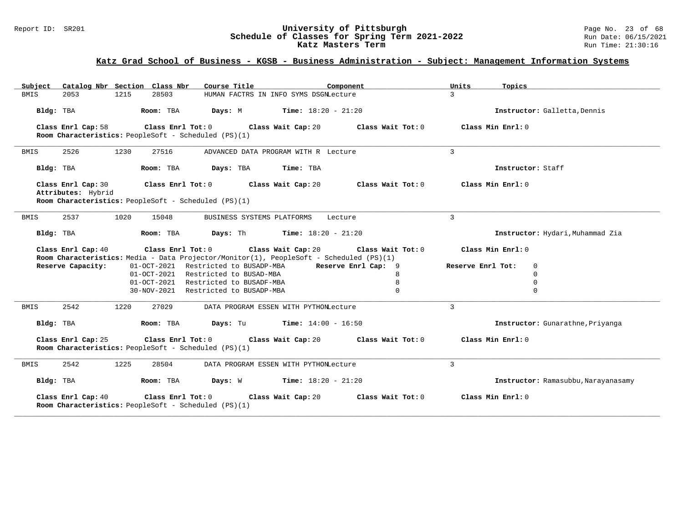### Report ID: SR201 **University of Pittsburgh** Page No. 23 of 68 **Schedule of Classes for Spring Term 2021-2022** Run Date: 06/15/2021 **Katz Masters Term Run Time: 21:30:16** Run Time: 21:30:16

## **Katz Grad School of Business - KGSB - Business Administration - Subject: Management Information Systems**

| Catalog Nbr Section Class Nbr<br>Subject                                                        | Course Title                                           | Component           | Units<br>Topics                     |
|-------------------------------------------------------------------------------------------------|--------------------------------------------------------|---------------------|-------------------------------------|
| 2053<br>1215<br>28503<br><b>BMIS</b>                                                            | HUMAN FACTRS IN INFO SYMS DSGNLecture                  |                     | $\mathcal{L}$                       |
| Bldg: TBA<br>Room: TBA                                                                          | <b>Days:</b> M <b>Time:</b> $18:20 - 21:20$            |                     | Instructor: Galletta, Dennis        |
| Class Enrl Cap: 58<br>Room Characteristics: PeopleSoft - Scheduled (PS)(1)                      | Class Enrl Tot: 0 Class Wait Cap: 20                   | Class Wait Tot: 0   | Class Min Enrl: 0                   |
| 2526<br>1230<br>27516<br>BMIS                                                                   | ADVANCED DATA PROGRAM WITH R Lecture                   |                     | 3                                   |
| Room: TBA<br>Bldg: TBA                                                                          | Days: TBA<br>Time: TBA                                 |                     | Instructor: Staff                   |
| Class Enrl Cap: 30<br>Class Enrl Tot: 0                                                         | Class Wait Cap: 20                                     | Class Wait Tot: 0   | Class Min Enrl: 0                   |
| Attributes: Hybrid<br>Room Characteristics: PeopleSoft - Scheduled (PS)(1)                      |                                                        |                     |                                     |
|                                                                                                 |                                                        |                     |                                     |
| 2537<br>1020<br><b>BMIS</b><br>15048                                                            | BUSINESS SYSTEMS PLATFORMS                             | Lecture             | 3                                   |
| Bldg: TBA<br>Room: TBA                                                                          | <b>Days:</b> Th <b>Time:</b> $18:20 - 21:20$           |                     | Instructor: Hydari, Muhammad Zia    |
| Class Enrl Cap: 40                                                                              | Class Enrl Tot: 0 Class Wait Cap: 20 Class Wait Tot: 0 |                     | Class Min Enrl: 0                   |
| Room Characteristics: Media - Data Projector/Monitor(1), PeopleSoft - Scheduled (PS)(1)         |                                                        |                     |                                     |
| Reserve Capacity:                                                                               | 01-OCT-2021 Restricted to BUSADP-MBA                   | Reserve Enrl Cap: 9 | Reserve Enrl Tot:<br>$\mathbf 0$    |
|                                                                                                 | 01-OCT-2021 Restricted to BUSAD-MBA                    | 8                   | $\Omega$                            |
|                                                                                                 | 01-OCT-2021 Restricted to BUSADF-MBA                   | 8                   | $\overline{0}$                      |
|                                                                                                 | 30-NOV-2021 Restricted to BUSADP-MBA                   | $\Omega$            | $\Omega$                            |
| 2542<br>1220<br>BMIS<br>27029                                                                   | DATA PROGRAM ESSEN WITH PYTHONLecture                  |                     | 3                                   |
| Room: TBA<br>Bldg: TBA                                                                          | <b>Days:</b> Tu <b>Time:</b> $14:00 - 16:50$           |                     | Instructor: Gunarathne, Priyanga    |
| Class Enrl Tot: 0<br>Class Enrl Cap: 25<br>Room Characteristics: PeopleSoft - Scheduled (PS)(1) | Class Wait Cap: 20                                     | Class Wait Tot: 0   | Class Min Enrl: 0                   |
| 2542<br>1225<br>28504<br>BMIS                                                                   | DATA PROGRAM ESSEN WITH PYTHONLecture                  |                     | 3                                   |
| Bldg: TBA<br>Room: TBA                                                                          | <b>Days:</b> $W$ <b>Time:</b> $18:20 - 21:20$          |                     | Instructor: Ramasubbu, Narayanasamy |
| Class Enrl Cap: 40<br>Class Enrl Tot: 0<br>Room Characteristics: PeopleSoft - Scheduled (PS)(1) | Class Wait Cap: 20                                     | Class Wait Tot: 0   | Class Min Enrl: 0                   |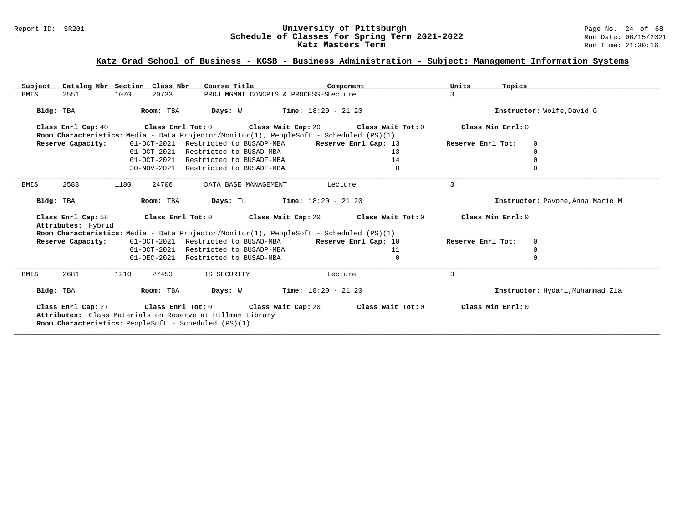### Report ID: SR201 **1988 Mage 10: SChedule of Classes for Spring Term 2021-2022** Page No. 24 of 68<br>**Schedule of Classes for Spring Term 2021-2022** Run Date: 06/15/2021 **Schedule of Classes for Spring Term 2021-2022** Run Date: 06/15/202<br>**Katz Masters Term 2021-2022** Run Time: 21:30:16 Katz Masters Term

## **Katz Grad School of Business - KGSB - Business Administration - Subject: Management Information Systems**

| Subject<br>Catalog Nbr Section Class Nbr                                                                                 | Course Title                                                                            | Units<br>Component       | Topics                            |
|--------------------------------------------------------------------------------------------------------------------------|-----------------------------------------------------------------------------------------|--------------------------|-----------------------------------|
| <b>BMIS</b><br>1070<br>2551<br>20733                                                                                     | PROJ MGMNT CONCPTS & PROCESSESLecture                                                   | 3                        |                                   |
| Room: TBA<br>Bldg: TBA                                                                                                   | $Time: 18:20 - 21:20$<br>Days: W                                                        |                          | Instructor: Wolfe, David G        |
| Class Enrl Cap: 40                                                                                                       | Class Enrl Tot: $0$ Class Wait Cap: $20$ Class Wait Tot: $0$                            |                          | Class Min Enrl: 0                 |
|                                                                                                                          | Room Characteristics: Media - Data Projector/Monitor(1), PeopleSoft - Scheduled (PS)(1) |                          |                                   |
| 01-OCT-2021<br>Reserve Capacity:                                                                                         | Restricted to BUSADP-MBA                                                                | Reserve Enrl Cap: 13     | Reserve Enrl Tot:<br>$\mathbf{0}$ |
|                                                                                                                          | 01-OCT-2021 Restricted to BUSAD-MBA                                                     | 13                       | $\mathbf 0$                       |
| $01 - OCT - 2021$                                                                                                        | Restricted to BUSADF-MBA                                                                | 14                       | $\mathbf 0$                       |
| 30-NOV-2021                                                                                                              | Restricted to BUSADF-MBA                                                                | $\Omega$                 | $\Omega$                          |
| 2588<br>BMIS<br>1180<br>24706                                                                                            | DATA BASE MANAGEMENT                                                                    | 3<br>Lecture             |                                   |
| Bldg: TBA<br>Room: TBA                                                                                                   | Days: Tu<br><b>Time:</b> $18:20 - 21:20$                                                |                          | Instructor: Pavone, Anna Marie M  |
| Class Enrl Cap: 58<br>Attributes: Hybrid                                                                                 | Class Enrl Tot: $0$ Class Wait Cap: $20$ Class Wait Tot: $0$                            |                          | Class Min Enrl: 0                 |
|                                                                                                                          | Room Characteristics: Media - Data Projector/Monitor(1), PeopleSoft - Scheduled (PS)(1) |                          |                                   |
| 01-OCT-2021<br>Reserve Capacity:                                                                                         | Restricted to BUSAD-MBA                                                                 | Reserve Enrl Cap: 10     | Reserve Enrl Tot:<br>$\mathbf{0}$ |
| $01-OCT-2021$                                                                                                            | Restricted to BUSADP-MBA                                                                | 11                       | $\mathbf 0$                       |
|                                                                                                                          | 01-DEC-2021 Restricted to BUSAD-MBA                                                     | 0                        | $\mathbf 0$                       |
| 2681<br><b>BMIS</b><br>1210<br>27453                                                                                     | IS SECURITY                                                                             | $\mathcal{L}$<br>Lecture |                                   |
| Bldg: TBA<br>Room: TBA                                                                                                   | <b>Days:</b> W <b>Time:</b> $18:20 - 21:20$                                             |                          | Instructor: Hydari, Muhammad Zia  |
| Attributes: Class Materials on Reserve at Hillman Library<br><b>Room Characteristics:</b> PeopleSoft - Scheduled (PS)(1) | Class Enrl Cap: 27 Class Enrl Tot: 0 Class Wait Cap: 20                                 | Class Wait Tot: 0        | Class Min Enrl: 0                 |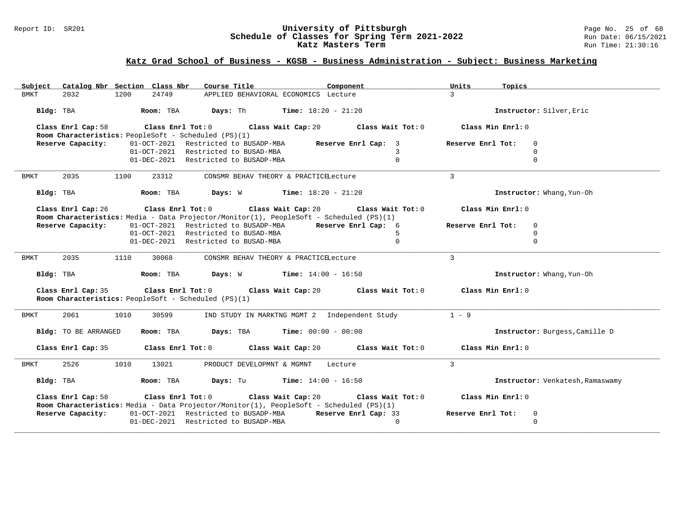### Report ID: SR201 **University of Pittsburgh** Page No. 25 of 68 **Schedule of Classes for Spring Term 2021-2022** Run Date: 06/15/2021 **Katz Masters Term Run Time: 21:30:16** Run Time: 21:30:16

## **Katz Grad School of Business - KGSB - Business Administration - Subject: Business Marketing**

| Subject Catalog Nbr Section Class Nbr<br>Course Title <b>Source Course Title</b>                                                           | Component<br>Units<br>Topics                                                     |
|--------------------------------------------------------------------------------------------------------------------------------------------|----------------------------------------------------------------------------------|
| 1200<br>24749<br>2032<br>APPLIED BEHAVIORAL ECONOMICS Lecture<br>BMKT                                                                      | $\mathcal{R}$                                                                    |
| Room: TBA $Days:$ Th Time: $18:20 - 21:20$<br>Bldg: TBA                                                                                    | Instructor: Silver, Eric                                                         |
| Class Enrl Cap: 58                                                                                                                         | Class Enrl Tot: $0$ Class Wait Cap: $20$ Class Wait Tot: $0$ Class Min Enrl: $0$ |
| Room Characteristics: PeopleSoft - Scheduled (PS)(1)                                                                                       |                                                                                  |
| 01-OCT-2021 Restricted to BUSADP-MBA Reserve Enrl Cap: 3<br>Reserve Capacity:                                                              | Reserve Enrl Tot:<br>$\mathbf 0$                                                 |
| 01-OCT-2021 Restricted to BUSAD-MBA                                                                                                        | $\mathbf{3}$<br>$\mathbf 0$                                                      |
| 01-DEC-2021 Restricted to BUSADP-MBA                                                                                                       | $\mathbf 0$<br>$\mathbf 0$                                                       |
| <b>BMKT</b><br>2035<br>1100<br>23312<br>CONSMR BEHAV THEORY & PRACTICELecture                                                              | 3                                                                                |
| <b>Room:</b> TBA <b>Days:</b> W <b>Time:</b> $18:20 - 21:20$<br>Bldg: TBA                                                                  | Instructor: Whang, Yun-Oh                                                        |
| Class Enrl Cap: 26<br>Room Characteristics: Media - Data Projector/Monitor(1), PeopleSoft - Scheduled (PS)(1)                              | Class Enrl Tot: $0$ Class Wait Cap: $20$ Class Wait Tot: $0$ Class Min Enrl: $0$ |
| 01-OCT-2021 Restricted to BUSADP-MBA Reserve Enrl Cap: 6<br>Reserve Capacity:                                                              | Reserve Enrl Tot:<br>$\mathbf{0}$                                                |
| 01-OCT-2021 Restricted to BUSAD-MBA                                                                                                        | $\Omega$<br>.5                                                                   |
| 01-DEC-2021 Restricted to BUSAD-MBA                                                                                                        | $\mathbf 0$<br>$\mathbf 0$                                                       |
|                                                                                                                                            |                                                                                  |
| 2035<br>1110<br>BMKT<br>30068<br>CONSMR BEHAV THEORY & PRACTICELecture                                                                     | 3                                                                                |
| Room: TBA $Days: W$ Time: $14:00 - 16:50$<br>Bldg: TBA                                                                                     | Instructor: Whang, Yun-Oh                                                        |
| Class Enrl Tot: $0$ Class Wait Cap: $20$ Class Wait Tot: $0$<br>Class Enrl Cap: 35<br>Room Characteristics: PeopleSoft - Scheduled (PS)(1) | Class Min Enrl: 0                                                                |
| 2061<br>1010<br>30599<br>BMKT                                                                                                              | IND STUDY IN MARKTNG MGMT 2 Independent Study<br>$1 - 9$                         |
| Room: TBA $Days:$ TBA $Time: 00:00 - 00:00$<br>Bldg: TO BE ARRANGED                                                                        | Instructor: Burgess, Camille D                                                   |
| Class Enrl Cap: 35 Class Enrl Tot: 0 Class Wait Cap: 20 Class Wait Tot: 0 Class Min Enrl: 0                                                |                                                                                  |
| 2526<br>1010<br>13021<br>BMKT<br>PRODUCT DEVELOPMNT & MGMNT Lecture                                                                        | $\mathcal{E}$                                                                    |
| <b>Room:</b> TBA <b>Days:</b> Tu <b>Time:</b> $14:00 - 16:50$<br>Bldg: TBA                                                                 | Instructor: Venkatesh, Ramaswamy                                                 |
| Class Enrl Cap: 58<br>Room Characteristics: Media - Data Projector/Monitor(1), PeopleSoft - Scheduled (PS)(1)                              | Class Enrl Tot: $0$ Class Wait Cap: $20$ Class Wait Tot: $0$ Class Min Enrl: $0$ |
| Reserve Capacity:<br>01-OCT-2021 Restricted to BUSADP-MBA Reserve Enrl Cap: 33                                                             | Reserve Enrl Tot:<br>$\mathbf 0$                                                 |
| 01-DEC-2021 Restricted to BUSADP-MBA                                                                                                       | $\mathbf 0$<br>$\Omega$                                                          |
|                                                                                                                                            |                                                                                  |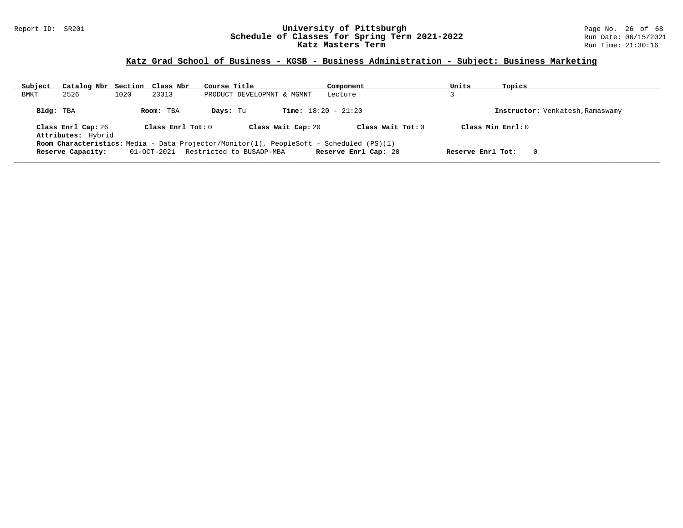### Report ID: SR201 **University of Pittsburgh** Page No. 26 of 68 **Schedule of Classes for Spring Term 2021-2022** Run Date: 06/15/2021 **Katz Masters Term Run Time: 21:30:16** Run Time: 21:30:16

## **Katz Grad School of Business - KGSB - Business Administration - Subject: Business Marketing**

| Subject   | Catalog Nbr Section Class Nbr            |      |                     | Course Title                                                                            | Component                    | Units             | Topics                           |
|-----------|------------------------------------------|------|---------------------|-----------------------------------------------------------------------------------------|------------------------------|-------------------|----------------------------------|
| BMKT      | 2526                                     | 1020 | 23313               | PRODUCT DEVELOPMNT & MGMNT                                                              | Lecture                      |                   |                                  |
| Bldg: TBA |                                          |      | Room: TBA           | Days: Tu                                                                                | <b>Time:</b> $18:20 - 21:20$ |                   | Instructor: Venkatesh, Ramaswamy |
|           | Class Enrl Cap: 26<br>Attributes: Hybrid |      | Class Enrl Tot: $0$ | Class Wait Cap: 20                                                                      | Class Wait Tot: $0$          |                   | Class Min $Enrl: 0$              |
|           |                                          |      |                     | Room Characteristics: Media - Data Projector/Monitor(1), PeopleSoft - Scheduled (PS)(1) |                              |                   |                                  |
|           | Reserve Capacity:                        |      |                     | 01-OCT-2021 Restricted to BUSADP-MBA                                                    | Reserve Enrl Cap: 20         | Reserve Enrl Tot: | 0                                |
|           |                                          |      |                     |                                                                                         |                              |                   |                                  |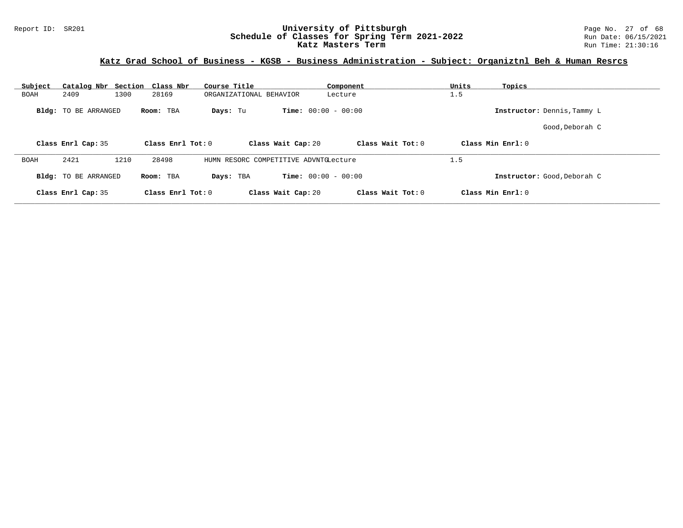### Report ID: SR201 **University of Pittsburgh** Page No. 27 of 68 **Schedule of Classes for Spring Term 2021-2022** Run Date: 06/15/2021 **Katz Masters Term Run Time: 21:30:16** Run Time: 21:30:16

## **Katz Grad School of Business - KGSB - Business Administration - Subject: Organiztnl Beh & Human Resrcs**

| Subject<br>Catalog Nbr Section Class Nbr | Course Title           | Component                               | Units<br>Topics             |  |
|------------------------------------------|------------------------|-----------------------------------------|-----------------------------|--|
| 1300<br>2409<br><b>BOAH</b>              | 28169                  | ORGANIZATIONAL BEHAVIOR<br>Lecture      | 1.5                         |  |
| <b>Bldg:</b> TO BE ARRANGED              | Room: TBA<br>Days: Tu  | <b>Time:</b> $00:00 - 00:00$            | Instructor: Dennis, Tammy L |  |
|                                          |                        |                                         | Good,Deborah C              |  |
| Class Enrl Cap: 35                       | Class Enrl Tot: 0      | Class Wait Tot: 0<br>Class Wait Cap: 20 | Class Min Enrl: 0           |  |
| 2421<br>1210<br><b>BOAH</b>              | 28498                  | HUMN RESORC COMPETITIVE ADVNTGLecture   | 1.5                         |  |
| <b>Bldg:</b> TO BE ARRANGED              | Days: TBA<br>Room: TBA | <b>Time:</b> $00:00 - 00:00$            | Instructor: Good, Deborah C |  |
| Class Enrl Cap: 35                       | Class Enrl Tot: 0      | Class Wait Tot: 0<br>Class Wait Cap: 20 | Class Min Enrl: 0           |  |
|                                          |                        |                                         |                             |  |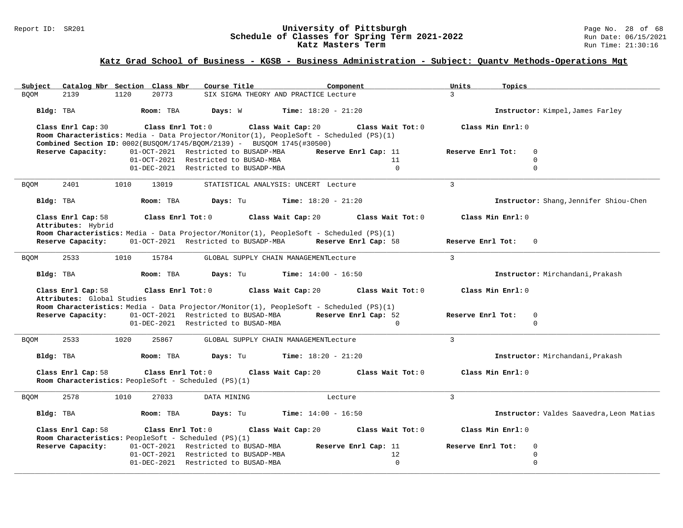#### Report ID: SR201 **University of Pittsburgh** Page No. 28 of 68 **Schedule of Classes for Spring Term 2021-2022** Run Date: 06/15/2021 **Katz Masters Term Run Time: 21:30:16** Run Time: 21:30:16

## **Katz Grad School of Business - KGSB - Business Administration - Subject: Quantv Methods-Operations Mgt**

| Subject     |                                          | Catalog Nbr Section Class Nbr |                   | Course Title                                                                                                                                                                                              |                                       | Component                                 | Units             | Topics                     |                                          |
|-------------|------------------------------------------|-------------------------------|-------------------|-----------------------------------------------------------------------------------------------------------------------------------------------------------------------------------------------------------|---------------------------------------|-------------------------------------------|-------------------|----------------------------|------------------------------------------|
| <b>BOOM</b> | 2139                                     | 1120                          | 20773             |                                                                                                                                                                                                           | SIX SIGMA THEORY AND PRACTICE Lecture |                                           | $\mathcal{L}$     |                            |                                          |
|             | Bldg: TBA                                | Room: TBA                     |                   | Days: W                                                                                                                                                                                                   | <b>Time:</b> $18:20 - 21:20$          |                                           |                   |                            | Instructor: Kimpel, James Farley         |
|             | Class Enrl Cap: 30                       |                               |                   | Class Enrl Tot: 0 Class Wait Cap: 20<br>Room Characteristics: Media - Data Projector/Monitor(1), PeopleSoft - Scheduled (PS)(1)<br>Combined Section ID: 0002(BUSQOM/1745/BQOM/2139) - BUSQOM 1745(#30500) |                                       | Class Wait Tot: 0                         |                   | Class Min Enrl: 0          |                                          |
|             | Reserve Capacity:                        |                               |                   | 01-OCT-2021 Restricted to BUSADP-MBA                                                                                                                                                                      |                                       | Reserve Enrl Cap: 11                      | Reserve Enrl Tot: | $\mathbf 0$                |                                          |
|             |                                          |                               |                   | 01-OCT-2021 Restricted to BUSAD-MBA                                                                                                                                                                       |                                       | 11                                        |                   | $\Omega$                   |                                          |
|             |                                          |                               |                   | 01-DEC-2021 Restricted to BUSADP-MBA                                                                                                                                                                      |                                       | $\Omega$                                  |                   | $\mathbf 0$                |                                          |
| <b>BQOM</b> | 2401                                     | 1010                          | 13019             |                                                                                                                                                                                                           | STATISTICAL ANALYSIS: UNCERT Lecture  |                                           | $\overline{3}$    |                            |                                          |
|             | Bldg: TBA                                | Room: TBA                     |                   | <b>Days:</b> Tu <b>Time:</b> $18:20 - 21:20$                                                                                                                                                              |                                       |                                           |                   |                            | Instructor: Shang, Jennifer Shiou-Chen   |
|             | Class Enrl Cap: 58<br>Attributes: Hybrid | Class Enrl Tot: 0             |                   |                                                                                                                                                                                                           | Class Wait Cap: 20                    | Class Wait Tot: 0                         |                   | Class Min Enrl: 0          |                                          |
|             | Reserve Capacity:                        |                               |                   | Room Characteristics: Media - Data Projector/Monitor(1), PeopleSoft - Scheduled (PS)(1)<br>01-OCT-2021 Restricted to BUSADP-MBA Reserve Enrl Cap: 58                                                      |                                       |                                           |                   | Reserve Enrl Tot: 0        |                                          |
| <b>BQOM</b> | 2533                                     | 1010                          | 15784             |                                                                                                                                                                                                           | GLOBAL SUPPLY CHAIN MANAGEMENTLecture |                                           | $\mathbf{3}$      |                            |                                          |
|             | Bldg: TBA                                | Room: TBA                     |                   | Days: Tu                                                                                                                                                                                                  | <b>Time:</b> $14:00 - 16:50$          |                                           |                   |                            | Instructor: Mirchandani, Prakash         |
|             | Class Enrl Cap: 58                       |                               | Class Enrl Tot: 0 |                                                                                                                                                                                                           | Class Wait Cap: 20                    | Class Wait Tot: 0                         |                   | Class Min Enrl: 0          |                                          |
|             | Attributes: Global Studies               |                               |                   |                                                                                                                                                                                                           |                                       |                                           |                   |                            |                                          |
|             |                                          |                               |                   | Room Characteristics: Media - Data Projector/Monitor(1), PeopleSoft - Scheduled (PS)(1)                                                                                                                   |                                       |                                           |                   |                            |                                          |
|             | Reserve Capacity:                        |                               |                   | 01-OCT-2021 Restricted to BUSAD-MBA Reserve Enrl Cap: 52<br>01-DEC-2021 Restricted to BUSAD-MBA                                                                                                           |                                       | $\overline{0}$                            | Reserve Enrl Tot: | $\mathbf 0$<br>$\mathbf 0$ |                                          |
|             |                                          |                               |                   |                                                                                                                                                                                                           |                                       |                                           |                   |                            |                                          |
| <b>BQOM</b> | 2533                                     | 1020                          | 25867             |                                                                                                                                                                                                           | GLOBAL SUPPLY CHAIN MANAGEMENTLecture |                                           | $\mathcal{L}$     |                            |                                          |
|             | Bldg: TBA                                | Room: TBA                     |                   | Days: Tu                                                                                                                                                                                                  | <b>Time:</b> $18:20 - 21:20$          |                                           |                   |                            | Instructor: Mirchandani, Prakash         |
|             | Class Enrl Cap: 58                       | Class Enrl Tot: 0             |                   | Room Characteristics: PeopleSoft - Scheduled (PS)(1)                                                                                                                                                      |                                       | Class Wait Cap: 20 $\,$ Class Wait Tot: 0 |                   | Class Min Enrl: 0          |                                          |
| <b>BQOM</b> | 2578                                     | 1010                          | 27033             | DATA MINING                                                                                                                                                                                               |                                       | Lecture                                   | 3                 |                            |                                          |
|             | Bldg: TBA                                | Room: TBA                     |                   | Days: Tu                                                                                                                                                                                                  | <b>Time:</b> $14:00 - 16:50$          |                                           |                   |                            | Instructor: Valdes Saavedra, Leon Matias |
|             | Class Enrl Cap: 58                       |                               |                   | Class Enrl Tot: 0 Class Wait Cap: 20<br>Room Characteristics: PeopleSoft - Scheduled (PS)(1)                                                                                                              |                                       | Class Wait Tot: 0                         |                   | Class Min Enrl: 0          |                                          |
|             | Reserve Capacity:                        |                               |                   | 01-OCT-2021 Restricted to BUSAD-MBA                                                                                                                                                                       |                                       | Reserve Enrl Cap: 11                      | Reserve Enrl Tot: | $\mathbf 0$                |                                          |
|             |                                          |                               |                   | 01-OCT-2021 Restricted to BUSADP-MBA                                                                                                                                                                      |                                       | 12                                        |                   | $\mathbf 0$                |                                          |
|             |                                          |                               |                   | 01-DEC-2021 Restricted to BUSAD-MBA                                                                                                                                                                       |                                       | $\Omega$                                  |                   | $\mathbf 0$                |                                          |
|             |                                          |                               |                   |                                                                                                                                                                                                           |                                       |                                           |                   |                            |                                          |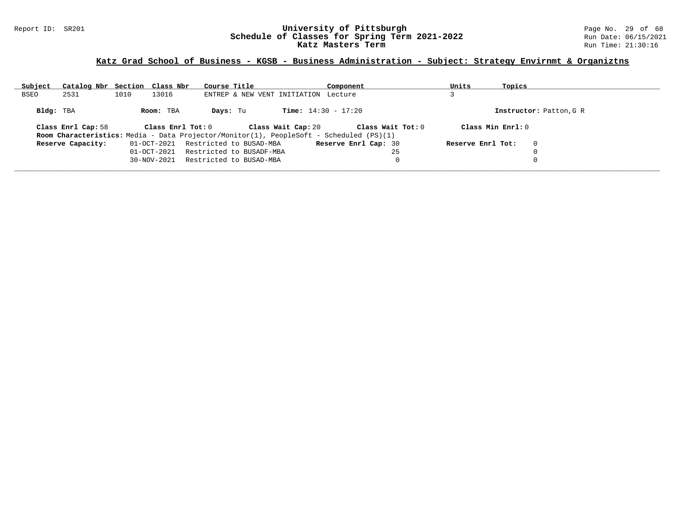### Report ID: SR201 **University of Pittsburgh** Page No. 29 of 68 **Schedule of Classes for Spring Term 2021-2022** Run Date: 06/15/2021 **Katz Masters Term Run Time: 21:30:16** Run Time: 21:30:16

## **Katz Grad School of Business - KGSB - Business Administration - Subject: Strategy Envirnmt & Organiztns**

| Subject   | Catalog Nbr Section Class Nbr |      |                   | Course Title |                                      |                              | Component                                                                                      |                   | Units             | Topics                  |  |
|-----------|-------------------------------|------|-------------------|--------------|--------------------------------------|------------------------------|------------------------------------------------------------------------------------------------|-------------------|-------------------|-------------------------|--|
| BSEO      | 2531                          | 1010 | 13016             |              | ENTREP & NEW VENT INITIATION Lecture |                              |                                                                                                |                   |                   |                         |  |
| Bldg: TBA |                               |      | Room: TBA         | Days: Tu     |                                      | <b>Time:</b> $14:30 - 17:20$ |                                                                                                |                   |                   | Instructor: Patton, G R |  |
|           | Class Enrl Cap: 58            |      | Class Enrl Tot: 0 |              |                                      | Class Wait Cap: 20           |                                                                                                | Class Wait Tot: 0 |                   | Class Min Enrl: 0       |  |
|           |                               |      |                   |              |                                      |                              | <b>Room Characteristics:</b> Media - Data Projector/Monitor(1), PeopleSoft - Scheduled (PS)(1) |                   |                   |                         |  |
|           | Reserve Capacity:             |      | 01-OCT-2021       |              | Restricted to BUSAD-MBA              |                              | <b>Reserve Enrl Cap: 30</b>                                                                    |                   | Reserve Enrl Tot: | $\mathbf 0$             |  |
|           |                               |      | $01 - OCT - 2021$ |              | Restricted to BUSADF-MBA             |                              |                                                                                                | 25                |                   |                         |  |
|           |                               |      | 30-NOV-2021       |              | Restricted to BUSAD-MBA              |                              |                                                                                                | 0                 |                   |                         |  |
|           |                               |      |                   |              |                                      |                              |                                                                                                |                   |                   |                         |  |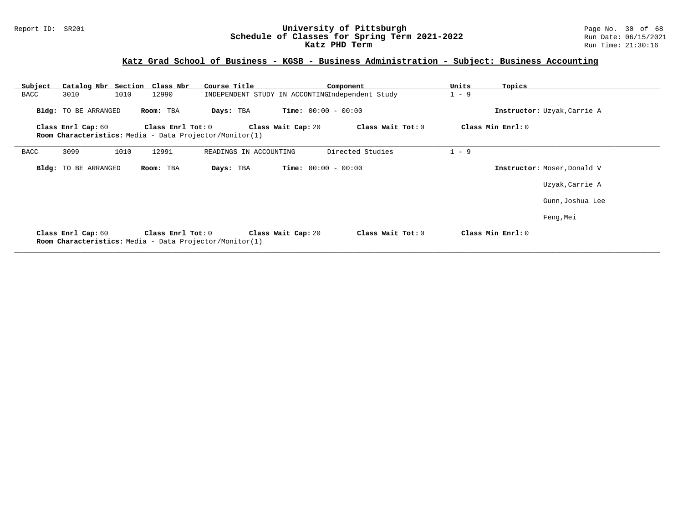### Report ID: SR201 **University of Pittsburgh** Page No. 30 of 68 **Schedule of Classes for Spring Term 2021-2022** Run Date: 06/15/2021 **Katz PHD Term Run Time: 21:30:16**

## **Katz Grad School of Business - KGSB - Business Administration - Subject: Business Accounting**

| Subject            | Catalog Nbr Section Class Nbr |                     | Course Title                                            |                              | Component         | Units   | Topics                      |  |
|--------------------|-------------------------------|---------------------|---------------------------------------------------------|------------------------------|-------------------|---------|-----------------------------|--|
| 3010<br>BACC       | 1010                          | 12990               | INDEPENDENT STUDY IN ACCONTINGIndependent Study         |                              |                   | $1 - 9$ |                             |  |
|                    | Bldg: TO BE ARRANGED          | Room: TBA           | Days: TBA                                               | <b>Time:</b> $00:00 - 00:00$ |                   |         | Instructor: Uzyak, Carrie A |  |
| Class Enrl Cap: 60 |                               | Class Enrl Tot: $0$ |                                                         | Class Wait Cap: 20           | Class Wait Tot: 0 |         | Class Min Enrl: 0           |  |
|                    |                               |                     | Room Characteristics: Media - Data Projector/Monitor(1) |                              |                   |         |                             |  |
| 3099<br>BACC       | 1010                          | 12991               | READINGS IN ACCOUNTING                                  |                              | Directed Studies  | $1 - 9$ |                             |  |
|                    | Bldg: TO BE ARRANGED          | Room: TBA           | Days: TBA                                               | <b>Time:</b> $00:00 - 00:00$ |                   |         | Instructor: Moser, Donald V |  |
|                    |                               |                     |                                                         |                              |                   |         | Uzyak, Carrie A             |  |
|                    |                               |                     |                                                         |                              |                   |         | Gunn, Joshua Lee            |  |
|                    |                               |                     |                                                         |                              |                   |         | Feng, Mei                   |  |
| Class Enrl Cap: 60 |                               | Class Enrl Tot: 0   | Room Characteristics: Media - Data Projector/Monitor(1) | Class Wait Cap: 20           | Class Wait Tot: 0 |         | Class Min Enrl: 0           |  |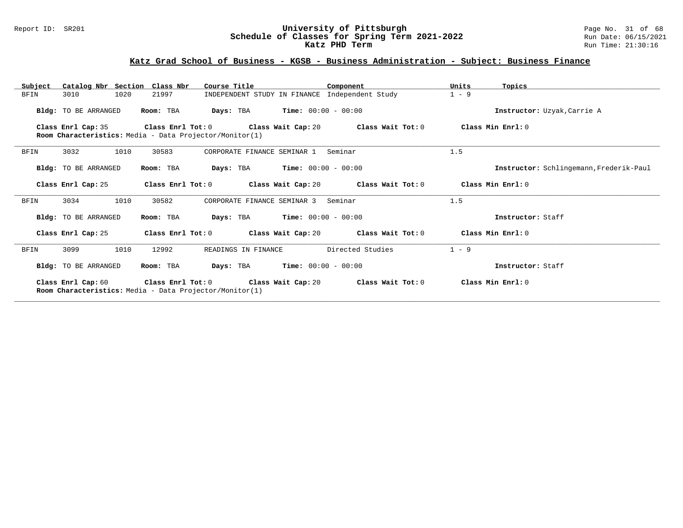### Report ID: SR201 **University of Pittsburgh** Page No. 31 of 68 **Schedule of Classes for Spring Term 2021-2022** Run Date: 06/15/2021 **Katz PHD Term Run Time: 21:30:16**

## **Katz Grad School of Business - KGSB - Business Administration - Subject: Business Finance**

| Subject     | Catalog Nbr Section Class Nbr                                  |                   | Course Title                                  |                       | Component                                                                 | Units             | Topics                                  |
|-------------|----------------------------------------------------------------|-------------------|-----------------------------------------------|-----------------------|---------------------------------------------------------------------------|-------------------|-----------------------------------------|
| <b>BFIN</b> | 3010<br>1020                                                   | 21997             |                                               |                       | INDEPENDENT STUDY IN FINANCE Independent Study                            | $1 - 9$           |                                         |
|             | Bldg: TO BE ARRANGED                                           | Room: TBA         | <b>Days:</b> TBA                              | $Time: 00:00 - 00:00$ |                                                                           |                   | Instructor: Uzyak, Carrie A             |
|             | Class Enrl Cap: 35                                             | Class Enrl Tot: 0 |                                               |                       | Class Wait Cap: $20$ Class Wait Tot: $0$                                  |                   | Class Min Enrl: 0                       |
|             | Room Characteristics: Media - Data Projector/Monitor(1)        |                   |                                               |                       |                                                                           |                   |                                         |
| BFIN        | 3032<br>1010                                                   | 30583             | CORPORATE FINANCE SEMINAR 1                   |                       | Seminar                                                                   | 1.5               |                                         |
|             | Bldg: TO BE ARRANGED                                           | Room: TBA         | <b>Days:</b> TBA <b>Time:</b> $00:00 - 00:00$ |                       |                                                                           |                   | Instructor: Schlingemann, Frederik-Paul |
|             | Class Enrl Cap: 25                                             | Class Enrl Tot: 0 |                                               |                       | Class Wait Cap: 20 Class Wait Tot: 0                                      | Class Min Enrl: 0 |                                         |
| BFIN        | 1010<br>3034                                                   | 30582             | CORPORATE FINANCE SEMINAR 3                   |                       | Seminar                                                                   | 1.5               |                                         |
|             | Bldg: TO BE ARRANGED                                           | Room: TBA         | <b>Days:</b> TBA <b>Time:</b> $00:00 - 00:00$ |                       |                                                                           |                   | Instructor: Staff                       |
|             | Class Enrl Cap: 25                                             | Class Enrl Tot: 0 |                                               |                       | Class Wait Cap: 20 Class Wait Tot: 0                                      |                   | Class Min Enrl: 0                       |
| BFIN        | 3099<br>1010                                                   | 12992             | READINGS IN FINANCE                           |                       | Directed Studies                                                          | $1 - 9$           |                                         |
|             | Bldg: TO BE ARRANGED                                           | Room: TBA         | Days: TBA                                     | $Time: 00:00 - 00:00$ |                                                                           |                   | Instructor: Staff                       |
|             | <b>Room Characteristics:</b> Media - Data Projector/Monitor(1) |                   |                                               |                       | Class Enrl Cap: 60 Class Enrl Tot: 0 Class Wait Cap: 20 Class Wait Tot: 0 |                   | Class Min Enrl: 0                       |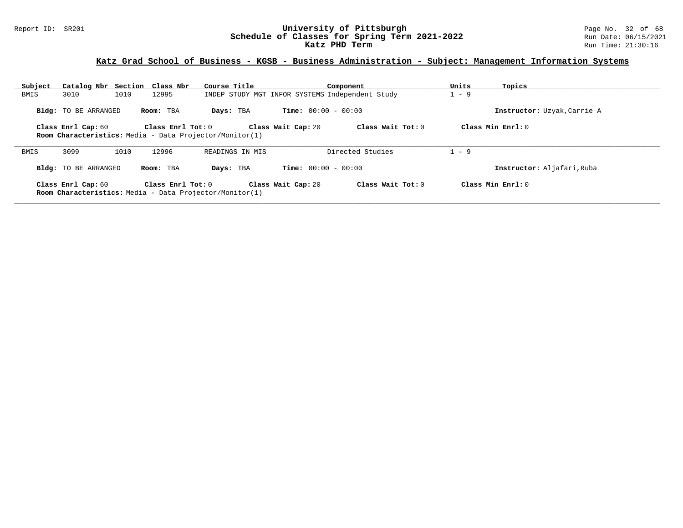### Report ID: SR201 **University of Pittsburgh** Page No. 32 of 68 **Schedule of Classes for Spring Term 2021-2022** Run Date: 06/15/2021 **Katz PHD Term Run Time: 21:30:16**

## **Katz Grad School of Business - KGSB - Business Administration - Subject: Management Information Systems**

| Subject | Catalog Nbr Section Class Nbr |      |                       | Course Title                                                   |                                                 | Component           | Units | Topics                      |
|---------|-------------------------------|------|-----------------------|----------------------------------------------------------------|-------------------------------------------------|---------------------|-------|-----------------------------|
| BMIS    | 3010                          | 1010 | 12995                 |                                                                | INDEP STUDY MGT INFOR SYSTEMS Independent Study |                     | $-9$  |                             |
|         | <b>Bldg:</b> TO BE ARRANGED   |      | Room: TBA             | Days: TBA                                                      | <b>Time:</b> $00:00 - 00:00$                    |                     |       | Instructor: Uzyak, Carrie A |
|         | Class Enrl Cap: 60            |      | Class $Enr1$ Tot: $0$ | <b>Room Characteristics:</b> Media - Data Projector/Monitor(1) | Class Wait Cap: 20                              | Class Wait Tot: $0$ |       | Class Min Enrl: 0           |
| BMIS    | 3099                          | 1010 | 12996                 | READINGS IN MIS                                                |                                                 | Directed Studies    | $-9$  |                             |
|         | Bldg: TO BE ARRANGED          |      | Room: TBA             | Days: TBA                                                      | <b>Time:</b> $00:00 - 00:00$                    |                     |       | Instructor: Aljafari, Ruba  |
|         | Class Enrl Cap: 60            |      | Class $Enr1$ Tot: $0$ | <b>Room Characteristics:</b> Media - Data Projector/Monitor(1) | Class Wait Cap: 20                              | Class Wait Tot: $0$ |       | Class Min Enrl: 0           |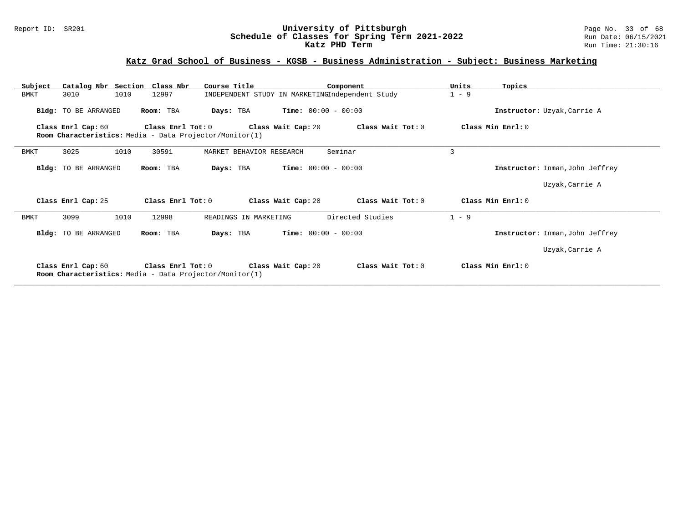### Report ID: SR201 **University of Pittsburgh** Page No. 33 of 68 **Schedule of Classes for Spring Term 2021-2022** Run Date: 06/15/2021 **Katz PHD Term Run Time: 21:30:16**

## **Katz Grad School of Business - KGSB - Business Administration - Subject: Business Marketing**

| Subject |                      | Catalog Nbr Section Class Nbr                                                  | Course Title                                    |                              | Component         | Units   | Topics                          |
|---------|----------------------|--------------------------------------------------------------------------------|-------------------------------------------------|------------------------------|-------------------|---------|---------------------------------|
| BMKT    | 3010                 | 1010<br>12997                                                                  | INDEPENDENT STUDY IN MARKETINGIndependent Study |                              |                   | $1 - 9$ |                                 |
|         | Bldg: TO BE ARRANGED | Room: TBA                                                                      | Days: TBA                                       | <b>Time:</b> $00:00 - 00:00$ |                   |         | Instructor: Uzyak, Carrie A     |
|         | Class Enrl Cap: 60   | Class Enrl Tot: $0$<br>Room Characteristics: Media - Data Projector/Monitor(1) |                                                 | Class Wait Cap: 20           | Class Wait Tot: 0 |         | Class Min Enrl: 0               |
| BMKT    | 3025                 | 1010<br>30591                                                                  | MARKET BEHAVIOR RESEARCH                        |                              | Seminar           | 3       |                                 |
|         | Bldg: TO BE ARRANGED | Room: TBA                                                                      | Days: TBA                                       | <b>Time:</b> $00:00 - 00:00$ |                   |         | Instructor: Inman, John Jeffrey |
|         |                      |                                                                                |                                                 |                              |                   |         | Uzyak, Carrie A                 |
|         | Class Enrl Cap: 25   | Class Enrl Tot: 0                                                              |                                                 | Class Wait Cap: 20           | Class Wait Tot: 0 |         | Class Min Enrl: 0               |
| BMKT    | 3099                 | 1010<br>12998                                                                  | READINGS IN MARKETING                           |                              | Directed Studies  | $1 - 9$ |                                 |
|         | Bldg: TO BE ARRANGED | Room: TBA                                                                      | Days: TBA                                       | <b>Time:</b> $00:00 - 00:00$ |                   |         | Instructor: Inman, John Jeffrey |
|         |                      |                                                                                |                                                 |                              |                   |         | Uzyak, Carrie A                 |
|         | Class Enrl Cap: 60   | Class Enrl Tot: 0<br>Room Characteristics: Media - Data Projector/Monitor(1)   |                                                 | Class Wait Cap: 20           | Class Wait Tot: 0 |         | Class Min Enrl: 0               |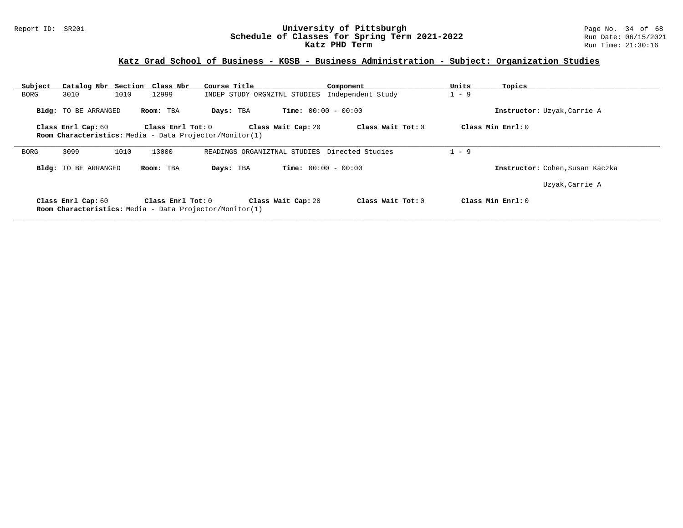### Report ID: SR201 **University of Pittsburgh** Page No. 34 of 68 **Schedule of Classes for Spring Term 2021-2022** Run Date: 06/15/2021 **Katz PHD Term Run Time: 21:30:16**

# **Katz Grad School of Business - KGSB - Business Administration - Subject: Organization Studies**

| Subject | Catalog Nbr Section Class Nbr |      |                   | Course Title                                                   |                                               | Component           | Units   | Topics                          |
|---------|-------------------------------|------|-------------------|----------------------------------------------------------------|-----------------------------------------------|---------------------|---------|---------------------------------|
| BORG    | 3010                          | 1010 | 12999             | INDEP STUDY ORGNZTNL STUDIES                                   |                                               | Independent Study   | $1 - 9$ |                                 |
|         | <b>Bldg:</b> TO BE ARRANGED   |      | Room: TBA         | Days: TBA                                                      | <b>Time:</b> $00:00 - 00:00$                  |                     |         | Instructor: Uzyak, Carrie A     |
|         | Class Enrl Cap: 60            |      | Class Enrl Tot: 0 |                                                                | Class Wait Cap: 20                            | Class Wait Tot: 0   |         | Class Min Enrl: 0               |
|         |                               |      |                   | Room Characteristics: Media - Data Projector/Monitor(1)        |                                               |                     |         |                                 |
| BORG    | 3099                          | 1010 | 13000             |                                                                | READINGS ORGANIZTNAL STUDIES Directed Studies |                     | $1 - 9$ |                                 |
|         | <b>Bldg:</b> TO BE ARRANGED   |      | Room: TBA         | Days: TBA                                                      | <b>Time:</b> $00:00 - 00:00$                  |                     |         | Instructor: Cohen, Susan Kaczka |
|         |                               |      |                   |                                                                |                                               |                     |         | Uzyak, Carrie A                 |
|         | Class Enrl Cap: 60            |      | Class Enrl Tot: 0 | <b>Room Characteristics:</b> Media - Data Projector/Monitor(1) | Class Wait Cap: 20                            | Class Wait Tot: $0$ |         | Class Min $Err1:0$              |
|         |                               |      |                   |                                                                |                                               |                     |         |                                 |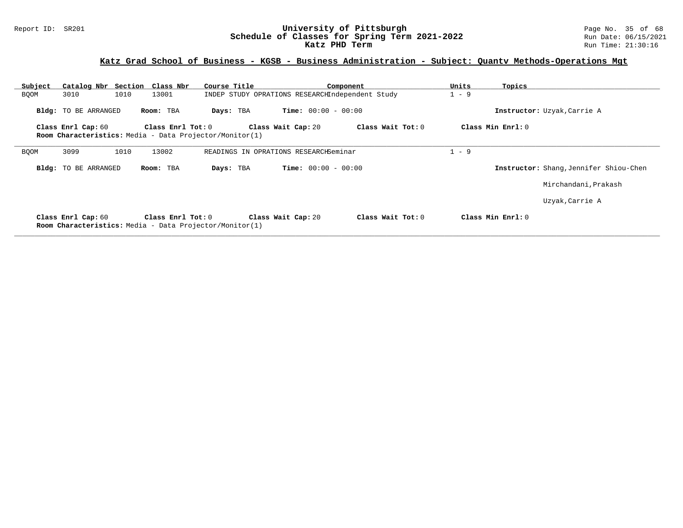### Report ID: SR201 **University of Pittsburgh** Page No. 35 of 68 **Schedule of Classes for Spring Term 2021-2022** Run Date: 06/15/2021 **Katz PHD Term Run Time: 21:30:16**

## **Katz Grad School of Business - KGSB - Business Administration - Subject: Quantv Methods-Operations Mgt**

| Subject     | Catalog Nbr Section Class Nbr                                                 |                   | Course Title |                                                 | Component         | Units   | Topics                                 |
|-------------|-------------------------------------------------------------------------------|-------------------|--------------|-------------------------------------------------|-------------------|---------|----------------------------------------|
| <b>BQOM</b> | 1010<br>3010                                                                  | 13001             |              | INDEP STUDY OPRATIONS RESEARCHIndependent Study |                   | $1 - 9$ |                                        |
|             | Bldg: TO BE ARRANGED                                                          | Room: TBA         | Days: TBA    | <b>Time:</b> $00:00 - 00:00$                    |                   |         | Instructor: Uzyak, Carrie A            |
|             | Class Enrl Cap: 60                                                            | Class Enrl Tot: 0 |              | Class Wait Cap: 20                              | Class Wait Tot: 0 |         | Class Min Enrl: 0                      |
|             | Room Characteristics: Media - Data Projector/Monitor(1)                       |                   |              |                                                 |                   |         |                                        |
| <b>BQOM</b> | 3099<br>1010                                                                  | 13002             |              | READINGS IN OPRATIONS RESEARCHSeminar           |                   | $-9$    |                                        |
|             | <b>Bldg:</b> TO BE ARRANGED                                                   | Room: TBA         | Days: TBA    | <b>Time:</b> $00:00 - 00:00$                    |                   |         | Instructor: Shang, Jennifer Shiou-Chen |
|             |                                                                               |                   |              |                                                 |                   |         | Mirchandani, Prakash                   |
|             |                                                                               |                   |              |                                                 |                   |         | Uzyak, Carrie A                        |
|             | Class Enrl Cap: 60<br>Room Characteristics: Media - Data Projector/Monitor(1) | Class Enrl Tot: 0 |              | Class Wait Cap: 20                              | Class Wait Tot: 0 |         | Class Min Enrl: 0                      |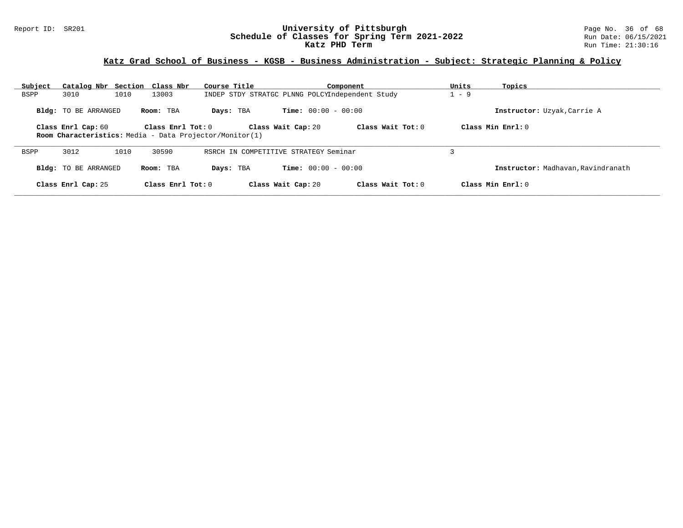### Report ID: SR201 **University of Pittsburgh** Page No. 36 of 68 **Schedule of Classes for Spring Term 2021-2022** Run Date: 06/15/2021 **Katz PHD Term Run Time: 21:30:16**

## **Katz Grad School of Business - KGSB - Business Administration - Subject: Strategic Planning & Policy**

| Subject | Catalog Nbr Section Class Nbr |      |                     | Course Title                                                   |                                                 | Component         | Units   | Topics                             |
|---------|-------------------------------|------|---------------------|----------------------------------------------------------------|-------------------------------------------------|-------------------|---------|------------------------------------|
| BSPP    | 3010                          | 1010 | 13003               |                                                                | INDEP STDY STRATGC PLNNG POLCYIndependent Study |                   | $1 - 9$ |                                    |
|         | Bldg: TO BE ARRANGED          |      | Room: TBA           | Days: TBA                                                      | <b>Time:</b> $00:00 - 00:00$                    |                   |         | Instructor: Uzyak, Carrie A        |
|         | Class Enrl Cap: 60            |      | Class Enrl Tot: $0$ | <b>Room Characteristics:</b> Media - Data Projector/Monitor(1) | Class Wait Cap: 20                              | Class Wait Tot: 0 |         | Class Min Enrl: $0$                |
| BSPP    | 3012                          | 1010 | 30590               |                                                                | RSRCH IN COMPETITIVE STRATEGY Seminar           |                   |         |                                    |
|         | <b>Bldg:</b> TO BE ARRANGED   |      | Room: TBA           | Days: TBA                                                      | <b>Time:</b> $00:00 - 00:00$                    |                   |         | Instructor: Madhavan, Ravindranath |
|         | Class Enrl Cap: 25            |      | Class Enrl Tot: $0$ |                                                                | Class Wait Cap: 20                              | Class Wait Tot: 0 |         | Class Min Enrl: $0$                |
|         |                               |      |                     |                                                                |                                                 |                   |         |                                    |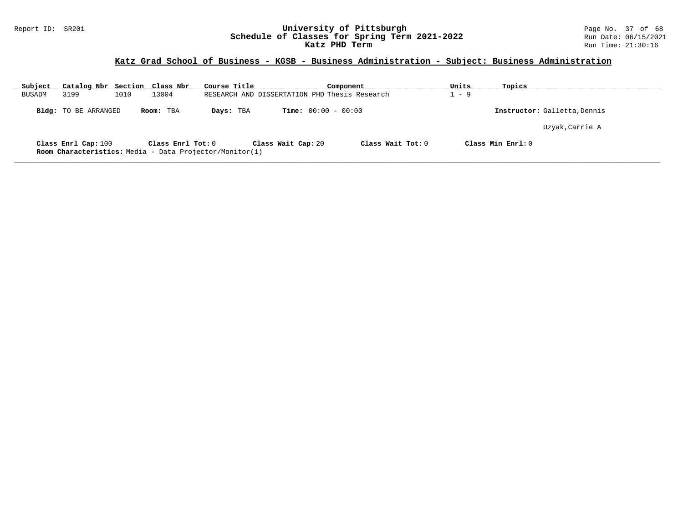### Report ID: SR201 **University of Pittsburgh** Page No. 37 of 68 **Schedule of Classes for Spring Term 2021-2022** Run Date: 06/15/2021 **Katz PHD Term Run Time: 21:30:16**

## **Katz Grad School of Business - KGSB - Business Administration - Subject: Business Administration**

| Subject       | Catalog Nbr Section Class Nbr |      |                   | Course Title                                            |                                               | Component           | Units | Topics                       |  |
|---------------|-------------------------------|------|-------------------|---------------------------------------------------------|-----------------------------------------------|---------------------|-------|------------------------------|--|
| <b>BUSADM</b> | 3199                          | 1010 | 13004             |                                                         | RESEARCH AND DISSERTATION PHD Thesis Research |                     | - 9   |                              |  |
|               | Bldg: TO BE ARRANGED          |      | Room: TBA         | Days: TBA                                               | <b>Time:</b> $00:00 - 00:00$                  |                     |       | Instructor: Galletta, Dennis |  |
|               |                               |      |                   |                                                         |                                               |                     |       | Uzyak, Carrie A              |  |
|               | Class Enrl Cap: 100           |      | Class Enrl Tot: 0 | Room Characteristics: Media - Data Projector/Monitor(1) | Class Wait Cap: 20                            | Class Wait Tot: $0$ |       | Class Min Enrl: 0            |  |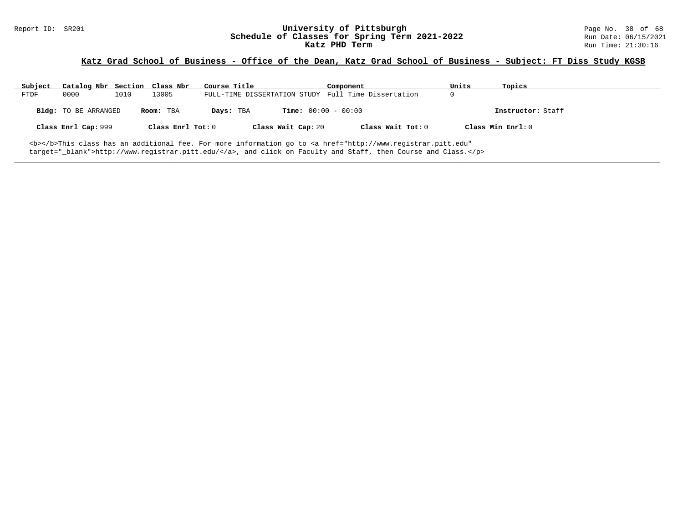# Report ID: SR201 **1988 Mage 10: SR201 University of Pittsburgh University of Pittsburgh** Page No. 38 of 68<br>**Schedule of Classes for Spring Term 2021-2022** 2014 Run Date: 06/15/2021 Schedule of Classes for Spring Term 2021-2022<br>Katz PHD Term

## **Katz Grad School of Business - Office of the Dean, Katz Grad School of Business - Subject: FT Diss Study KGSB**

| Subject | Catalog Nbr Section Class Nbr |      |                   | Course Title |                              | Component                                                                                                                                      | Units | Topics            |
|---------|-------------------------------|------|-------------------|--------------|------------------------------|------------------------------------------------------------------------------------------------------------------------------------------------|-------|-------------------|
| FTDF    | 0000                          | 1010 | 13005             |              |                              | FULL-TIME DISSERTATION STUDY Full Time Dissertation                                                                                            |       |                   |
|         | Bldg: TO BE ARRANGED          |      | Room: TBA         | Days: TBA    | <b>Time:</b> $00:00 - 00:00$ |                                                                                                                                                |       | Instructor: Staff |
|         | Class Enrl Cap: 999           |      | Class Enrl Tot: 0 |              | Class Wait Cap: 20           | Class Wait Tot: 0                                                                                                                              |       | Class Min Enrl: 0 |
|         |                               |      |                   |              |                              | <b></b> This class has an additional fee. For more information go to <a <="" href="http://www.registrar.pitt.edu" td=""><td></td><td></td></a> |       |                   |

**\_\_\_\_\_\_\_\_\_\_\_\_\_\_\_\_\_\_\_\_\_\_\_\_\_\_\_\_\_\_\_\_\_\_\_\_\_\_\_\_\_\_\_\_\_\_\_\_\_\_\_\_\_\_\_\_\_\_\_\_\_\_\_\_\_\_\_\_\_\_\_\_\_\_\_\_\_\_\_\_\_\_\_\_\_\_\_\_\_\_\_\_\_\_\_\_\_\_\_\_\_\_\_\_\_\_\_\_\_\_\_\_\_\_\_\_\_\_\_\_\_\_\_\_\_\_\_\_\_\_\_\_\_\_\_\_\_\_\_\_\_\_\_\_\_\_\_\_\_\_\_\_\_\_\_\_**

target="\_blank">http://www.registrar.pitt.edu/</a>, and click on Faculty and Staff, then Course and Class.</p>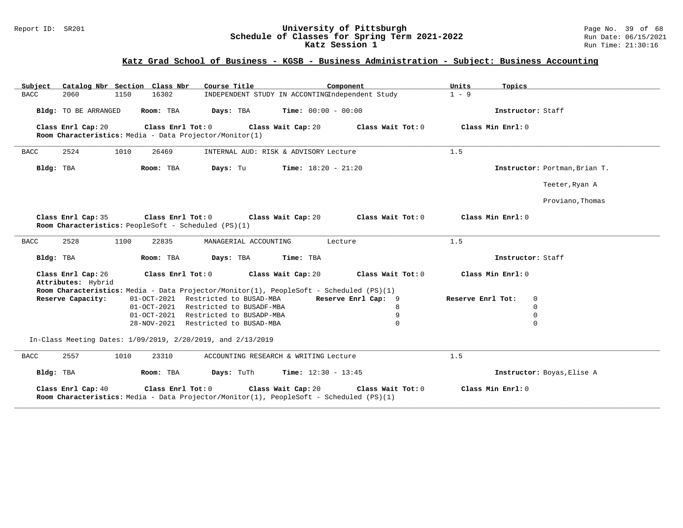### Report ID: SR201 **University of Pittsburgh** Page No. 39 of 68 **Schedule of Classes for Spring Term 2021-2022** Run Date: 06/15/2021 **Katz Session 1 Run Time: 21:30:16 Run Time: 21:30:16**

## **Katz Grad School of Business - KGSB - Business Administration - Subject: Business Accounting**

| Catalog Nbr Section Class Nbr<br>Subject                                                                                           | Course Title                                    | Component           | Units<br>Topics   |                               |
|------------------------------------------------------------------------------------------------------------------------------------|-------------------------------------------------|---------------------|-------------------|-------------------------------|
| <b>BACC</b><br>2060<br>1150<br>16302                                                                                               | INDEPENDENT STUDY IN ACCONTINGIndependent Study |                     | $1 - 9$           |                               |
| Bldg: TO BE ARRANGED<br>Room: TBA                                                                                                  | Days: TBA<br><b>Time:</b> $00:00 - 00:00$       |                     | Instructor: Staff |                               |
| Class Enrl Cap: 20<br>Class Enrl Tot: 0<br>Room Characteristics: Media - Data Projector/Monitor(1)                                 | Class Wait Cap: 20                              | Class Wait Tot: 0   | Class Min Enrl: 0 |                               |
| 2524<br>1010<br>26469<br><b>BACC</b>                                                                                               | INTERNAL AUD: RISK & ADVISORY Lecture           |                     | 1.5               |                               |
| Room: TBA<br>Bldg: TBA                                                                                                             | Days: Tu<br><b>Time:</b> $18:20 - 21:20$        |                     |                   | Instructor: Portman, Brian T. |
|                                                                                                                                    |                                                 |                     |                   | Teeter, Ryan A                |
|                                                                                                                                    |                                                 |                     |                   | Proviano, Thomas              |
| Class Enrl Cap: 35<br>Class Enrl Tot: 0<br>Room Characteristics: PeopleSoft - Scheduled (PS)(1)                                    | Class Wait Cap: 20                              | Class Wait Tot: 0   | Class Min Enrl: 0 |                               |
| 2528<br>1100<br><b>BACC</b><br>22835                                                                                               | MANAGERIAL ACCOUNTING                           | Lecture             | 1.5               |                               |
| Bldg: TBA<br>Room: TBA                                                                                                             | Days: TBA<br>Time: TBA                          |                     | Instructor: Staff |                               |
| Class Enrl Cap: 26<br>Class Enrl Tot: 0<br>Attributes: Hybrid                                                                      | Class Wait Cap: 20                              | Class Wait Tot: 0   | Class Min Enrl: 0 |                               |
| Room Characteristics: Media - Data Projector/Monitor(1), PeopleSoft - Scheduled (PS)(1)                                            |                                                 |                     |                   |                               |
| Reserve Capacity:                                                                                                                  | 01-OCT-2021 Restricted to BUSAD-MBA             | Reserve Enrl Cap: 9 | Reserve Enrl Tot: | $\Omega$                      |
|                                                                                                                                    | 01-OCT-2021 Restricted to BUSADF-MBA            | 8                   |                   | $\Omega$                      |
|                                                                                                                                    | 01-OCT-2021 Restricted to BUSADP-MBA            | 9                   |                   | $\Omega$                      |
|                                                                                                                                    | 28-NOV-2021 Restricted to BUSAD-MBA             | $\Omega$            |                   | $\Omega$                      |
| In-Class Meeting Dates: 1/09/2019, 2/20/2019, and 2/13/2019                                                                        |                                                 |                     |                   |                               |
| 2557<br>1010<br>23310<br><b>BACC</b>                                                                                               | ACCOUNTING RESEARCH & WRITING Lecture           |                     | 1.5               |                               |
| Room: TBA<br>Bldg: TBA                                                                                                             | Days: TuTh<br>Time: $12:30 - 13:45$             |                     |                   | Instructor: Boyas, Elise A    |
| Class Enrl Cap: 40<br>Class Enrl Tot: 0<br>Room Characteristics: Media - Data Projector/Monitor(1), PeopleSoft - Scheduled (PS)(1) | Class Wait Cap: 20                              | Class Wait Tot: 0   | Class Min Enrl: 0 |                               |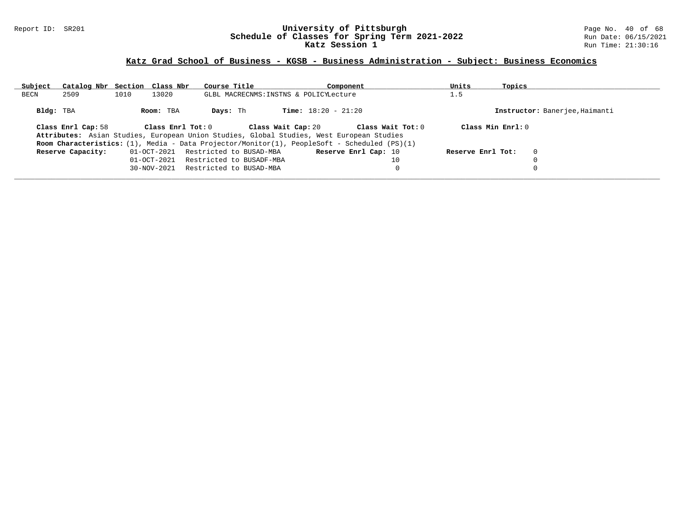### Report ID: SR201 **University of Pittsburgh** Page No. 40 of 68 **Schedule of Classes for Spring Term 2021-2022** Run Date: 06/15/2021 **Katz Session 1 Run Time: 21:30:16 Run Time: 21:30:16**

## **Katz Grad School of Business - KGSB - Business Administration - Subject: Business Economics**

| Subject   | Catalog Nbr Section Class Nbr |      |                   | Course Title             | Component                                                                                    | Units             | Topics                         |  |
|-----------|-------------------------------|------|-------------------|--------------------------|----------------------------------------------------------------------------------------------|-------------------|--------------------------------|--|
| BECN      | 2509                          | 1010 | 13020             |                          | GLBL MACRECNMS: INSTNS & POLICYLecture                                                       | 1.5               |                                |  |
| Bldg: TBA |                               |      | Room: TBA         | Davs: Th                 | <b>Time:</b> $18:20 - 21:20$                                                                 |                   | Instructor: Banerjee, Haimanti |  |
|           | Class Enrl Cap: 58            |      | Class Enrl Tot: 0 |                          | Class Wait Cap: 20<br>Class Wait Tot: 0                                                      |                   | Class Min Enrl: 0              |  |
|           |                               |      |                   |                          | Attributes: Asian Studies, European Union Studies, Global Studies, West European Studies     |                   |                                |  |
|           |                               |      |                   |                          | Room Characteristics: (1), Media - Data Projector/Monitor(1), PeopleSoft - Scheduled (PS)(1) |                   |                                |  |
|           | Reserve Capacity:             |      | 01-OCT-2021       | Restricted to BUSAD-MBA  | Reserve Enrl Cap: 10                                                                         | Reserve Enrl Tot: | $\mathbf 0$                    |  |
|           |                               |      | 01-OCT-2021       | Restricted to BUSADF-MBA | 10                                                                                           |                   |                                |  |
|           |                               |      | 30-NOV-2021       | Restricted to BUSAD-MBA  | 0                                                                                            |                   |                                |  |
|           |                               |      |                   |                          |                                                                                              |                   |                                |  |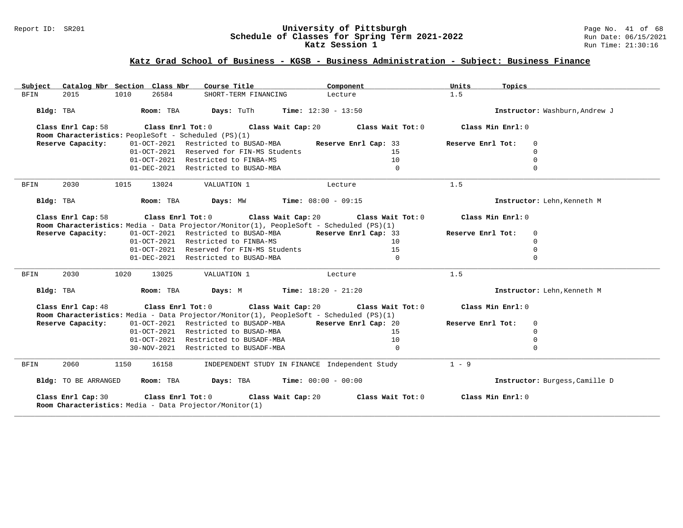### Report ID: SR201 **University of Pittsburgh** Page No. 41 of 68 **Schedule of Classes for Spring Term 2021-2022** Run Date: 06/15/2021 **Katz Session 1 Run Time: 21:30:16 Run Time: 21:30:16**

## **Katz Grad School of Business - KGSB - Business Administration - Subject: Business Finance**

| Catalog Nbr Section Class Nbr<br>Subject                                      | Course Title                                                                                                                                            | Component            | Units<br>Topics                  |                                |
|-------------------------------------------------------------------------------|---------------------------------------------------------------------------------------------------------------------------------------------------------|----------------------|----------------------------------|--------------------------------|
| 26584<br><b>BFIN</b><br>2015<br>1010                                          | SHORT-TERM FINANCING                                                                                                                                    | Lecture              | 1.5                              |                                |
| Bldg: TBA<br>Room: TBA                                                        | <b>Days:</b> TuTh <b>Time:</b> $12:30 - 13:50$                                                                                                          |                      |                                  | Instructor: Washburn, Andrew J |
| Class Enrl Cap: 58<br>Room Characteristics: PeopleSoft - Scheduled (PS)(1)    | Class Enrl Tot: $0$ Class Wait Cap: $20$ Class Wait Tot: $0$                                                                                            |                      | Class Min Enrl: 0                |                                |
| Reserve Capacity:                                                             | 01-OCT-2021 Restricted to BUSAD-MBA                                                                                                                     | Reserve Enrl Cap: 33 | Reserve Enrl Tot:<br>$\mathbf 0$ |                                |
|                                                                               | 01-OCT-2021 Reserved for FIN-MS Students                                                                                                                | 15                   | $\mathbf 0$                      |                                |
|                                                                               | 01-OCT-2021 Restricted to FINBA-MS                                                                                                                      | 10                   | $\Omega$                         |                                |
|                                                                               | 01-DEC-2021 Restricted to BUSAD-MBA                                                                                                                     | $\Omega$             | $\Omega$                         |                                |
| 2030<br><b>BFIN</b><br>1015<br>13024                                          | VALUATION 1                                                                                                                                             | Lecture              | 1.5                              |                                |
| Bldg: TBA<br>Room: TBA                                                        | <b>Days:</b> MW <b>Time:</b> $08:00 - 09:15$                                                                                                            |                      |                                  | Instructor: Lehn, Kenneth M    |
| Class Enrl Cap: 58                                                            | Class Enrl Tot: $0$ Class Wait Cap: $20$ Class Wait Tot: $0$<br>Room Characteristics: Media - Data Projector/Monitor(1), PeopleSoft - Scheduled (PS)(1) |                      | Class Min Enrl: 0                |                                |
| Reserve Capacity:                                                             | 01-OCT-2021 Restricted to BUSAD-MBA Reserve Enrl Cap: 33                                                                                                |                      | Reserve Enrl Tot:<br>$\mathbf 0$ |                                |
|                                                                               | 01-OCT-2021 Restricted to FINBA-MS                                                                                                                      | 10                   | $\mathbf 0$                      |                                |
|                                                                               | 01-OCT-2021 Reserved for FIN-MS Students                                                                                                                | 15                   | $\Omega$                         |                                |
|                                                                               | 01-DEC-2021 Restricted to BUSAD-MBA                                                                                                                     | $\Omega$             | $\Omega$                         |                                |
| 2030<br>1020<br>13025<br>BFIN                                                 | VALUATION 1                                                                                                                                             | Lecture              | 1.5                              |                                |
| Bldg: TBA<br>Room: TBA                                                        | <b>Days:</b> M <b>Time:</b> $18:20 - 21:20$                                                                                                             |                      |                                  | Instructor: Lehn, Kenneth M    |
| Class Enrl Cap: 48                                                            | Class Enrl Tot: $0$ Class Wait Cap: $20$ Class Wait Tot: $0$<br>Room Characteristics: Media - Data Projector/Monitor(1), PeopleSoft - Scheduled (PS)(1) |                      | Class Min Enrl: 0                |                                |
| Reserve Capacity:                                                             | 01-OCT-2021 Restricted to BUSADP-MBA Reserve Enrl Cap: 20                                                                                               |                      | Reserve Enrl Tot:<br>$\Omega$    |                                |
|                                                                               | 01-OCT-2021 Restricted to BUSAD-MBA                                                                                                                     | 15                   | $\Omega$                         |                                |
|                                                                               | 01-OCT-2021 Restricted to BUSADF-MBA                                                                                                                    | 10                   | $\Omega$                         |                                |
|                                                                               | 30-NOV-2021 Restricted to BUSADF-MBA                                                                                                                    | $\Omega$             | $\Omega$                         |                                |
| 2060<br><b>BFIN</b><br>1150<br>16158                                          | INDEPENDENT STUDY IN FINANCE Independent Study                                                                                                          |                      | $1 - 9$                          |                                |
| Bldg: TO BE ARRANGED<br>Room: TBA                                             | <b>Time:</b> $00:00 - 00:00$<br>Days: TBA                                                                                                               |                      |                                  | Instructor: Burgess, Camille D |
| Class Enrl Cap: 30<br>Room Characteristics: Media - Data Projector/Monitor(1) | Class Enrl Tot: 0 Class Wait Cap: 20                                                                                                                    | Class Wait Tot: 0    | Class Min Enrl: 0                |                                |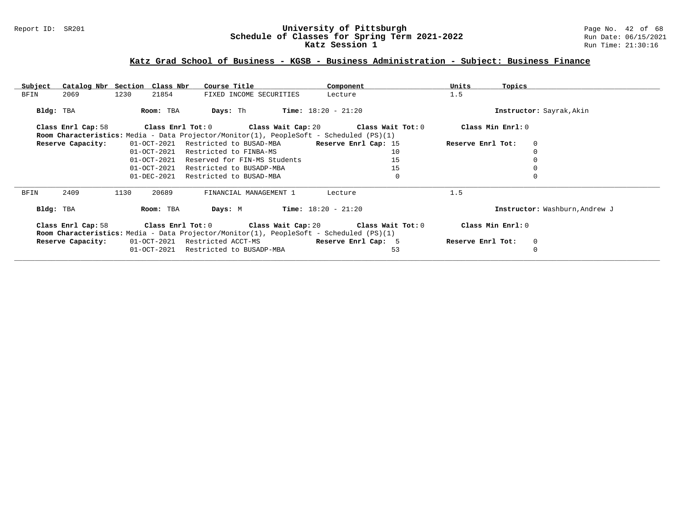### Report ID: SR201 **University of Pittsburgh** Page No. 42 of 68 **Schedule of Classes for Spring Term 2021-2022** Run Date: 06/15/2021 **Katz Session 1 Run Time: 21:30:16 Run Time: 21:30:16**

## **Katz Grad School of Business - KGSB - Business Administration - Subject: Business Finance**

| Subject   | Catalog Nbr Section Class Nbr |      |                   | Course Title                   |                                                                                                                                                         | Component             |             | Units             | Topics                         |
|-----------|-------------------------------|------|-------------------|--------------------------------|---------------------------------------------------------------------------------------------------------------------------------------------------------|-----------------------|-------------|-------------------|--------------------------------|
| BFIN      | 2069                          | 1230 | 21854             |                                | FIXED INCOME SECURITIES                                                                                                                                 | Lecture               |             | 1.5               |                                |
| Bldg: TBA |                               |      | Room: TBA         | Days: Th                       |                                                                                                                                                         | $Time: 18:20 - 21:20$ |             |                   | Instructor: Sayrak, Akin       |
|           | Class Enrl Cap: 58            |      | Class Enrl Tot: 0 |                                | Class Wait Cap: 20 $\hspace{1.6cm}$ Class Wait Tot: 0                                                                                                   |                       |             | Class Min Enrl: 0 |                                |
|           |                               |      |                   |                                | <b>Room Characteristics:</b> Media - Data Projector/Monitor(1), PeopleSoft - Scheduled (PS)(1)                                                          |                       |             |                   |                                |
|           | Reserve Capacity:             |      | 01-OCT-2021       | Restricted to BUSAD-MBA        |                                                                                                                                                         | Reserve Enrl Cap: 15  |             | Reserve Enrl Tot: | $\mathbf 0$                    |
|           |                               |      | 01-OCT-2021       | Restricted to FINBA-MS         |                                                                                                                                                         |                       | 10          |                   | $\Omega$                       |
|           |                               |      | 01-OCT-2021       | Reserved for FIN-MS Students   |                                                                                                                                                         |                       | 15          |                   |                                |
|           |                               |      | $01 - OCT - 2021$ | Restricted to BUSADP-MBA       |                                                                                                                                                         |                       | 15          |                   |                                |
|           |                               |      | 01-DEC-2021       | Restricted to BUSAD-MBA        |                                                                                                                                                         |                       | $\mathbf 0$ |                   | $\Omega$                       |
| BFIN      | 2409                          | 1130 | 20689             |                                | FINANCIAL MANAGEMENT 1                                                                                                                                  | Lecture               |             | 1.5               |                                |
| Bldg: TBA |                               |      | Room: TBA         | Days: M                        |                                                                                                                                                         | $Time: 18:20 - 21:20$ |             |                   | Instructor: Washburn, Andrew J |
|           | Class Enrl Cap: 58            |      |                   |                                | Class Enrl Tot: $0$ Class Wait Cap: $20$ Class Wait Tot: $0$<br>Room Characteristics: Media - Data Projector/Monitor(1), PeopleSoft - Scheduled (PS)(1) |                       |             | Class Min Enrl: 0 |                                |
|           | Reserve Capacity:             |      |                   | 01-OCT-2021 Restricted ACCT-MS |                                                                                                                                                         | Reserve Enrl Cap: 5   |             | Reserve Enrl Tot: | 0                              |
|           |                               |      | 01-OCT-2021       | Restricted to BUSADP-MBA       |                                                                                                                                                         |                       | 53          |                   | 0                              |
|           |                               |      |                   |                                |                                                                                                                                                         |                       |             |                   |                                |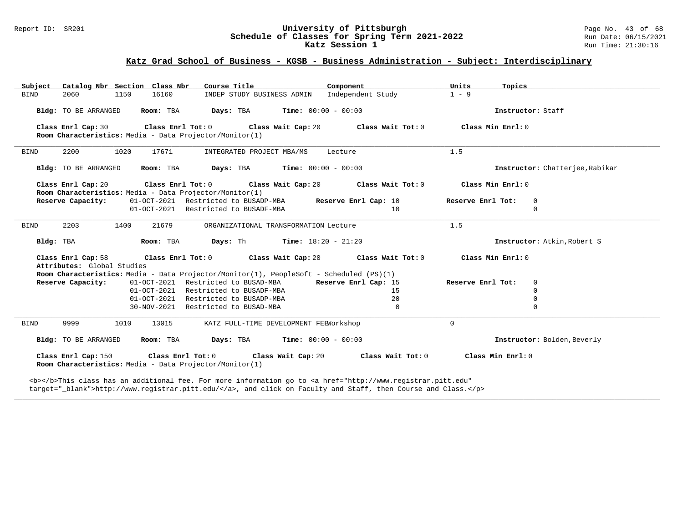### Report ID: SR201 **University of Pittsburgh University of Pittsburgh** Page No. 43 of 68<br>**Schedule of Classes for Spring Term 2021-2022** Run Date: 06/15/2021 **Schedule of Classes for Spring Term 2021-2022** Run Date: 06/15/2021 **Katz Session 1 Run Time: 21:30:16 Run Time: 21:30:16**

## **Katz Grad School of Business - KGSB - Business Administration - Subject: Interdisciplinary**

| Catalog Nbr Section Class Nbr<br>Subject                                                                            | Course Title                                                 | Component         | Units<br>Topics   |                                 |
|---------------------------------------------------------------------------------------------------------------------|--------------------------------------------------------------|-------------------|-------------------|---------------------------------|
| 2060<br>1150<br>16160<br><b>BIND</b>                                                                                | INDEP STUDY BUSINESS ADMIN Independent Study                 |                   | $1 - 9$           |                                 |
| Bldg: TO BE ARRANGED<br>Room: TBA                                                                                   | <b>Days:</b> TBA <b>Time:</b> $00:00 - 00:00$                |                   | Instructor: Staff |                                 |
| Class Enrl Cap: 30 Class Enrl Tot: 0 Class Wait Cap: 20<br>Room Characteristics: Media - Data Projector/Monitor(1)  |                                                              | Class Wait Tot: 0 | Class Min Enrl: 0 |                                 |
| 2200<br>1020<br>17671<br><b>BIND</b>                                                                                | INTEGRATED PROJECT MBA/MS                                    | Lecture           | 1.5               |                                 |
| Room: TBA<br>Bldg: TO BE ARRANGED                                                                                   | <b>Days:</b> TBA <b>Time:</b> $00:00 - 00:00$                |                   |                   | Instructor: Chatterjee, Rabikar |
| Class Enrl Cap: 20<br>Room Characteristics: Media - Data Projector/Monitor(1)                                       | Class Enrl Tot: $0$ Class Wait Cap: $20$ Class Wait Tot: $0$ |                   | Class Min Enrl: 0 |                                 |
| Reserve Capacity:                                                                                                   | 01-OCT-2021 Restricted to BUSADP-MBA Reserve Enrl Cap: 10    |                   | Reserve Enrl Tot: | $\mathbf 0$                     |
|                                                                                                                     | 01-OCT-2021 Restricted to BUSADF-MBA                         | 10                |                   | $\Omega$                        |
| 2203<br>21679<br><b>BIND</b><br>1400                                                                                | ORGANIZATIONAL TRANSFORMATION Lecture                        |                   | 1.5               |                                 |
| Bldg: TBA<br>Room: TBA                                                                                              | <b>Days:</b> Th <b>Time:</b> $18:20 - 21:20$                 |                   |                   | Instructor: Atkin, Robert S     |
| Class Enrl Cap: 58 Class Enrl Tot: 0 Class Wait Cap: 20 Class Wait Tot: 0                                           |                                                              |                   | Class Min Enrl: 0 |                                 |
| Attributes: Global Studies                                                                                          |                                                              |                   |                   |                                 |
| Room Characteristics: Media - Data Projector/Monitor(1), PeopleSoft - Scheduled (PS)(1)                             |                                                              |                   |                   |                                 |
| Reserve Capacity:                                                                                                   | 01-OCT-2021 Restricted to BUSAD-MBA Reserve Enrl Cap: 15     |                   | Reserve Enrl Tot: | 0                               |
|                                                                                                                     | 01-OCT-2021 Restricted to BUSADF-MBA                         | 15                |                   | $\mathbf 0$                     |
|                                                                                                                     | 01-OCT-2021 Restricted to BUSADP-MBA                         | 20                |                   | $\Omega$                        |
|                                                                                                                     | 30-NOV-2021 Restricted to BUSAD-MBA                          | $\Omega$          |                   | $\Omega$                        |
| 9999<br>1010<br>13015<br><b>BIND</b>                                                                                | KATZ FULL-TIME DEVELOPMENT FEEWorkshop                       |                   | $\Omega$          |                                 |
| Room: TBA<br>Bldg: TO BE ARRANGED                                                                                   | <b>Days:</b> TBA <b>Time:</b> $00:00 - 00:00$                |                   |                   | Instructor: Bolden, Beverly     |
| Class Enrl Cap: 150 Class Enrl Tot: 0 Class Wait Cap: 20<br>Room Characteristics: Media - Data Projector/Monitor(1) |                                                              | Class Wait Tot: 0 | Class Min Enrl: 0 |                                 |

**\_\_\_\_\_\_\_\_\_\_\_\_\_\_\_\_\_\_\_\_\_\_\_\_\_\_\_\_\_\_\_\_\_\_\_\_\_\_\_\_\_\_\_\_\_\_\_\_\_\_\_\_\_\_\_\_\_\_\_\_\_\_\_\_\_\_\_\_\_\_\_\_\_\_\_\_\_\_\_\_\_\_\_\_\_\_\_\_\_\_\_\_\_\_\_\_\_\_\_\_\_\_\_\_\_\_\_\_\_\_\_\_\_\_\_\_\_\_\_\_\_\_\_\_\_\_\_\_\_\_\_\_\_\_\_\_\_\_\_\_\_\_\_\_\_\_\_\_\_\_\_\_\_\_\_\_**

<b></b>This class has an additional fee. For more information go to <a href="http://www.registrar.pitt.edu" target="\_blank">http://www.registrar.pitt.edu/</a>, and click on Faculty and Staff, then Course and Class.</p>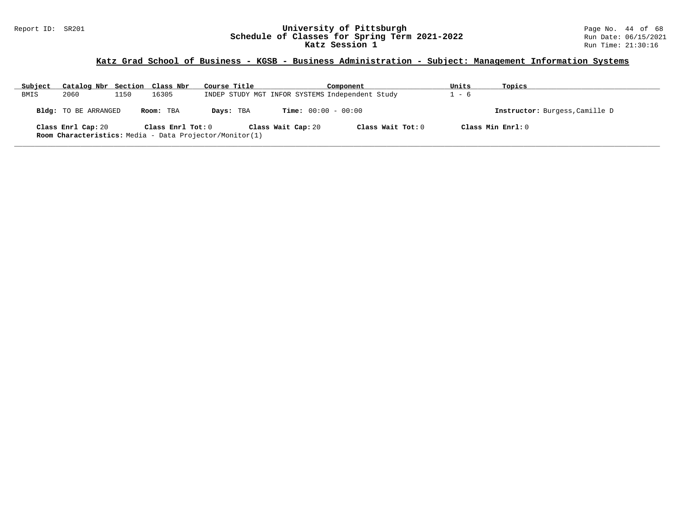### Report ID: SR201 **University of Pittsburgh** Page No. 44 of 68 **Schedule of Classes for Spring Term 2021-2022** Run Date: 06/15/2021 **Katz Session 1 Run Time: 21:30:16 Run Time: 21:30:16**

## **Katz Grad School of Business - KGSB - Business Administration - Subject: Management Information Systems**

| Subject | Catalog Nbr Section Class Nbr |      |                   | Course Title                                            |                              | Component                                       | Units | Topics                         |
|---------|-------------------------------|------|-------------------|---------------------------------------------------------|------------------------------|-------------------------------------------------|-------|--------------------------------|
| BMIS    | 2060                          | 1150 | 16305             |                                                         |                              | INDEP STUDY MGT INFOR SYSTEMS Independent Study | - 6   |                                |
|         | Bldg: TO BE ARRANGED          |      | Room: TBA         | Days: TBA                                               | <b>Time:</b> $00:00 - 00:00$ |                                                 |       | Instructor: Burgess, Camille D |
|         | Class Enrl Cap: 20            |      | Class Enrl Tot: 0 | Room Characteristics: Media - Data Projector/Monitor(1) | Class Wait Cap: 20           | Class Wait Tot: $0$                             |       | Class Min $Enr1:0$             |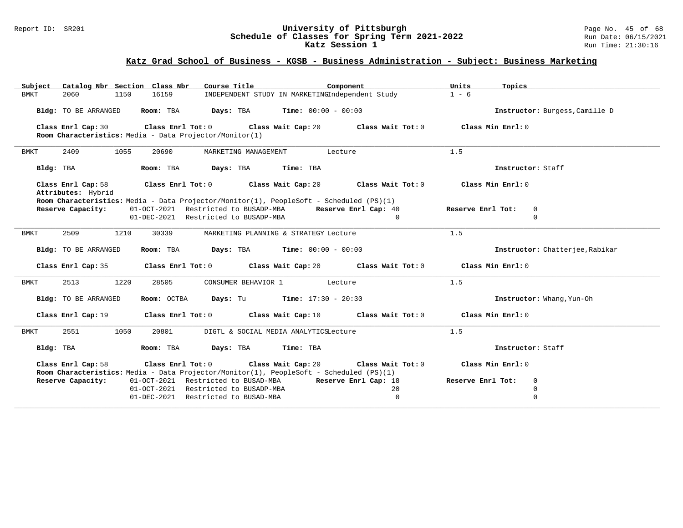### Report ID: SR201 **University of Pittsburgh** Page No. 45 of 68 **Schedule of Classes for Spring Term 2021-2022** Run Date: 06/15/2021 **Katz Session 1 Run Time: 21:30:16 Run Time: 21:30:16**

## **Katz Grad School of Business - KGSB - Business Administration - Subject: Business Marketing**

| Catalog Nbr Section Class Nbr<br>Subject                | Course Title                                                                                                                                        | Component            | Units<br>Topics                  |  |
|---------------------------------------------------------|-----------------------------------------------------------------------------------------------------------------------------------------------------|----------------------|----------------------------------|--|
| <b>BMKT</b><br>2060<br>16159<br>1150                    | INDEPENDENT STUDY IN MARKETINGIndependent Study                                                                                                     |                      | $1 - 6$                          |  |
| Room: TBA<br>Bldg: TO BE ARRANGED                       | $\texttt{Davis:}$ TBA $\texttt{Time:}$ 00:00 - 00:00                                                                                                |                      | Instructor: Burgess, Camille D   |  |
| Class Enrl Cap: 30                                      | Class Enrl Tot: 0 Class Wait Cap: 20 Class Wait Tot: 0                                                                                              |                      | Class Min Enrl: 0                |  |
| Room Characteristics: Media - Data Projector/Monitor(1) |                                                                                                                                                     |                      |                                  |  |
| 2409<br>1055<br>20690<br>BMKT                           | MARKETING MANAGEMENT                                                                                                                                | Lecture              | 1.5                              |  |
| Bldg: TBA<br>Room: TBA                                  | Days: TBA<br>Time: TBA                                                                                                                              |                      | Instructor: Staff                |  |
| Class Enrl Cap: 58<br>Attributes: Hybrid                | Class Enrl Tot: 0 Class Wait Cap: 20                                                                                                                | Class Wait Tot: 0    | Class Min Enrl: 0                |  |
| Reserve Capacity:                                       | Room Characteristics: Media - Data Projector/Monitor(1), PeopleSoft - Scheduled (PS)(1)<br>01-OCT-2021 Restricted to BUSADP-MBA                     | Reserve Enrl Cap: 40 | Reserve Enrl Tot:<br>$\mathbf 0$ |  |
|                                                         | 01-DEC-2021 Restricted to BUSADP-MBA                                                                                                                | $\Omega$             | $\mathbf 0$                      |  |
| <b>BMKT</b><br>2509<br>1210<br>30339                    | MARKETING PLANNING & STRATEGY Lecture                                                                                                               |                      | 1.5                              |  |
| Bldg: TO BE ARRANGED<br>Room: TBA                       | <b>Days:</b> TBA <b>Time:</b> $00:00 - 00:00$                                                                                                       |                      | Instructor: Chatterjee, Rabikar  |  |
|                                                         | Class Enrl Cap: 35 Class Enrl Tot: 0 Class Wait Cap: 20 Class Wait Tot: 0                                                                           |                      | Class Min $Enr1:0$               |  |
| 2513<br>1220<br>28505<br>BMKT                           | CONSUMER BEHAVIOR 1                                                                                                                                 | Lecture              | 1.5                              |  |
| Bldg: TO BE ARRANGED                                    | <b>Room:</b> OCTBA <b>Days:</b> Tu <b>Time:</b> $17:30 - 20:30$                                                                                     |                      | Instructor: Whang, Yun-Oh        |  |
| Class Enrl Cap: 19                                      | Class Enrl Tot: 0 Class Wait Cap: 10 Class Wait Tot: 0                                                                                              |                      | Class Min Enrl: 0                |  |
| 2551<br>1050<br>20801<br>BMKT                           | DIGTL & SOCIAL MEDIA ANALYTICSLecture                                                                                                               |                      | 1.5                              |  |
| Bldg: TBA<br>Room: TBA                                  | Days: TBA Time: TBA                                                                                                                                 |                      | Instructor: Staff                |  |
| Class Enrl Cap: 58                                      | Class Enrl Tot: 0 Class Wait Cap: 20                                                                                                                | Class Wait Tot: 0    | Class Min Enrl: 0                |  |
| Reserve Capacity:                                       | Room Characteristics: Media - Data Projector/Monitor(1), PeopleSoft - Scheduled (PS)(1)<br>01-OCT-2021 Restricted to BUSAD-MBA Reserve Enrl Cap: 18 |                      | Reserve Enrl Tot:<br>$\mathbf 0$ |  |
|                                                         | 01-OCT-2021 Restricted to BUSADP-MBA                                                                                                                | 20                   | 0                                |  |
|                                                         | 01-DEC-2021 Restricted to BUSAD-MBA                                                                                                                 | 0                    | $\overline{0}$                   |  |
|                                                         |                                                                                                                                                     |                      |                                  |  |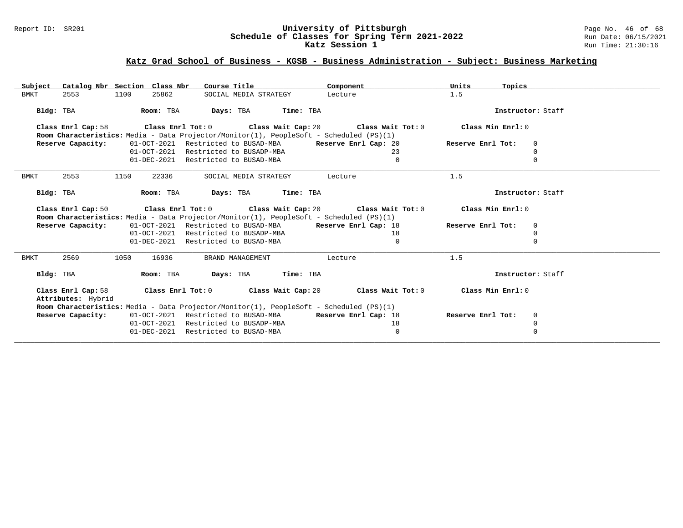### Report ID: SR201 **University of Pittsburgh** Page No. 46 of 68 **Schedule of Classes for Spring Term 2021-2022** Run Date: 06/15/2021 **Katz Session 1 Run Time: 21:30:16 Run Time: 21:30:16**

## **Katz Grad School of Business - KGSB - Business Administration - Subject: Business Marketing**

| Subject                                  | Catalog Nbr Section Class Nbr | Course Title                                                                            | Component                                                                 | Units<br>Topics        |  |
|------------------------------------------|-------------------------------|-----------------------------------------------------------------------------------------|---------------------------------------------------------------------------|------------------------|--|
| <b>BMKT</b><br>2553                      | 1100<br>25862                 | SOCIAL MEDIA STRATEGY                                                                   | Lecture                                                                   | 1.5                    |  |
| Bldg: TBA                                | Room: TBA                     | Days: TBA<br>Time: TBA                                                                  |                                                                           | Instructor: Staff      |  |
| Class Enrl Cap: 58                       | Class Enrl Tot: 0             |                                                                                         | Class Wait Cap: 20 $\qquad$ Class Wait Tot: 0                             | Class Min Enrl: 0      |  |
|                                          |                               | Room Characteristics: Media - Data Projector/Monitor(1), PeopleSoft - Scheduled (PS)(1) |                                                                           |                        |  |
| Reserve Capacity:                        |                               | 01-OCT-2021 Restricted to BUSAD-MBA                                                     | Reserve Enrl Cap: 20                                                      | Reserve Enrl Tot:<br>0 |  |
|                                          | 01-OCT-2021                   | Restricted to BUSADP-MBA                                                                | 23                                                                        | $\Omega$               |  |
|                                          |                               | 01-DEC-2021 Restricted to BUSAD-MBA                                                     | $\Omega$                                                                  |                        |  |
| BMKT<br>2553                             | 22336<br>1150                 | SOCIAL MEDIA STRATEGY                                                                   | Lecture                                                                   | 1.5                    |  |
| Bldg: TBA                                | Room: TBA                     | Days: TBA<br>Time: TBA                                                                  |                                                                           | Instructor: Staff      |  |
|                                          |                               |                                                                                         | Class Enrl Cap: 50 Class Enrl Tot: 0 Class Wait Cap: 20 Class Wait Tot: 0 | Class Min Enrl: 0      |  |
|                                          |                               | Room Characteristics: Media - Data Projector/Monitor(1), PeopleSoft - Scheduled (PS)(1) |                                                                           |                        |  |
| Reserve Capacity:                        |                               | 01-OCT-2021 Restricted to BUSAD-MBA                                                     | Reserve Enrl Cap: 18                                                      | Reserve Enrl Tot:<br>0 |  |
|                                          | $01 - OCT - 2021$             | Restricted to BUSADP-MBA                                                                | 18                                                                        |                        |  |
|                                          |                               | 01-DEC-2021 Restricted to BUSAD-MBA                                                     | 0                                                                         | $\Omega$               |  |
| <b>BMKT</b><br>2569                      | 1050<br>16936                 | BRAND MANAGEMENT                                                                        | Lecture                                                                   | 1.5                    |  |
| Bldg: TBA                                | Room: TBA                     | Days: TBA Time: TBA                                                                     |                                                                           | Instructor: Staff      |  |
| Class Enrl Cap: 58<br>Attributes: Hybrid |                               | Class Enrl Tot: 0 Class Wait Cap: 20                                                    | Class Wait Tot: 0                                                         | Class Min Enrl: 0      |  |
|                                          |                               | Room Characteristics: Media - Data Projector/Monitor(1), PeopleSoft - Scheduled (PS)(1) |                                                                           |                        |  |
| Reserve Capacity:                        |                               | 01-OCT-2021 Restricted to BUSAD-MBA                                                     | Reserve Enrl Cap: 18                                                      | Reserve Enrl Tot:<br>0 |  |
|                                          |                               | 01-OCT-2021 Restricted to BUSADP-MBA                                                    | 18                                                                        | $\mathbf 0$            |  |
|                                          | 01-DEC-2021                   | Restricted to BUSAD-MBA                                                                 | 0                                                                         | $\Omega$               |  |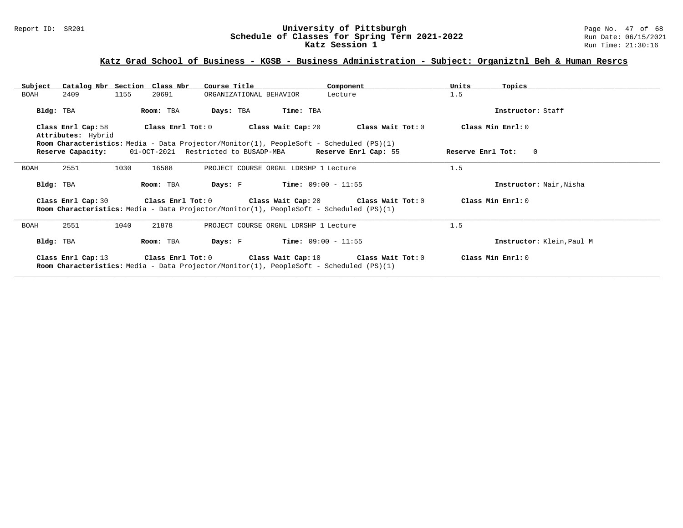### Report ID: SR201 **University of Pittsburgh** Page No. 47 of 68 **Schedule of Classes for Spring Term 2021-2022** Run Date: 06/15/2021 **Katz Session 1 Run Time: 21:30:16 Run Time: 21:30:16**

## **Katz Grad School of Business - KGSB - Business Administration - Subject: Organiztnl Beh & Human Resrcs**

| Subject     |                                         |      | Catalog Nbr Section Class Nbr | Course Title            |                                                                                                                                                      | Component                                                    | Units             | Topics                    |
|-------------|-----------------------------------------|------|-------------------------------|-------------------------|------------------------------------------------------------------------------------------------------------------------------------------------------|--------------------------------------------------------------|-------------------|---------------------------|
| BOAH        | 2409                                    | 1155 | 20691                         | ORGANIZATIONAL BEHAVIOR |                                                                                                                                                      | Lecture                                                      | 1.5               |                           |
| Bldg: TBA   |                                         |      | Room: TBA                     | Days: TBA               | Time: TBA                                                                                                                                            |                                                              |                   | Instructor: Staff         |
|             | Class Enrl Cap: 58                      |      | Class Enrl Tot: 0             |                         | Class Wait Cap: 20                                                                                                                                   | Class Wait Tot: 0                                            |                   | Class Min Enrl: 0         |
|             | Attributes: Hybrid<br>Reserve Capacity: |      |                               |                         | Room Characteristics: Media - Data Projector/Monitor(1), PeopleSoft - Scheduled (PS)(1)<br>01-OCT-2021 Restricted to BUSADP-MBA Reserve Enrl Cap: 55 |                                                              | Reserve Enrl Tot: | $\Omega$                  |
| <b>BOAH</b> | 2551                                    | 1030 | 16588                         |                         | PROJECT COURSE ORGNL LDRSHP 1 Lecture                                                                                                                |                                                              | 1.5               |                           |
| Bldg: TBA   |                                         |      | Room: TBA                     | Days: F                 | $Time: 09:00 - 11:55$                                                                                                                                |                                                              |                   | Instructor: Nair, Nisha   |
|             | Class Enrl Cap: 30                      |      |                               |                         | Room Characteristics: Media - Data Projector/Monitor(1), PeopleSoft - Scheduled (PS)(1)                                                              | Class Enrl Tot: $0$ Class Wait Cap: $20$ Class Wait Tot: $0$ |                   | Class Min $Err1:0$        |
| <b>BOAH</b> | 2551                                    | 1040 | 21878                         |                         | PROJECT COURSE ORGNL LDRSHP 1 Lecture                                                                                                                |                                                              | 1.5               |                           |
| Bldg: TBA   |                                         |      | Room: TBA                     | Days: F                 | $Time: 09:00 - 11:55$                                                                                                                                |                                                              |                   | Instructor: Klein, Paul M |
|             | Class Enrl Cap: 13                      |      |                               |                         | <b>Room Characteristics:</b> Media - Data Projector/Monitor(1), PeopleSoft - Scheduled (PS)(1)                                                       | Class Enrl Tot: $0$ Class Wait Cap: $10$ Class Wait Tot: $0$ |                   | Class Min Enrl: 0         |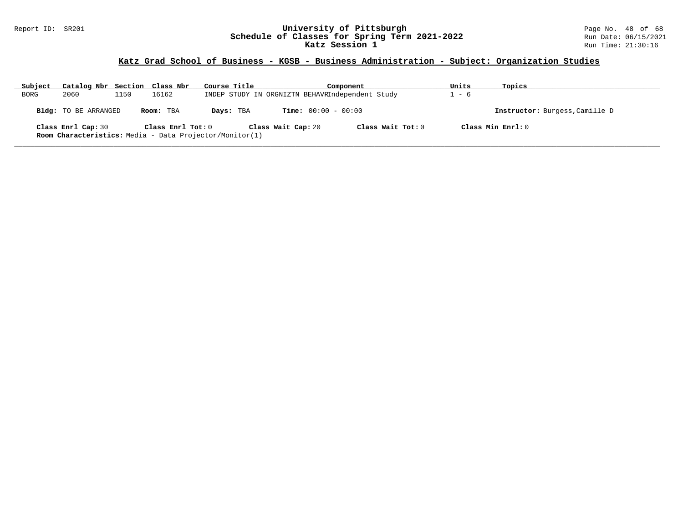### Report ID: SR201 **University of Pittsburgh** Page No. 48 of 68 **Schedule of Classes for Spring Term 2021-2022** Run Date: 06/15/2021 **Katz Session 1 Run Time: 21:30:16 Run Time: 21:30:16**

# **Katz Grad School of Business - KGSB - Business Administration - Subject: Organization Studies**

| Subject | Catalog Nbr Section Class Nbr                                                        |      |                   | Course Title |                    | Component                                       |                     | Units | Topics                         |  |
|---------|--------------------------------------------------------------------------------------|------|-------------------|--------------|--------------------|-------------------------------------------------|---------------------|-------|--------------------------------|--|
| BORG    | 2060                                                                                 | 1150 | 16162             |              |                    | INDEP STUDY IN ORGNIZTN BEHAVRIndependent Study |                     | - 6   |                                |  |
|         | Bldg: TO BE ARRANGED                                                                 |      | Room: TBA         | Days: TBA    |                    | <b>Time:</b> $00:00 - 00:00$                    |                     |       | Instructor: Burgess, Camille D |  |
|         | Class Enrl Cap: 30<br><b>Room Characteristics:</b> Media - Data Projector/Monitor(1) |      | Class Enrl Tot: 0 |              | Class Wait Cap: 20 |                                                 | Class Wait Tot: $0$ |       | Class Min Ernst: 0             |  |
|         |                                                                                      |      |                   |              |                    |                                                 |                     |       |                                |  |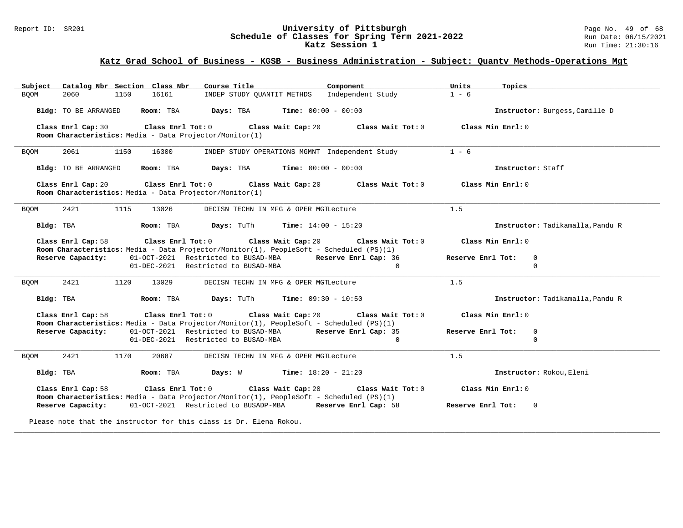### Report ID: SR201 **University of Pittsburgh** Page No. 49 of 68 **Schedule of Classes for Spring Term 2021-2022** Run Date: 06/15/2021 **Katz Session 1 Run Time: 21:30:16 Run Time: 21:30:16**

## **Katz Grad School of Business - KGSB - Business Administration - Subject: Quantv Methods-Operations Mgt**

| Subject Catalog Nbr Section Class Nbr                                         | Course Title <b>Source Search</b><br>Component                                                                                                          | Units<br>Topics                                    |
|-------------------------------------------------------------------------------|---------------------------------------------------------------------------------------------------------------------------------------------------------|----------------------------------------------------|
| <b>BOOM</b><br>2060<br>1150<br>16161                                          | INDEP STUDY OUANTIT METHDS Independent Study                                                                                                            | $1 - 6$                                            |
| Bldg: TO BE ARRANGED                                                          | Room: TBA $Days:$ TBA $Time: 00:00 - 00:00$                                                                                                             | Instructor: Burgess, Camille D                     |
| Class Enrl Cap: 30<br>Room Characteristics: Media - Data Projector/Monitor(1) | Class Enrl Tot: 0 Class Wait Cap: 20                                                                                                                    | Class Wait Tot: $0$ $Class$ Min Enrl: $0$          |
| 2061<br><b>BQOM</b><br>1150<br>16300                                          | INDEP STUDY OPERATIONS MGMNT Independent Study                                                                                                          | $1 - 6$                                            |
| Bldg: TO BE ARRANGED                                                          | Room: TBA $Days: TBA$ Time: $00:00 - 00:00$                                                                                                             | Instructor: Staff                                  |
| Class Enrl Cap: 20<br>Room Characteristics: Media - Data Projector/Monitor(1) | Class Enrl Tot: 0 Class Wait Cap: 20                                                                                                                    | Class Wait Tot: $0$ $\qquad$ Class Min Enrl: $0$   |
| 2421<br>13026<br><b>BQOM</b><br>1115                                          | DECISN TECHN IN MFG & OPER MGTLecture                                                                                                                   | 1.5                                                |
| Bldg: TBA                                                                     | <b>Room:</b> TBA $\qquad$ <b>Days:</b> TuTh $\qquad$ <b>Time:</b> $14:00 - 15:20$                                                                       | Instructor: Tadikamalla, Pandu R                   |
| Class Enrl Cap: 58                                                            | Class Enrl Tot: $0$ Class Wait Cap: $20$ Class Wait Tot: $0$<br>Room Characteristics: Media - Data Projector/Monitor(1), PeopleSoft - Scheduled (PS)(1) | Class Min Enrl: 0                                  |
| Reserve Capacity:                                                             | 01-OCT-2021 Restricted to BUSAD-MBA Reserve Enrl Cap: 36<br>01-DEC-2021 Restricted to BUSAD-MBA<br>$\Omega$                                             | Reserve Enrl Tot:<br>$\overline{0}$<br>$\mathbf 0$ |
| 2421<br>1120<br>13029<br><b>BQOM</b>                                          | DECISN TECHN IN MFG & OPER MGTLecture                                                                                                                   | 1.5                                                |
| Bldg: TBA                                                                     | <b>Room:</b> TBA $Days: TuTh$ <b>Time:</b> $09:30 - 10:50$                                                                                              | Instructor: Tadikamalla, Pandu R                   |
| Class Enrl Cap: 58                                                            | Class Enrl Tot: $0$ Class Wait Cap: $20$ Class Wait Tot: $0$<br>Room Characteristics: Media - Data Projector/Monitor(1), PeopleSoft - Scheduled (PS)(1) | Class Min Enrl: 0                                  |
|                                                                               | Reserve Capacity: 01-OCT-2021 Restricted to BUSAD-MBA Reserve Enrl Cap: 35                                                                              | $\overline{0}$<br>Reserve Enrl Tot:                |
|                                                                               | 01-DEC-2021 Restricted to BUSAD-MBA<br>$\Omega$                                                                                                         | $\mathbf 0$                                        |
|                                                                               |                                                                                                                                                         |                                                    |
| 2421<br>1170<br>20687<br>BQOM                                                 | DECISN TECHN IN MFG & OPER MGTLecture                                                                                                                   | 1.5                                                |
| Bldg: TBA                                                                     | Room: TBA $Days: W$ Time: $18:20 - 21:20$                                                                                                               | Instructor: Rokou, Eleni                           |
| Class Enrl Cap: 58                                                            | Class Enrl Tot: 0 Class Wait Cap: 20<br>Class Wait Tot: 0<br>Room Characteristics: Media - Data Projector/Monitor(1), PeopleSoft - Scheduled (PS)(1)    | Class Min Enrl: 0                                  |
| Reserve Capacity:                                                             | 01-OCT-2021 Restricted to BUSADP-MBA Reserve Enrl Cap: 58                                                                                               | Reserve Enrl Tot: 0                                |

**\_\_\_\_\_\_\_\_\_\_\_\_\_\_\_\_\_\_\_\_\_\_\_\_\_\_\_\_\_\_\_\_\_\_\_\_\_\_\_\_\_\_\_\_\_\_\_\_\_\_\_\_\_\_\_\_\_\_\_\_\_\_\_\_\_\_\_\_\_\_\_\_\_\_\_\_\_\_\_\_\_\_\_\_\_\_\_\_\_\_\_\_\_\_\_\_\_\_\_\_\_\_\_\_\_\_\_\_\_\_\_\_\_\_\_\_\_\_\_\_\_\_\_\_\_\_\_\_\_\_\_\_\_\_\_\_\_\_\_\_\_\_\_\_\_\_\_\_\_\_\_\_\_\_\_\_**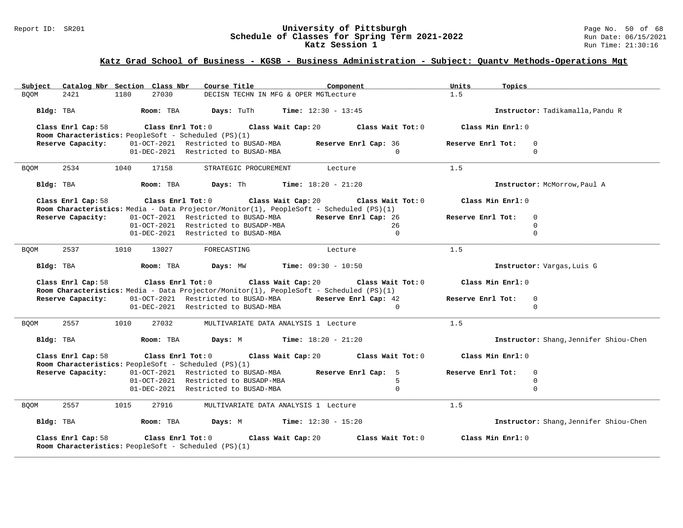### Report ID: SR201 **University of Pittsburgh** Page No. 50 of 68 **Schedule of Classes for Spring Term 2021-2022** Run Date: 06/15/2021 **Katz Session 1 Run Time: 21:30:16 Run Time: 21:30:16**

## **Katz Grad School of Business - KGSB - Business Administration - Subject: Quantv Methods-Operations Mgt**

| Subject Catalog Nbr Section Class Nbr                                                                                                     | Course Title <b>Source Search</b>                                       | Component           | Units<br>Topics     |                                        |
|-------------------------------------------------------------------------------------------------------------------------------------------|-------------------------------------------------------------------------|---------------------|---------------------|----------------------------------------|
| 27030<br><b>BOOM</b><br>2421<br>1180                                                                                                      | DECISN TECHN IN MFG & OPER MGTLecture                                   |                     | 1.5                 |                                        |
| Bldg: TBA                    Room: TBA         Days: TuTh        Time: 12:30 - 13:45                                                      |                                                                         |                     |                     | Instructor: Tadikamalla, Pandu R       |
| Class Enrl Cap: 58                                                                                                                        | Class Enrl Tot: $0$ Class Wait Cap: $20$ Class Wait Tot: $0$            |                     | Class Min Enrl: 0   |                                        |
| <b>Room Characteristics:</b> PeopleSoft - Scheduled (PS)(1)<br>Reserve Capacity: 01-OCT-2021 Restricted to BUSAD-MBA Reserve Enrl Cap: 36 |                                                                         |                     | Reserve Enrl Tot: 0 |                                        |
|                                                                                                                                           | 01-DEC-2021 Restricted to BUSAD-MBA                                     | $\Omega$            |                     | $\mathbf 0$                            |
| 2534<br>1040<br>17158<br><b>BOOM</b>                                                                                                      | STRATEGIC PROCUREMENT Lecture                                           |                     | 1.5                 |                                        |
| Bldg: TBA                                                                                                                                 | <b>Room:</b> TBA <b>Days:</b> Th <b>Time:</b> $18:20 - 21:20$           |                     |                     | Instructor: McMorrow, Paul A           |
| Class Enrl Cap: 58<br>Room Characteristics: Media - Data Projector/Monitor(1), PeopleSoft - Scheduled (PS)(1)                             | Class Enrl Tot: $0$ Class Wait Cap: $20$ Class Wait Tot: $0$            |                     | Class Min Enrl: $0$ |                                        |
| Reserve Capacity:                                                                                                                         | 01-OCT-2021 Restricted to BUSAD-MBA Reserve Enrl Cap: 26                |                     | Reserve Enrl Tot:   | $\mathbf 0$                            |
|                                                                                                                                           | 01-OCT-2021 Restricted to BUSADP-MBA                                    | 26                  |                     | $\mathbf 0$                            |
|                                                                                                                                           | 01-DEC-2021 Restricted to BUSAD-MBA                                     | $\mathbf{0}$        |                     | $\mathbf 0$                            |
| 13027<br>2537<br>1010<br><b>BOOM</b>                                                                                                      | FORECASTING                                                             | Lecture             | 1.5                 |                                        |
| Bldg: TBA                                                                                                                                 | $\textbf{Room:}$ TBA $\textbf{Days:}$ MW $\textbf{Time:}$ 09:30 - 10:50 |                     |                     | Instructor: Vargas, Luis G             |
| Class Enrl Cap: 58<br>Room Characteristics: Media - Data Projector/Monitor(1), PeopleSoft - Scheduled (PS)(1)                             | Class Enrl Tot: $0$ Class Wait Cap: $20$ Class Wait Tot: $0$            |                     | Class Min Enrl: 0   |                                        |
| Reserve Capacity:                                                                                                                         | 01-OCT-2021 Restricted to BUSAD-MBA Reserve Enrl Cap: 42                |                     | Reserve Enrl Tot:   | 0                                      |
|                                                                                                                                           | 01-DEC-2021 Restricted to BUSAD-MBA                                     | $\Omega$            |                     | $\Omega$                               |
| 2557<br>1010<br>27032<br><b>BQOM</b>                                                                                                      | MULTIVARIATE DATA ANALYSIS 1 Lecture                                    |                     | 1.5                 |                                        |
| Bldg: TBA                                                                                                                                 | <b>Room:</b> TBA <b>Days:</b> M <b>Time:</b> 18:20 - 21:20              |                     |                     | Instructor: Shang, Jennifer Shiou-Chen |
| Class Enrl Cap: 58                                                                                                                        | Class Enrl Tot: $0$ Class Wait Cap: $20$ Class Wait Tot: $0$            |                     | Class Min Enrl: 0   |                                        |
| Room Characteristics: PeopleSoft - Scheduled (PS)(1)<br>Reserve Capacity:                                                                 | 01-OCT-2021 Restricted to BUSAD-MBA Reserve Enrl Cap: 5                 |                     | Reserve Enrl Tot:   | $\Omega$                               |
|                                                                                                                                           | 01-OCT-2021 Restricted to BUSADP-MBA                                    | .5                  |                     | $\mathbf 0$                            |
|                                                                                                                                           | 01-DEC-2021 Restricted to BUSAD-MBA                                     | $\Omega$            |                     | $\mathbf 0$                            |
| 2557<br>1015<br>27916<br><b>BQOM</b>                                                                                                      | MULTIVARIATE DATA ANALYSIS 1 Lecture                                    |                     | 1.5                 |                                        |
| Bldg: TBA                                                                                                                                 | <b>Room:</b> TBA <b>Days:</b> M <b>Time:</b> 12:30 - 15:20              |                     |                     | Instructor: Shang, Jennifer Shiou-Chen |
| Class Enrl Cap: 58<br>Room Characteristics: PeopleSoft - Scheduled (PS)(1)                                                                | Class Enrl Tot: 0 Class Wait Cap: 20                                    | Class Wait Tot: $0$ | Class Min Enrl: 0   |                                        |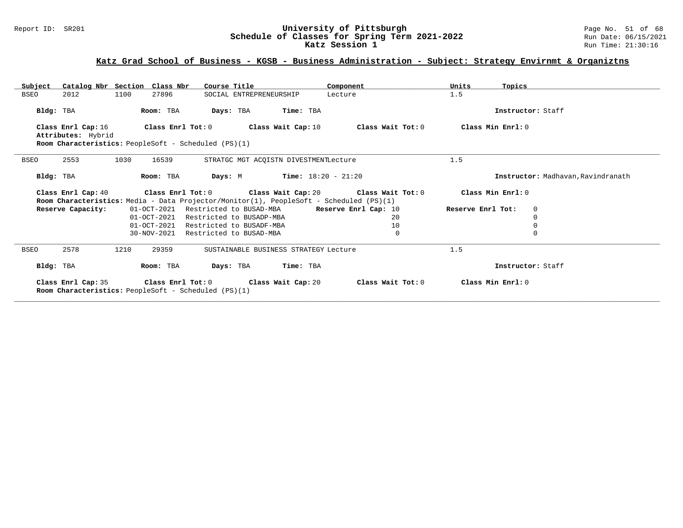### Report ID: SR201 **University of Pittsburgh** Page No. 51 of 68 **Schedule of Classes for Spring Term 2021-2022** Run Date: 06/15/2021 **Katz Session 1 Run Time: 21:30:16 Run Time: 21:30:16**

## **Katz Grad School of Business - KGSB - Business Administration - Subject: Strategy Envirnmt & Organiztns**

| Catalog Nbr Section Class Nbr<br>Subject                      | Course Title                                                                            | Component            | Units<br>Topics                  |                                    |
|---------------------------------------------------------------|-----------------------------------------------------------------------------------------|----------------------|----------------------------------|------------------------------------|
| 1100<br><b>BSEO</b><br>2012<br>27896                          | SOCIAL ENTREPRENEURSHIP                                                                 | Lecture              | 1.5                              |                                    |
| Bldg: TBA<br>Room: TBA                                        | Days: TBA<br>Time: TBA                                                                  |                      | Instructor: Staff                |                                    |
| Class Enrl Cap: 16<br>Class Enrl Tot: 0<br>Attributes: Hybrid | Class Wait Cap: 10                                                                      | Class Wait Tot: 0    | Class Min Enrl: 0                |                                    |
| Room Characteristics: PeopleSoft - Scheduled (PS)(1)          |                                                                                         |                      |                                  |                                    |
| 2553<br>1030<br>16539<br><b>BSEO</b>                          | STRATGC MGT ACOISTN DIVESTMENTLecture                                                   |                      | 1.5                              |                                    |
| Room: TBA<br>Bldg: TBA                                        | <b>Time:</b> $18:20 - 21:20$<br>Days: M                                                 |                      |                                  | Instructor: Madhavan, Ravindranath |
| Class Enrl Cap: 40                                            | Class Enrl Tot: $0$ Class Wait Cap: $20$ Class Wait Tot: $0$                            |                      | Class Min Enrl: 0                |                                    |
|                                                               | Room Characteristics: Media - Data Projector/Monitor(1), PeopleSoft - Scheduled (PS)(1) |                      |                                  |                                    |
| Reserve Capacity:                                             | 01-OCT-2021 Restricted to BUSAD-MBA                                                     | Reserve Enrl Cap: 10 | Reserve Enrl Tot:<br>$\mathbf 0$ |                                    |
|                                                               | 01-OCT-2021 Restricted to BUSADP-MBA<br>01-OCT-2021 Restricted to BUSADF-MBA            | 20<br>10             | $\Omega$<br>0                    |                                    |
| 30-NOV-2021                                                   | Restricted to BUSAD-MBA                                                                 | 0                    | $\Omega$                         |                                    |
|                                                               |                                                                                         |                      |                                  |                                    |
| 2578<br>1210<br>29359<br><b>BSEO</b>                          | SUSTAINABLE BUSINESS STRATEGY Lecture                                                   |                      | 1.5                              |                                    |
| Room: TBA<br>Bldg: TBA                                        | Days: TBA Time: TBA                                                                     |                      | Instructor: Staff                |                                    |
| <b>Room Characteristics:</b> PeopleSoft - Scheduled (PS)(1)   | Class Enrl Cap: 35 Class Enrl Tot: 0 Class Wait Cap: 20                                 | Class Wait Tot: 0    | Class Min Enrl: 0                |                                    |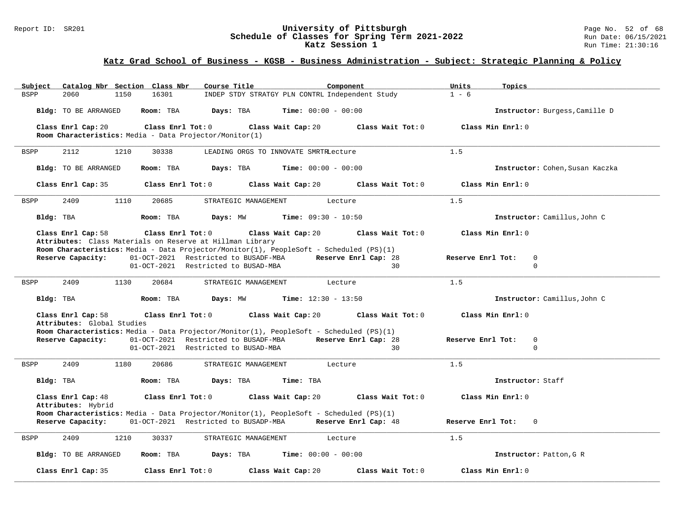### Report ID: SR201 **University of Pittsburgh** Page No. 52 of 68 **Schedule of Classes for Spring Term 2021-2022** Run Date: 06/15/2021 **Katz Session 1 Run Time: 21:30:16 Run Time: 21:30:16**

## **Katz Grad School of Business - KGSB - Business Administration - Subject: Strategic Planning & Policy**

| Catalog Nbr Section Class Nbr<br>Course Title<br>Subject<br>Component                                                                                                                                                                                                                  | Units<br>Topics                                 |
|----------------------------------------------------------------------------------------------------------------------------------------------------------------------------------------------------------------------------------------------------------------------------------------|-------------------------------------------------|
| INDEP STDY STRATGY PLN CONTRL Independent Study<br><b>BSPP</b><br>2060<br>1150<br>16301                                                                                                                                                                                                | $1 - 6$                                         |
| <b>Time:</b> $00:00 - 00:00$<br>Bldg: TO BE ARRANGED<br>Room: TBA<br>Days: TBA                                                                                                                                                                                                         | Instructor: Burgess, Camille D                  |
| Class Enrl Cap: 20<br>Class Enrl Tot: 0<br>Class Wait Cap: 20<br>Class Wait Tot: 0                                                                                                                                                                                                     | Class Min Enrl: 0                               |
| Room Characteristics: Media - Data Projector/Monitor(1)                                                                                                                                                                                                                                |                                                 |
| 2112<br>1210<br>30338<br><b>BSPP</b><br>LEADING ORGS TO INNOVATE SMRTRLecture                                                                                                                                                                                                          | 1.5                                             |
| <b>Bldg:</b> TO BE ARRANGED<br>Days: TBA<br><b>Time:</b> $00:00 - 00:00$<br>Room: TBA                                                                                                                                                                                                  | Instructor: Cohen, Susan Kaczka                 |
| Class Enrl Tot: 0<br>Class Wait Tot: 0<br>Class Enrl Cap: 35<br>Class Wait Cap: 20                                                                                                                                                                                                     | Class Min Enrl: 0                               |
| 2409<br>1110<br>20685<br>STRATEGIC MANAGEMENT<br><b>BSPP</b><br>Lecture                                                                                                                                                                                                                | 1.5                                             |
| Bldg: TBA<br>Room: TBA<br>Days: MW<br><b>Time:</b> $09:30 - 10:50$                                                                                                                                                                                                                     | Instructor: Camillus, John C                    |
| Class Enrl Cap: 58<br>Class Enrl Tot: 0<br>Class Wait Cap: 20<br>Class Wait Tot: 0                                                                                                                                                                                                     | Class Min Enrl: 0                               |
| Attributes: Class Materials on Reserve at Hillman Library<br>Room Characteristics: Media - Data Projector/Monitor(1), PeopleSoft - Scheduled (PS)(1)<br>Reserve Enrl Cap: 28<br>Reserve Capacity:<br>01-OCT-2021 Restricted to BUSADF-MBA<br>01-OCT-2021 Restricted to BUSAD-MBA<br>30 | $\mathbf 0$<br>Reserve Enrl Tot:<br>$\mathbf 0$ |
| 2409<br>20684<br><b>BSPP</b><br>1130<br>STRATEGIC MANAGEMENT<br>Lecture                                                                                                                                                                                                                | 1.5                                             |
| Bldg: TBA<br>Days: MW<br><b>Time:</b> $12:30 - 13:50$<br>Room: TBA                                                                                                                                                                                                                     | Instructor: Camillus, John C                    |
| Class Enrl Cap: 58<br>Class Enrl Tot: 0<br>Class Wait Cap: 20<br>Class Wait Tot: 0                                                                                                                                                                                                     | Class Min Enrl: 0                               |
| Attributes: Global Studies<br>Room Characteristics: Media - Data Projector/Monitor(1), PeopleSoft - Scheduled (PS)(1)<br>Reserve Capacity:<br>01-OCT-2021 Restricted to BUSADF-MBA<br>Reserve Enrl Cap: 28<br>01-OCT-2021 Restricted to BUSAD-MBA<br>30                                | Reserve Enrl Tot:<br>$\mathbb O$<br>$\mathbf 0$ |
| 20686<br><b>BSPP</b><br>2409<br>1180<br>STRATEGIC MANAGEMENT<br>Lecture                                                                                                                                                                                                                | 1.5                                             |
| Room: TBA<br>Days: TBA<br>Bldg: TBA<br>Time: TBA                                                                                                                                                                                                                                       | Instructor: Staff                               |
| Class Enrl Cap: 48<br>Class Enrl Tot: 0<br>Class Wait Cap: 20<br>Class Wait Tot: 0<br>Attributes: Hybrid                                                                                                                                                                               | Class Min Enrl: 0                               |
| Room Characteristics: Media - Data Projector/Monitor(1), PeopleSoft - Scheduled (PS)(1)<br>01-OCT-2021 Restricted to BUSADP-MBA<br>Reserve Enrl Cap: 48<br>Reserve Capacity:                                                                                                           | Reserve Enrl Tot:<br>$\Omega$                   |
| 2409<br><b>BSPP</b><br>1210<br>30337<br>STRATEGIC MANAGEMENT<br>Lecture                                                                                                                                                                                                                | 1.5                                             |
| Bldg: TO BE ARRANGED<br>Room: TBA<br>Days: TBA<br><b>Time:</b> $00:00 - 00:00$                                                                                                                                                                                                         | Instructor: Patton, G R                         |
| Class Enrl Cap: 35<br>Class Enrl Tot: 0<br>Class Wait Cap: 20<br>Class Wait Tot: 0                                                                                                                                                                                                     | Class Min Enrl: 0                               |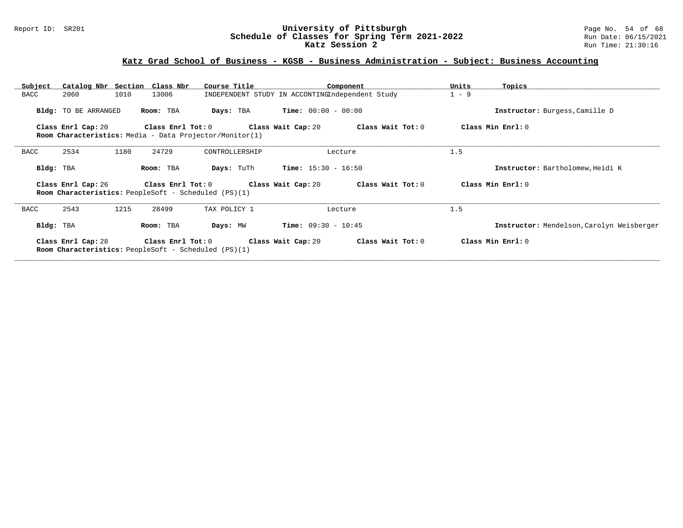### Report ID: SR201 **University of Pittsburgh** Page No. 54 of 68 **Schedule of Classes for Spring Term 2021-2022** Run Date: 06/15/2021 **Katz Session 2** Run Time: 21:30:16

## **Katz Grad School of Business - KGSB - Business Administration - Subject: Business Accounting**

| Subject   |                             | Catalog Nbr Section Class Nbr                                             | Course Title                             | Component                                       | Units<br>Topics                           |
|-----------|-----------------------------|---------------------------------------------------------------------------|------------------------------------------|-------------------------------------------------|-------------------------------------------|
| BACC      | 2060                        | 1010<br>13006                                                             |                                          | INDEPENDENT STUDY IN ACCONTINGIndependent Study | $1 - 9$                                   |
|           | <b>Bldg:</b> TO BE ARRANGED | Room: TBA                                                                 | Days: TBA                                | $Time: 00:00 - 00:00$                           | Instructor: Burgess, Camille D            |
|           | Class Enrl Cap: 20          |                                                                           | Class Enrl Tot: $0$ Class Wait Cap: $20$ | Class Wait Tot: 0                               | Class Min Enrl: 0                         |
|           |                             | Room Characteristics: Media - Data Projector/Monitor(1)                   |                                          |                                                 |                                           |
| BACC      | 2534                        | 1180<br>24729                                                             | CONTROLLERSHIP                           | Lecture                                         | 1.5                                       |
| Bldg: TBA |                             | Room: TBA                                                                 | Days: TuTh                               | <b>Time:</b> $15:30 - 16:50$                    | Instructor: Bartholomew, Heidi K          |
|           | Class Enrl Cap: 26          | Class Enrl Tot: 0<br>Room Characteristics: PeopleSoft - Scheduled (PS)(1) | Class Wait Cap: 20                       | Class Wait Tot: 0                               | Class Min Enrl: 0                         |
| BACC      | 2543                        | 1215<br>28499                                                             | TAX POLICY 1                             | Lecture                                         | 1.5                                       |
| Bldg: TBA |                             | Room: TBA                                                                 | Days: MW                                 | <b>Time:</b> $09:30 - 10:45$                    | Instructor: Mendelson, Carolyn Weisberger |
|           | Class Enrl Cap: 28          | <b>Room Characteristics:</b> PeopleSoft - Scheduled (PS)(1)               | Class Enrl Tot: 0 Class Wait Cap: 20     | Class Wait Tot: 0                               | Class Min Enrl: 0                         |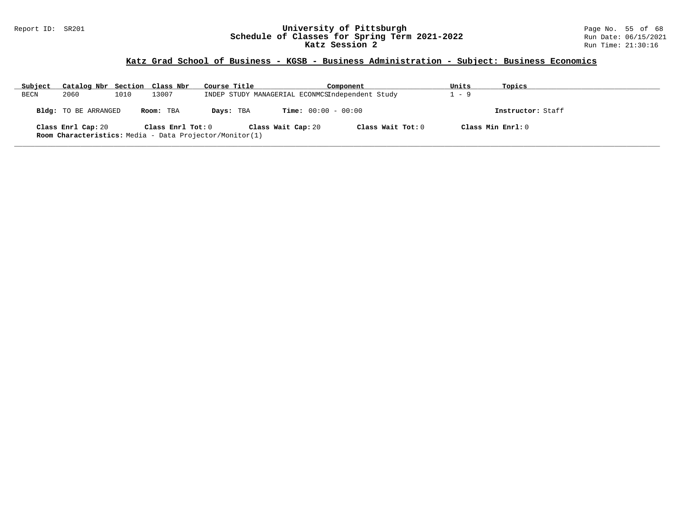### Report ID: SR201 **University of Pittsburgh** Page No. 55 of 68 **Schedule of Classes for Spring Term 2021-2022** Run Date: 06/15/2021 **Katz Session 2** Run Time: 21:30:16

## **Katz Grad School of Business - KGSB - Business Administration - Subject: Business Economics**

| Subject | Catalog Nbr Section Class Nbr |      |                   | Course Title                                                   | Component                    |                     | Units | Topics            |
|---------|-------------------------------|------|-------------------|----------------------------------------------------------------|------------------------------|---------------------|-------|-------------------|
| BECN    | 2060                          | 1010 | 13007             | INDEP STUDY MANAGERIAL ECONMCSIndependent Study                |                              |                     | - 9   |                   |
|         | Bldg: TO BE ARRANGED          |      | Room: TBA         | Days: TBA                                                      | <b>Time:</b> $00:00 - 00:00$ |                     |       | Instructor: Staff |
|         | Class Enrl Cap: 20            |      | Class Enrl Tot: 0 | <b>Room Characteristics:</b> Media - Data Projector/Monitor(1) | Class Wait Cap: 20           | Class Wait Tot: $0$ |       | Class Min Enrl: 0 |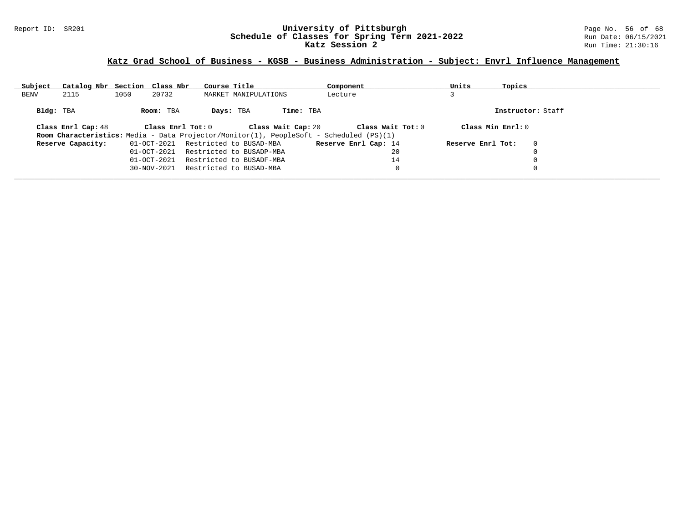### Report ID: SR201 **University of Pittsburgh** Page No. 56 of 68 **Schedule of Classes for Spring Term 2021-2022** Run Date: 06/15/2021 **Katz Session 2** Run Time: 21:30:16

## **Katz Grad School of Business - KGSB - Business Administration - Subject: Envrl Influence Management**

| Subject     | Catalog Nbr Section Class Nbr |      |                   | Course Title |                          |                    | Component                                                                               | Units              | Topics |                   |
|-------------|-------------------------------|------|-------------------|--------------|--------------------------|--------------------|-----------------------------------------------------------------------------------------|--------------------|--------|-------------------|
| <b>BENV</b> | 2115                          | 1050 | 20732             |              | MARKET MANIPULATIONS     |                    | Lecture                                                                                 |                    |        |                   |
|             |                               |      |                   |              |                          |                    |                                                                                         |                    |        |                   |
| Bldg: TBA   |                               |      | Room: TBA         | Days: TBA    |                          | Time: TBA          |                                                                                         |                    |        | Instructor: Staff |
|             |                               |      |                   |              |                          |                    |                                                                                         |                    |        |                   |
|             | Class Enrl Cap: 48            |      | Class Enrl Tot: 0 |              |                          | Class Wait Cap: 20 | Class Wait Tot: 0                                                                       | Class Min $Enr1:0$ |        |                   |
|             |                               |      |                   |              |                          |                    | Room Characteristics: Media - Data Projector/Monitor(1), PeopleSoft - Scheduled (PS)(1) |                    |        |                   |
|             | Reserve Capacity:             |      | 01-OCT-2021       |              | Restricted to BUSAD-MBA  |                    | Reserve Enrl Cap: 14                                                                    | Reserve Enrl Tot:  |        | $\mathbf 0$       |
|             |                               |      | $01 - OCT - 2021$ |              | Restricted to BUSADP-MBA |                    | 20                                                                                      |                    |        |                   |
|             |                               |      | 01-OCT-2021       |              | Restricted to BUSADF-MBA |                    | 14                                                                                      |                    |        | 0                 |
|             |                               |      | $30 - NOV - 2021$ |              | Restricted to BUSAD-MBA  |                    |                                                                                         |                    |        | $\Omega$          |
|             |                               |      |                   |              |                          |                    |                                                                                         |                    |        |                   |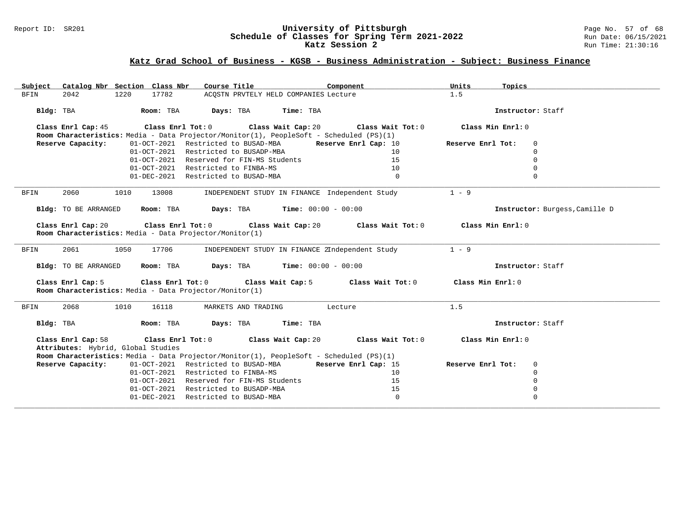### Report ID: SR201 **University of Pittsburgh** Page No. 57 of 68 **Schedule of Classes for Spring Term 2021-2022** Run Date: 06/15/2021 **Katz Session 2** Run Time: 21:30:16

## **Katz Grad School of Business - KGSB - Business Administration - Subject: Business Finance**

| Catalog Nbr Section Class Nbr<br>Subject                                      | Course Title                                                                            | Component            | Units<br>Topics                  |
|-------------------------------------------------------------------------------|-----------------------------------------------------------------------------------------|----------------------|----------------------------------|
| 2042<br>1220<br>17782<br>BFIN                                                 | ACOSTN PRVTELY HELD COMPANIES Lecture                                                   |                      | 1.5                              |
| Room: TBA<br>Bldg: TBA                                                        | Days: TBA<br>Time: TBA                                                                  |                      | Instructor: Staff                |
| Class Enrl Cap: 45                                                            | Class Enrl Tot: 0 Class Wait Cap: 20                                                    | Class Wait Tot: 0    | Class Min Enrl: 0                |
|                                                                               | Room Characteristics: Media - Data Projector/Monitor(1), PeopleSoft - Scheduled (PS)(1) |                      |                                  |
| Reserve Capacity:                                                             | 01-OCT-2021 Restricted to BUSAD-MBA Reserve Enrl Cap: 10                                |                      | Reserve Enrl Tot:<br>$\mathbf 0$ |
|                                                                               | 01-OCT-2021 Restricted to BUSADP-MBA                                                    | 10                   | $\mathbf 0$<br>$\Omega$          |
|                                                                               | 01-OCT-2021 Reserved for FIN-MS Students                                                | 15                   |                                  |
|                                                                               | 01-OCT-2021 Restricted to FINBA-MS                                                      | 10                   | $\Omega$                         |
|                                                                               | 01-DEC-2021 Restricted to BUSAD-MBA                                                     | $\Omega$             | $\Omega$                         |
| 2060<br><b>BFIN</b><br>1010<br>13008                                          | INDEPENDENT STUDY IN FINANCE Independent Study                                          |                      | $1 - 9$                          |
| Bldg: TO BE ARRANGED<br>Room: TBA                                             | $Time: 00:00 - 00:00$<br>Days: TBA                                                      |                      | Instructor: Burgess, Camille D   |
| Class Enrl Cap: 20<br>Room Characteristics: Media - Data Projector/Monitor(1) | Class Enrl Tot: 0 Class Wait Cap: 20                                                    | Class Wait Tot: 0    | Class Min Enrl: 0                |
| 2061<br>1050<br>17706<br>BFIN                                                 | INDEPENDENT STUDY IN FINANCE 2Independent Study                                         |                      | $1 - 9$                          |
| Room: TBA<br>Bldg: TO BE ARRANGED                                             | Days: TBA<br>$Time: 00:00 - 00:00$                                                      |                      | Instructor: Staff                |
| Class Enrl Cap: 5<br>Room Characteristics: Media - Data Projector/Monitor(1)  | Class Enrl Tot: 0 Class Wait Cap: 5                                                     | Class Wait Tot: 0    | Class Min Enrl: 0                |
| 2068<br>1010<br>16118<br>BFIN                                                 | MARKETS AND TRADING                                                                     | Lecture              | 1.5                              |
| Bldg: TBA<br>Room: TBA                                                        | Days: TBA<br>Time: TBA                                                                  |                      | Instructor: Staff                |
| Class Enrl Cap: 58<br>Attributes: Hybrid, Global Studies                      | Class Wait Cap: 20<br>$Class$ $Enr1$ $Tot: 0$                                           | Class Wait Tot: 0    | Class Min Enrl: 0                |
|                                                                               | Room Characteristics: Media - Data Projector/Monitor(1), PeopleSoft - Scheduled (PS)(1) |                      |                                  |
| Reserve Capacity:                                                             | 01-OCT-2021 Restricted to BUSAD-MBA                                                     | Reserve Enrl Cap: 15 | Reserve Enrl Tot:<br>$\mathbf 0$ |
|                                                                               | 01-OCT-2021 Restricted to FINBA-MS                                                      | 10                   | $\Omega$                         |
|                                                                               | 01-OCT-2021 Reserved for FIN-MS Students                                                | 15                   | $\Omega$                         |
|                                                                               | 01-OCT-2021 Restricted to BUSADP-MBA                                                    | 15                   | $\mathbf 0$                      |
|                                                                               | 01-DEC-2021 Restricted to BUSAD-MBA                                                     | $\mathbf 0$          | $\Omega$                         |
|                                                                               |                                                                                         |                      |                                  |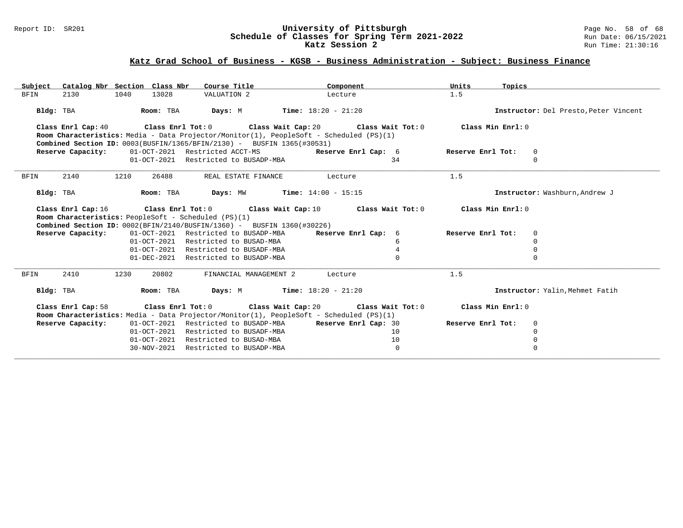### Report ID: SR201 **University of Pittsburgh** Page No. 58 of 68 **Schedule of Classes for Spring Term 2021-2022** Run Date: 06/15/2021 **Katz Session 2** Run Time: 21:30:16

## **Katz Grad School of Business - KGSB - Business Administration - Subject: Business Finance**

| Catalog Nbr Section Class Nbr<br>Subject                                                                                        | Course Title                                                 | Component                | Units<br>Topics   |                                       |
|---------------------------------------------------------------------------------------------------------------------------------|--------------------------------------------------------------|--------------------------|-------------------|---------------------------------------|
| <b>BFIN</b><br>2130<br>1040<br>13028                                                                                            | VALUATION 2                                                  | Lecture                  | 1.5               |                                       |
| Bldg: TBA<br>Room: TBA                                                                                                          | <b>Days:</b> M <b>Time:</b> $18:20 - 21:20$                  |                          |                   | Instructor: Del Presto, Peter Vincent |
| Class Enrl Cap: 40 Class Enrl Tot: 0 Class Wait Cap: 20 Class Wait Tot: 0                                                       |                                                              |                          | Class Min Enrl: 0 |                                       |
| Room Characteristics: Media - Data Projector/Monitor(1), PeopleSoft - Scheduled (PS)(1)                                         |                                                              |                          |                   |                                       |
| <b>Combined Section ID:</b> $0003(BUSFIN/1365/BFIN/2130)$ - BUSFIN 1365(#30531)                                                 |                                                              |                          |                   |                                       |
| Reserve Capacity:                                                                                                               | 01-OCT-2021 Restricted ACCT-MS                               | Reserve Enrl Cap: 6      | Reserve Enrl Tot: | 0                                     |
|                                                                                                                                 | 01-OCT-2021 Restricted to BUSADP-MBA                         | 34                       |                   | $\Omega$                              |
| 2140<br>1210<br>BFIN<br>26488                                                                                                   | REAL ESTATE FINANCE                                          | <b>Example 1</b> Lecture | 1.5               |                                       |
| Bldg: TBA                                                                                                                       |                                                              |                          |                   | Instructor: Washburn, Andrew J        |
| Class Enrl Cap: 16 $\qquad$ Class Enrl Tot: 0 $\qquad$ Class Wait Cap: 10 $\qquad$ Class Wait Tot: 0 $\qquad$ Class Min Enrl: 0 |                                                              |                          |                   |                                       |
| <b>Room Characteristics:</b> PeopleSoft - Scheduled (PS)(1)                                                                     |                                                              |                          |                   |                                       |
| Combined Section ID: 0002(BFIN/2140/BUSFIN/1360) - BUSFIN 1360(#30226)                                                          |                                                              |                          |                   |                                       |
| Reserve Capacity:                                                                                                               | 01-OCT-2021 Restricted to BUSADP-MBA Reserve Enrl Cap: 6     |                          | Reserve Enrl Tot: | 0                                     |
|                                                                                                                                 | 01-OCT-2021 Restricted to BUSAD-MBA                          | 6                        |                   | $\Omega$                              |
|                                                                                                                                 | 01-OCT-2021 Restricted to BUSADF-MBA                         | 4                        |                   | $\Omega$                              |
|                                                                                                                                 | 01-DEC-2021 Restricted to BUSADP-MBA                         | $\Omega$                 |                   | $\Omega$                              |
| <b>BFIN</b><br>2410<br>1230<br>20802                                                                                            | FINANCIAL MANAGEMENT 2                                       | Lecture                  | 1.5               |                                       |
| Room: TBA<br>Bldg: TBA                                                                                                          | <b>Days:</b> M <b>Time:</b> $18:20 - 21:20$                  |                          |                   | Instructor: Yalin. Mehmet Fatih       |
| Class Enrl Cap: 58<br>Room Characteristics: Media - Data Projector/Monitor(1), PeopleSoft - Scheduled (PS)(1)                   | Class Enrl Tot: $0$ Class Wait Cap: $20$ Class Wait Tot: $0$ |                          | Class Min Enrl: 0 |                                       |
| Reserve Capacity:                                                                                                               | 01-OCT-2021 Restricted to BUSADP-MBA Reserve Enrl Cap: 30    |                          | Reserve Enrl Tot: | 0                                     |
|                                                                                                                                 | 01-OCT-2021 Restricted to BUSADF-MBA                         | 10                       |                   | $\Omega$                              |
| 01-OCT-2021                                                                                                                     | Restricted to BUSAD-MBA                                      | 10                       |                   | $\mathbf 0$                           |
|                                                                                                                                 | 30-NOV-2021 Restricted to BUSADP-MBA                         | $\mathbf 0$              |                   |                                       |
|                                                                                                                                 |                                                              |                          |                   |                                       |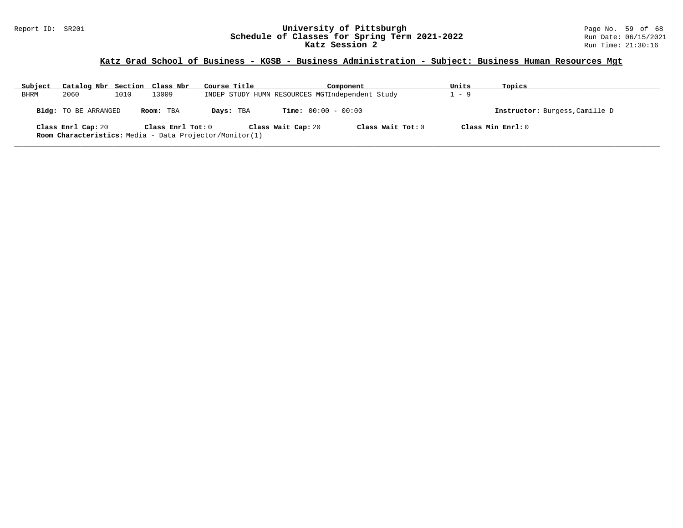### Report ID: SR201 **University of Pittsburgh** Page No. 59 of 68 **Schedule of Classes for Spring Term 2021-2022** Run Date: 06/15/2021 **Katz Session 2** Run Time: 21:30:16

## **Katz Grad School of Business - KGSB - Business Administration - Subject: Business Human Resources Mgt**

| Subject     | Catalog Nbr Section Class Nbr |      |                   | Course Title                                                   |                              | Component         | Units | Topics                         |
|-------------|-------------------------------|------|-------------------|----------------------------------------------------------------|------------------------------|-------------------|-------|--------------------------------|
| <b>BHRM</b> | 2060                          | 1010 | 13009             | INDEP STUDY HUMN RESOURCES MGTIndependent Study                |                              |                   | $-9$  |                                |
|             | Bldg: TO BE ARRANGED          |      | Room: TBA         | Days: TBA                                                      | <b>Time:</b> $00:00 - 00:00$ |                   |       | Instructor: Burgess, Camille D |
|             | Class Enrl Cap: 20            |      | Class Enrl Tot: 0 | <b>Room Characteristics:</b> Media - Data Projector/Monitor(1) | Class Wait Cap: 20           | Class Wait Tot: 0 |       | Class Min Enrl: 0              |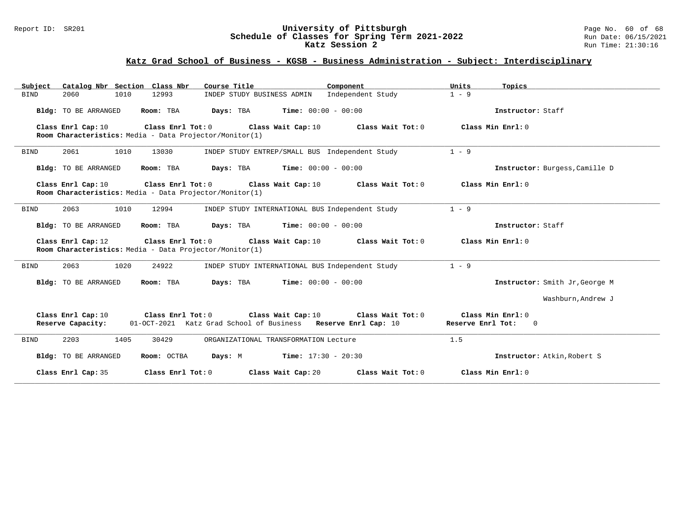### Report ID: SR201 **University of Pittsburgh** Page No. 60 of 68 **Schedule of Classes for Spring Term 2021-2022** Run Date: 06/15/2021 **Katz Session 2** Run Time: 21:30:16

# **Katz Grad School of Business - KGSB - Business Administration - Subject: Interdisciplinary**

| Catalog Nbr Section Class Nbr<br>Subject | Course Title                                                                 | Component                                                                                                | Units<br>Topics                                          |
|------------------------------------------|------------------------------------------------------------------------------|----------------------------------------------------------------------------------------------------------|----------------------------------------------------------|
| 2060<br>1010<br><b>BIND</b>              | 12993                                                                        | Independent Study<br>INDEP STUDY BUSINESS ADMIN                                                          | $1 - 9$                                                  |
| Bldg: TO BE ARRANGED                     | Room: TBA<br>Days: TBA                                                       | <b>Time:</b> $00:00 - 00:00$                                                                             | Instructor: Staff                                        |
| Class Enrl Cap: 10                       | Class Enrl Tot: 0<br>Room Characteristics: Media - Data Projector/Monitor(1) | Class Wait Cap: 10<br>Class Wait Tot: 0                                                                  | Class Min $Enr1: 0$                                      |
| 2061<br>1010<br>BIND                     | 13030                                                                        | INDEP STUDY ENTREP/SMALL BUS Independent Study                                                           | $1 - 9$                                                  |
| Bldg: TO BE ARRANGED                     | Room: TBA<br>Days: TBA                                                       | <b>Time:</b> $00:00 - 00:00$                                                                             | Instructor: Burgess, Camille D                           |
| Class Enrl Cap: 10                       | Class Enrl Tot: 0<br>Room Characteristics: Media - Data Projector/Monitor(1) | Class Wait Tot: 0<br>Class Wait Cap: 10                                                                  | Class Min Enrl: 0                                        |
| 2063<br>1010<br><b>BIND</b>              | 12994                                                                        | INDEP STUDY INTERNATIONAL BUS Independent Study                                                          | $1 - 9$                                                  |
| Bldg: TO BE ARRANGED                     | Room: TBA                                                                    | <b>Days:</b> TBA <b>Time:</b> $00:00 - 00:00$                                                            | Instructor: Staff                                        |
| Class Enrl Cap: 12                       | Class Enrl Tot: 0<br>Room Characteristics: Media - Data Projector/Monitor(1) | Class Wait Cap: 10<br>Class Wait Tot: 0                                                                  | Class Min Enrl: 0                                        |
| 2063<br>1020<br><b>BIND</b>              | 24922                                                                        | INDEP STUDY INTERNATIONAL BUS Independent Study                                                          | $1 - 9$                                                  |
| Bldg: TO BE ARRANGED                     | Room: TBA<br>Days: TBA                                                       | $Time: 00:00 - 00:00$                                                                                    | Instructor: Smith Jr, George M                           |
|                                          |                                                                              |                                                                                                          | Washburn, Andrew J                                       |
| Class Enrl Cap: 10<br>Reserve Capacity:  | Class Enrl Tot: 0                                                            | Class Wait Cap: 10<br>Class Wait Tot: 0<br>01-OCT-2021 Katz Grad School of Business Reserve Enrl Cap: 10 | Class Min Enrl: 0<br>Reserve Enrl Tot:<br>$\overline{0}$ |
| 2203<br>1405<br><b>BIND</b>              | 30429                                                                        | ORGANIZATIONAL TRANSFORMATION Lecture                                                                    | 1.5                                                      |
| Bldg: TO BE ARRANGED                     | Room: OCTBA<br>Days: M                                                       | <b>Time:</b> $17:30 - 20:30$                                                                             | Instructor: Atkin, Robert S                              |
| Class Enrl Cap: 35                       | Class Enrl Tot: 0                                                            | Class Wait Cap: 20<br>Class Wait Tot: 0                                                                  | Class Min $Enr1: 0$                                      |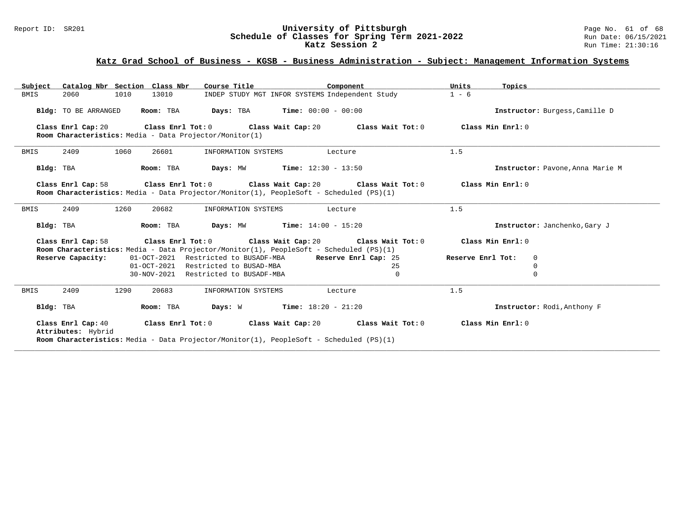### Report ID: SR201 **University of Pittsburgh** Page No. 61 of 68 **Schedule of Classes for Spring Term 2021-2022** Run Date: 06/15/2021 **Katz Session 2** Run Time: 21:30:16

## **Katz Grad School of Business - KGSB - Business Administration - Subject: Management Information Systems**

| Catalog Nbr Section Class Nbr<br>Subject                                                                                            | Course Title                                                 | Component | Units<br>Topics               |                                  |  |  |  |
|-------------------------------------------------------------------------------------------------------------------------------------|--------------------------------------------------------------|-----------|-------------------------------|----------------------------------|--|--|--|
| 2060<br>1010<br>13010<br><b>BMIS</b>                                                                                                | INDEP STUDY MGT INFOR SYSTEMS Independent Study              |           | $1 - 6$                       |                                  |  |  |  |
| Room: TBA<br>Bldg: TO BE ARRANGED                                                                                                   | <b>Days:</b> TBA <b>Time:</b> $00:00 - 00:00$                |           |                               |                                  |  |  |  |
| Class Enrl Cap: 20<br>Room Characteristics: Media - Data Projector/Monitor(1)                                                       | Class Enrl Tot: $0$ Class Wait Cap: $20$ Class Wait Tot: $0$ |           | Class Min Enrl: 0             |                                  |  |  |  |
| 1060<br>26601<br>2409<br>BMIS                                                                                                       | INFORMATION SYSTEMS                                          | Lecture   | 1.5                           |                                  |  |  |  |
| Room: TBA<br>Bldg: TBA                                                                                                              | <b>Days:</b> MW <b>Time:</b> $12:30 - 13:50$                 |           |                               | Instructor: Pavone, Anna Marie M |  |  |  |
| Class Enrl Cap: 58<br>Room Characteristics: Media - Data Projector/Monitor(1), PeopleSoft - Scheduled (PS)(1)                       | Class Enrl Tot: $0$ Class Wait Cap: $20$ Class Wait Tot: $0$ |           | Class Min Enrl: 0             |                                  |  |  |  |
| 1260<br>2409<br>20682<br>BMIS                                                                                                       | INFORMATION SYSTEMS                                          | Lecture   | 1.5                           |                                  |  |  |  |
| Room: TBA<br>Bldg: TBA                                                                                                              | <b>Days:</b> $MW$ <b>Time:</b> $14:00 - 15:20$               |           | Instructor: Janchenko, Gary J |                                  |  |  |  |
| Class Enrl Cap: 58<br>Room Characteristics: Media - Data Projector/Monitor(1), PeopleSoft - Scheduled (PS)(1)                       | Class Enrl Tot: $0$ Class Wait Cap: $20$ Class Wait Tot: $0$ |           | Class Min Enrl: 0             |                                  |  |  |  |
| Reserve Capacity:                                                                                                                   | 01-OCT-2021 Restricted to BUSADF-MBA Reserve Enrl Cap: 25    |           | Reserve Enrl Tot:             | 0                                |  |  |  |
|                                                                                                                                     | 01-OCT-2021 Restricted to BUSAD-MBA                          | 25        |                               | $\mathbf 0$                      |  |  |  |
|                                                                                                                                     | 30-NOV-2021 Restricted to BUSADF-MBA                         | $\Omega$  |                               | $\Omega$                         |  |  |  |
| 2409<br>1290<br>20683<br>BMIS                                                                                                       | INFORMATION SYSTEMS                                          | Lecture   | 1.5                           |                                  |  |  |  |
| Room: TBA<br>Bldg: TBA                                                                                                              | <b>Days:</b> W <b>Time:</b> $18:20 - 21:20$                  |           |                               | Instructor: Rodi, Anthony F      |  |  |  |
| Class Enrl Cap: 40<br>Attributes: Hybrid<br>Room Characteristics: Media - Data Projector/Monitor(1), PeopleSoft - Scheduled (PS)(1) | Class Enrl Tot: $0$ Class Wait Cap: $20$ Class Wait Tot: $0$ |           | Class Min Enrl: 0             |                                  |  |  |  |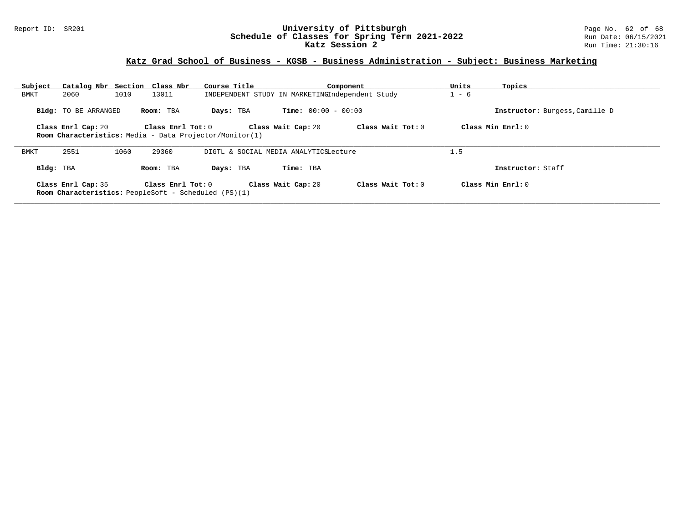### Report ID: SR201 **University of Pittsburgh** Page No. 62 of 68 **Schedule of Classes for Spring Term 2021-2022** Run Date: 06/15/2021 **Katz Session 2** Run Time: 21:30:16

## **Katz Grad School of Business - KGSB - Business Administration - Subject: Business Marketing**

| Subject                                                     | Catalog Nbr Section Class Nbr                                                                                                                        |      |                   | Course Title |                                                 |                              | Component         | Units | Topics                         |
|-------------------------------------------------------------|------------------------------------------------------------------------------------------------------------------------------------------------------|------|-------------------|--------------|-------------------------------------------------|------------------------------|-------------------|-------|--------------------------------|
| BMKT                                                        | 2060                                                                                                                                                 | 1010 | 13011             |              | INDEPENDENT STUDY IN MARKETINGIndependent Study |                              |                   |       |                                |
|                                                             | <b>Bldg:</b> TO BE ARRANGED                                                                                                                          |      | Room: TBA         | Days: TBA    |                                                 | <b>Time:</b> $00:00 - 00:00$ |                   |       | Instructor: Burgess, Camille D |
|                                                             | Class Wait Tot: 0<br>Class Enrl Tot: 0<br>Class Wait Cap: 20<br>Class Enrl Cap: 20<br><b>Room Characteristics:</b> Media - Data Projector/Monitor(1) |      |                   |              |                                                 |                              |                   |       | Class Min Enrl: 0              |
| DIGTL & SOCIAL MEDIA ANALYTICSLecture                       |                                                                                                                                                      |      |                   |              |                                                 |                              |                   |       |                                |
| BMKT                                                        | 2551                                                                                                                                                 | 1060 | 29360             |              |                                                 |                              |                   | 1.5   |                                |
| Bldg: TBA                                                   |                                                                                                                                                      |      | Room: TBA         | Days: TBA    |                                                 | Time: TBA                    |                   |       | Instructor: Staff              |
|                                                             | Class Enrl Cap: 35                                                                                                                                   |      | Class Enrl Tot: 0 |              |                                                 | Class Wait Cap: 20           | Class Wait Tot: 0 |       | Class Min Enrl: 0              |
| <b>Room Characteristics:</b> PeopleSoft - Scheduled (PS)(1) |                                                                                                                                                      |      |                   |              |                                                 |                              |                   |       |                                |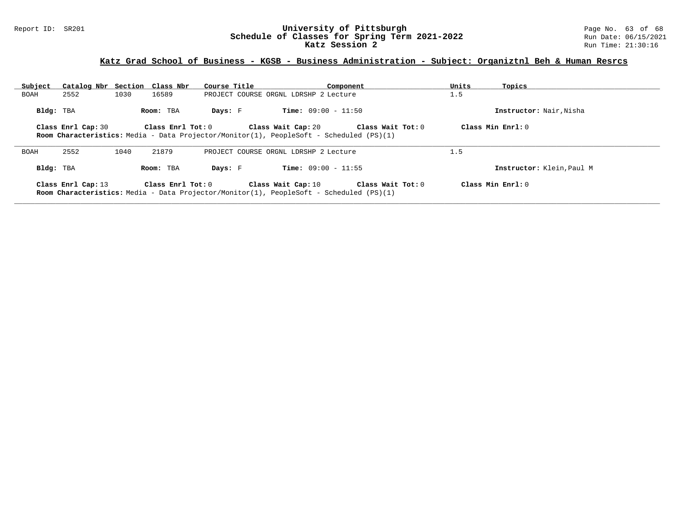### Report ID: SR201 **University of Pittsburgh** Page No. 63 of 68 **Schedule of Classes for Spring Term 2021-2022** Run Date: 06/15/2021 **Katz Session 2** Run Time: 21:30:16

## **Katz Grad School of Business - KGSB - Business Administration - Subject: Organiztnl Beh & Human Resrcs**

| Subject   | Catalog Nbr Section Class Nbr |      |                         | Course Title |                                                                                                                      | Component         | Units              | Topics                    |
|-----------|-------------------------------|------|-------------------------|--------------|----------------------------------------------------------------------------------------------------------------------|-------------------|--------------------|---------------------------|
| BOAH      | 2552                          | 1030 | 16589                   |              | PROJECT COURSE ORGNL LDRSHP 2 Lecture                                                                                |                   | 1.5                |                           |
| Bldg: TBA |                               |      | Room: TBA               | Days: F      | <b>Time:</b> $09:00 - 11:50$                                                                                         |                   |                    | Instructor: Nair, Nisha   |
|           | Class Enrl Cap: 30            |      | Class Enrl Tot: 0       |              | Class Wait Cap: 20<br><b>Room Characteristics:</b> Media - Data Projector/Monitor(1), PeopleSoft - Scheduled (PS)(1) | Class Wait Tot: 0 | Class Min $Enr1:0$ |                           |
| BOAH      | 2552                          | 1040 | 21879                   |              | PROJECT COURSE ORGNL LDRSHP 2 Lecture                                                                                |                   | 1.5                |                           |
| Bldg: TBA |                               |      | Room: TBA               | Days: F      | <b>Time:</b> $09:00 - 11:55$                                                                                         |                   |                    | Instructor: Klein, Paul M |
|           | Class Enrl Cap: 13            |      | $Class$ $Enr1$ $Tot: 0$ |              | Class Wait Cap: 10<br><b>Room Characteristics:</b> Media - Data Projector/Monitor(1), PeopleSoft - Scheduled (PS)(1) | Class Wait Tot: 0 | Class Min $Enr1:0$ |                           |

**\_\_\_\_\_\_\_\_\_\_\_\_\_\_\_\_\_\_\_\_\_\_\_\_\_\_\_\_\_\_\_\_\_\_\_\_\_\_\_\_\_\_\_\_\_\_\_\_\_\_\_\_\_\_\_\_\_\_\_\_\_\_\_\_\_\_\_\_\_\_\_\_\_\_\_\_\_\_\_\_\_\_\_\_\_\_\_\_\_\_\_\_\_\_\_\_\_\_\_\_\_\_\_\_\_\_\_\_\_\_\_\_\_\_\_\_\_\_\_\_\_\_\_\_\_\_\_\_\_\_\_\_\_\_\_\_\_\_\_\_\_\_\_\_\_\_\_\_\_\_\_\_\_\_\_\_**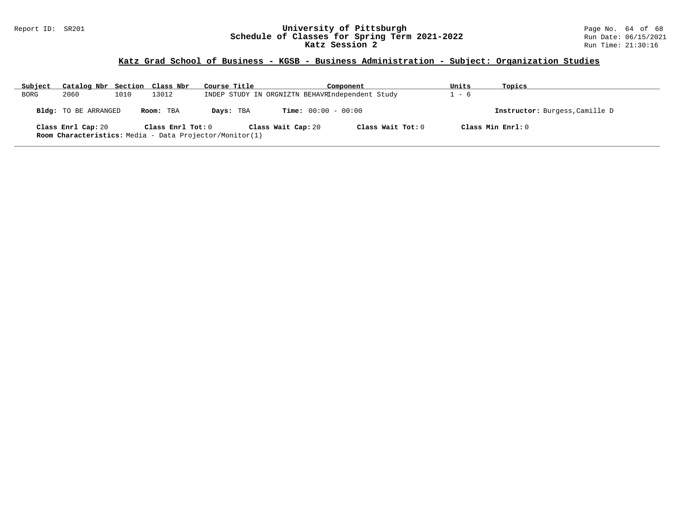### Report ID: SR201 **University of Pittsburgh** Page No. 64 of 68 **Schedule of Classes for Spring Term 2021-2022** Run Date: 06/15/2021 **Katz Session 2** Run Time: 21:30:16

# **Katz Grad School of Business - KGSB - Business Administration - Subject: Organization Studies**

| Subject | Catalog Nbr Section Class Nbr                                  |      |                   | Course Title | Component          |                                                 | Units               | Topics |                                |
|---------|----------------------------------------------------------------|------|-------------------|--------------|--------------------|-------------------------------------------------|---------------------|--------|--------------------------------|
| BORG    | 2060                                                           | 1010 | 13012             |              |                    | INDEP STUDY IN ORGNIZTN BEHAVRIndependent Study |                     | - 6    |                                |
|         | Bldg: TO BE ARRANGED                                           |      | Room: TBA         | Days: TBA    |                    | <b>Time:</b> $00:00 - 00:00$                    |                     |        | Instructor: Burgess, Camille D |
|         | Class Enrl Cap: 20                                             |      | Class Enrl Tot: 0 |              | Class Wait Cap: 20 |                                                 | Class Wait Tot: $0$ |        | Class Min $Enrl: 0$            |
|         | <b>Room Characteristics:</b> Media - Data Projector/Monitor(1) |      |                   |              |                    |                                                 |                     |        |                                |
|         |                                                                |      |                   |              |                    |                                                 |                     |        |                                |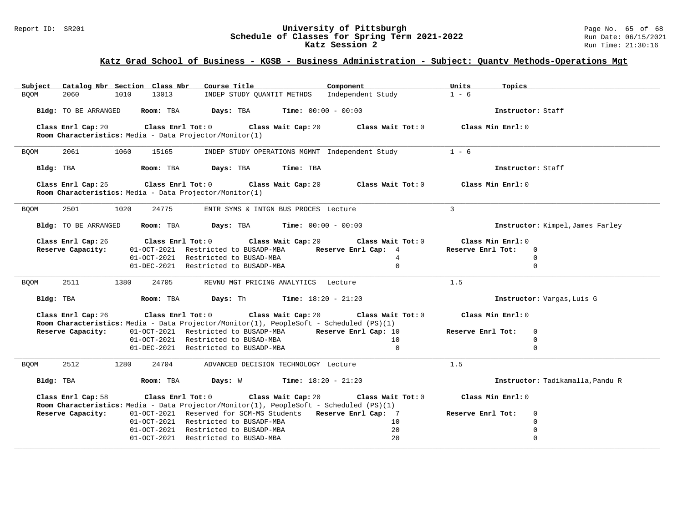### Report ID: SR201 **University of Pittsburgh** Page No. 65 of 68 **Schedule of Classes for Spring Term 2021-2022** Run Date: 06/15/2021 **Katz Session 2** Run Time: 21:30:16

## **Katz Grad School of Business - KGSB - Business Administration - Subject: Quantv Methods-Operations Mgt**

| Subject Catalog Nbr Section Class Nbr                                                                                              | Course Title <b>Course Course Title</b>                                                                                                                          | Component                                                       | Units<br>Topics                                                                  |
|------------------------------------------------------------------------------------------------------------------------------------|------------------------------------------------------------------------------------------------------------------------------------------------------------------|-----------------------------------------------------------------|----------------------------------------------------------------------------------|
| 13013<br><b>BOOM</b><br>2060<br>1010                                                                                               | INDEP STUDY QUANTIT METHDS Independent Study                                                                                                                     |                                                                 | $1 - 6$                                                                          |
| Bldg: TO BE ARRANGED Room: TBA Days: TBA                                                                                           |                                                                                                                                                                  | <b>Time:</b> $00:00 - 00:00$                                    | Instructor: Staff                                                                |
| Class Enrl Cap: 20<br>Room Characteristics: Media - Data Projector/Monitor(1)                                                      | Class Enrl Tot: 0 Class Wait Cap: 20                                                                                                                             | Class Wait Tot: $0$ $Class$ Min Enrl: $0$                       |                                                                                  |
| 2061<br>1060<br>15165<br><b>BQOM</b>                                                                                               | INDEP STUDY OPERATIONS MGMNT Independent Study                                                                                                                   |                                                                 | $1 - 6$                                                                          |
| Room: TBA Days: TBA<br>Bldg: TBA                                                                                                   | Time: TBA                                                                                                                                                        |                                                                 | Instructor: Staff                                                                |
| Class Enrl Cap: 25<br>Room Characteristics: Media - Data Projector/Monitor(1)                                                      | Class Enrl Tot: $0$ Class Wait Cap: $20$ Class Wait Tot: $0$                                                                                                     |                                                                 | Class Min Enrl: 0                                                                |
| 24775<br>2501<br>1020<br><b>BQOM</b>                                                                                               | ENTR SYMS & INTGN BUS PROCES Lecture                                                                                                                             |                                                                 | $\mathbf{3}$                                                                     |
| $Bldq$ : TO BE ARRANGED Room: TBA Days: TBA Time: $00:00 - 00:00$                                                                  |                                                                                                                                                                  |                                                                 | Instructor: Kimpel, James Farley                                                 |
| Class Enrl Cap: 26<br>Reserve Capacity:                                                                                            | Class Enrl Tot: 0 Class Wait Cap: 20<br>01-OCT-2021 Restricted to BUSADP-MBA<br>01-OCT-2021 Restricted to BUSAD-MBA<br>01-DEC-2021 Restricted to BUSADP-MBA      | Class Wait Tot: 0<br>Reserve Enrl Cap: 4<br>4<br>$\overline{0}$ | Class Min Enrl: 0<br>Reserve Enrl Tot:<br>$\Omega$<br>$\overline{0}$<br>$\Omega$ |
| 2511<br>1380<br>24705<br><b>BQOM</b>                                                                                               | REVNU MGT PRICING ANALYTICS Lecture                                                                                                                              |                                                                 | 1.5                                                                              |
| Bldg: TBA                                                                                                                          | <b>Room:</b> TBA <b>Days:</b> Th <b>Time:</b> $18:20 - 21:20$                                                                                                    |                                                                 | Instructor: Vargas, Luis G                                                       |
| Class Enrl Cap: 26<br>Room Characteristics: Media - Data Projector/Monitor(1), PeopleSoft - Scheduled (PS)(1)<br>Reserve Capacity: | Class Enrl Tot: $0$ Class Wait Cap: $20$ Class Wait Tot: $0$<br>01-OCT-2021 Restricted to BUSADP-MBA Reserve Enrl Cap: 10<br>01-OCT-2021 Restricted to BUSAD-MBA | 10                                                              | Class Min Enrl: 0<br>Reserve Enrl Tot:<br>$\overline{0}$<br>$\mathbf 0$          |
|                                                                                                                                    | 01-DEC-2021 Restricted to BUSADP-MBA                                                                                                                             | $\mathbf{0}$                                                    | $\mathbf 0$                                                                      |
| 2512<br>1280<br>24704<br><b>BOOM</b>                                                                                               | ADVANCED DECISION TECHNOLOGY Lecture                                                                                                                             |                                                                 | 1.5                                                                              |
| Bldg: TBA                                                                                                                          | <b>Room:</b> TBA $\qquad$ <b>Days:</b> W $\qquad$ <b>Time:</b> 18:20 - 21:20                                                                                     |                                                                 | Instructor: Tadikamalla, Pandu R                                                 |
| Class Enrl Cap: 58<br>Room Characteristics: Media - Data Projector/Monitor(1), PeopleSoft - Scheduled (PS)(1)                      | Class Enrl Tot: $0$ Class Wait Cap: $20$ Class Wait Tot: $0$                                                                                                     |                                                                 | Class Min Enrl: 0                                                                |
| Reserve Capacity:                                                                                                                  | 01-OCT-2021 Reserved for SCM-MS Students Reserve Enrl Cap: 7                                                                                                     |                                                                 | Reserve Enrl Tot:<br>$\mathbf 0$                                                 |
|                                                                                                                                    | 01-OCT-2021 Restricted to BUSADF-MBA                                                                                                                             | 10                                                              | $\mathbf 0$                                                                      |
|                                                                                                                                    | 01-OCT-2021 Restricted to BUSADP-MBA                                                                                                                             | 20                                                              | $\mathbf 0$                                                                      |
|                                                                                                                                    | 01-OCT-2021 Restricted to BUSAD-MBA                                                                                                                              | 20                                                              | $\mathbf 0$                                                                      |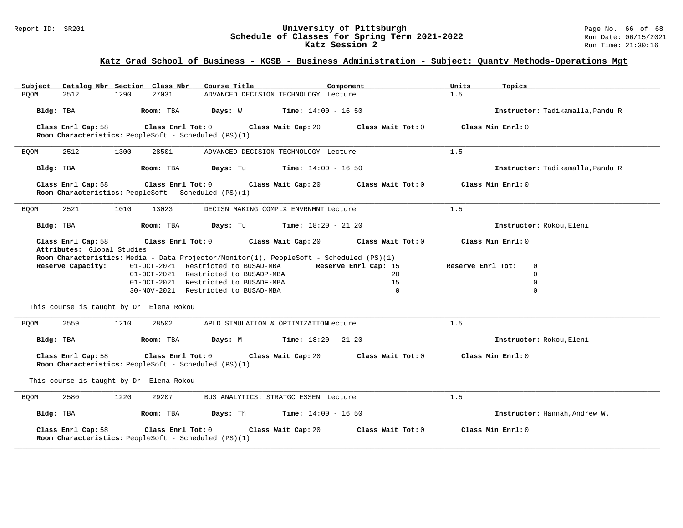### Report ID: SR201 **University of Pittsburgh** Page No. 66 of 68 **Schedule of Classes for Spring Term 2021-2022** Run Date: 06/15/2021 **Katz Session 2** Run Time: 21:30:16

## **Katz Grad School of Business - KGSB - Business Administration - Subject: Quantv Methods-Operations Mgt**

| Catalog Nbr Section Class Nbr<br>Subject                                                                                                                                                                                          | Course Title                                                                                                                                                                     | Component                                                         | Units<br>Topics                                                                       |  |  |  |  |
|-----------------------------------------------------------------------------------------------------------------------------------------------------------------------------------------------------------------------------------|----------------------------------------------------------------------------------------------------------------------------------------------------------------------------------|-------------------------------------------------------------------|---------------------------------------------------------------------------------------|--|--|--|--|
| 27031<br>2512<br>1290<br><b>BOOM</b>                                                                                                                                                                                              | ADVANCED DECISION TECHNOLOGY Lecture                                                                                                                                             |                                                                   | 1.5                                                                                   |  |  |  |  |
| Bldg: TBA<br>Room: TBA                                                                                                                                                                                                            | Days: W<br><b>Time:</b> $14:00 - 16:50$                                                                                                                                          |                                                                   | Instructor: Tadikamalla, Pandu R                                                      |  |  |  |  |
| Class Enrl Cap: 58<br>$Class$ $Enr1$ $Tot: 0$<br>Room Characteristics: PeopleSoft - Scheduled (PS)(1)                                                                                                                             | Class Wait Cap: 20                                                                                                                                                               | Class Wait Tot: 0                                                 | Class Min Enrl: 0                                                                     |  |  |  |  |
| 2512<br>1300<br>28501<br><b>BQOM</b>                                                                                                                                                                                              | ADVANCED DECISION TECHNOLOGY Lecture                                                                                                                                             |                                                                   | 1.5                                                                                   |  |  |  |  |
| Bldg: TBA<br>Room: TBA                                                                                                                                                                                                            | Days: Tu<br><b>Time:</b> $14:00 - 16:50$                                                                                                                                         |                                                                   | Instructor: Tadikamalla, Pandu R                                                      |  |  |  |  |
| Class Enrl Cap: 58<br>Class Enrl Tot: 0<br>Room Characteristics: PeopleSoft - Scheduled (PS)(1)                                                                                                                                   | Class Wait Cap: 20                                                                                                                                                               | Class Wait Tot: 0                                                 | Class Min Enrl: 0                                                                     |  |  |  |  |
| 2521<br>1010<br>13023<br><b>BQOM</b>                                                                                                                                                                                              | DECISN MAKING COMPLX ENVRNMNT Lecture                                                                                                                                            |                                                                   | 1.5                                                                                   |  |  |  |  |
| Bldg: TBA<br>Room: TBA                                                                                                                                                                                                            | Days: Tu<br><b>Time:</b> $18:20 - 21:20$                                                                                                                                         |                                                                   | Instructor: Rokou, Eleni                                                              |  |  |  |  |
| Class Enrl Cap: 58<br>Class Enrl Tot: 0<br>Attributes: Global Studies<br>Room Characteristics: Media - Data Projector/Monitor(1), PeopleSoft - Scheduled (PS)(1)<br>Reserve Capacity:<br>This course is taught by Dr. Elena Rokou | Class Wait Cap: 20<br>01-OCT-2021 Restricted to BUSAD-MBA<br>01-OCT-2021 Restricted to BUSADP-MBA<br>01-OCT-2021 Restricted to BUSADF-MBA<br>30-NOV-2021 Restricted to BUSAD-MBA | Class Wait Tot: 0<br>Reserve Enrl Cap: 15<br>20<br>15<br>$\Omega$ | Class Min Enrl: 0<br>Reserve Enrl Tot:<br>0<br>$\mathbf 0$<br>$\mathbf 0$<br>$\Omega$ |  |  |  |  |
| 2559<br>28502<br>1210<br><b>BOOM</b>                                                                                                                                                                                              | APLD SIMULATION & OPTIMIZATIONLecture                                                                                                                                            |                                                                   | 1.5                                                                                   |  |  |  |  |
| Bldg: TBA<br>Room: TBA                                                                                                                                                                                                            | Days: M<br><b>Time:</b> $18:20 - 21:20$                                                                                                                                          |                                                                   | Instructor: Rokou, Eleni                                                              |  |  |  |  |
| Class Enrl Cap: 58<br>Class Enrl Tot: 0<br>Room Characteristics: PeopleSoft - Scheduled (PS)(1)                                                                                                                                   | Class Wait Cap: 20                                                                                                                                                               | Class Wait Tot: 0                                                 | Class Min Enrl: 0                                                                     |  |  |  |  |
| This course is taught by Dr. Elena Rokou                                                                                                                                                                                          |                                                                                                                                                                                  |                                                                   |                                                                                       |  |  |  |  |
| 2580<br>1220<br>29207<br><b>BOOM</b>                                                                                                                                                                                              | BUS ANALYTICS: STRATGC ESSEN Lecture                                                                                                                                             |                                                                   | 1.5                                                                                   |  |  |  |  |
| Bldg: TBA<br>Room: TBA                                                                                                                                                                                                            | Days: Th<br><b>Time:</b> $14:00 - 16:50$                                                                                                                                         |                                                                   | Instructor: Hannah, Andrew W.                                                         |  |  |  |  |
| Class Enrl Cap: 58<br>Class Enrl Tot: 0<br>Room Characteristics: PeopleSoft - Scheduled (PS)(1)                                                                                                                                   | Class Wait Cap: 20                                                                                                                                                               | Class Wait Tot: 0                                                 | Class Min Enrl: 0                                                                     |  |  |  |  |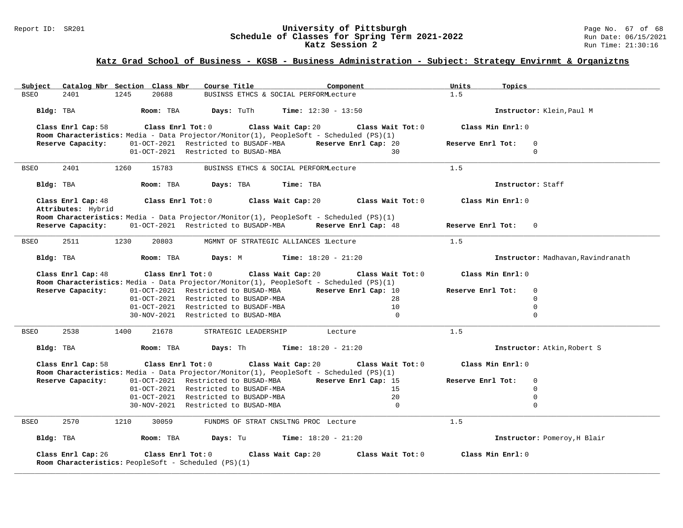### Report ID: SR201 **University of Pittsburgh** Page No. 67 of 68 **Schedule of Classes for Spring Term 2021-2022** Run Date: 06/15/2021 **Katz Session 2** Run Time: 21:30:16

## **Katz Grad School of Business - KGSB - Business Administration - Subject: Strategy Envirnmt & Organiztns**

| Catalog Nbr Section Class Nbr<br>Subject                                                                                | Course Title<br>Component                                                                                                                               | Units<br>Topics                     |
|-------------------------------------------------------------------------------------------------------------------------|---------------------------------------------------------------------------------------------------------------------------------------------------------|-------------------------------------|
| 20688<br><b>BSEO</b><br>2401<br>1245                                                                                    | BUSINSS ETHCS & SOCIAL PERFORMLecture                                                                                                                   | 1.5                                 |
| Bldg: TBA<br>Room: TBA                                                                                                  | Days: TuTh<br><b>Time:</b> $12:30 - 13:50$                                                                                                              | Instructor: Klein, Paul M           |
| Class Enrl Cap: 58                                                                                                      | Class Enrl Tot: 0 Class Wait Cap: 20<br>Class Wait Tot: 0<br>Room Characteristics: Media - Data Projector/Monitor(1), PeopleSoft - Scheduled (PS)(1)    | Class Min Enrl: 0                   |
| Reserve Capacity:                                                                                                       | 01-OCT-2021 Restricted to BUSADF-MBA Reserve Enrl Cap: 20                                                                                               | Reserve Enrl Tot:<br>$\overline{0}$ |
|                                                                                                                         | 01-OCT-2021 Restricted to BUSAD-MBA<br>30                                                                                                               | $\Omega$                            |
| 2401<br><b>BSEO</b><br>1260<br>15783                                                                                    | BUSINSS ETHCS & SOCIAL PERFORMLecture                                                                                                                   | 1.5                                 |
| Bldg: TBA<br>Room: TBA                                                                                                  | Days: TBA<br>Time: TBA                                                                                                                                  | Instructor: Staff                   |
| Class Enrl Cap: 48<br>Class Enrl Tot: 0<br>Attributes: Hybrid                                                           | Class Wait Cap: 20<br>Class Wait Tot: 0                                                                                                                 | Class Min Enrl: 0                   |
| Reserve Capacity:                                                                                                       | Room Characteristics: Media - Data Projector/Monitor(1), PeopleSoft - Scheduled (PS)(1)<br>01-OCT-2021 Restricted to BUSADP-MBA<br>Reserve Enrl Cap: 48 | Reserve Enrl Tot:<br>$\Omega$       |
| 2511<br><b>BSEO</b><br>1230<br>20803                                                                                    | MGMNT OF STRATEGIC ALLIANCES lLecture                                                                                                                   | 1.5                                 |
| Bldg: TBA<br>Room: TBA                                                                                                  | <b>Days:</b> M <b>Time:</b> $18:20 - 21:20$                                                                                                             | Instructor: Madhavan, Ravindranath  |
| Class Enrl Cap: 48<br>Class Enrl Tot: 0                                                                                 | Class Wait Cap: 20<br>Class Wait Tot: 0                                                                                                                 | Class Min Enrl: 0                   |
|                                                                                                                         | Room Characteristics: Media - Data Projector/Monitor(1), PeopleSoft - Scheduled (PS)(1)                                                                 |                                     |
| Reserve Capacity:                                                                                                       | 01-OCT-2021 Restricted to BUSAD-MBA<br>Reserve Enrl Cap: 10                                                                                             | Reserve Enrl Tot:<br>$\mathbf 0$    |
|                                                                                                                         | 01-OCT-2021 Restricted to BUSADP-MBA<br>28<br>10                                                                                                        | $\mathbf 0$                         |
|                                                                                                                         | 01-OCT-2021 Restricted to BUSADF-MBA                                                                                                                    | $\overline{0}$                      |
|                                                                                                                         | 30-NOV-2021 Restricted to BUSAD-MBA<br>$\Omega$                                                                                                         | $\mathbf 0$                         |
| 2538<br>1400<br>21678<br>BSEO                                                                                           | STRATEGIC LEADERSHIP<br>Lecture                                                                                                                         | 1.5                                 |
| Bldg: TBA<br>Room: TBA                                                                                                  | <b>Days:</b> Th <b>Time:</b> $18:20 - 21:20$                                                                                                            | Instructor: Atkin, Robert S         |
| Class Enrl Cap: 58                                                                                                      | Class Enrl Tot: 0 Class Wait Cap: 20<br>Class Wait Tot: 0<br>Room Characteristics: Media - Data Projector/Monitor(1), PeopleSoft - Scheduled (PS)(1)    | Class Min Enrl: 0                   |
| Reserve Capacity:                                                                                                       | 01-OCT-2021 Restricted to BUSAD-MBA<br>Reserve Enrl Cap: 15                                                                                             | Reserve Enrl Tot:<br>$\mathbf 0$    |
|                                                                                                                         | 01-OCT-2021 Restricted to BUSADF-MBA<br>15                                                                                                              | $\Omega$                            |
|                                                                                                                         | 01-OCT-2021 Restricted to BUSADP-MBA<br>20                                                                                                              | $\overline{0}$                      |
|                                                                                                                         | $\overline{0}$<br>30-NOV-2021 Restricted to BUSAD-MBA                                                                                                   | $\mathbf 0$                         |
| 2570<br><b>BSEO</b><br>1210<br>30059                                                                                    | FUNDMS OF STRAT CNSLTNG PROC Lecture                                                                                                                    | 1.5                                 |
| Bldg: TBA<br>Room: TBA                                                                                                  | <b>Days:</b> Tu <b>Time:</b> $18:20 - 21:20$                                                                                                            | Instructor: Pomeroy, H Blair        |
| Class Enrl Cap: 26<br>$\mathtt{Class}$ $\mathtt{Enrl}$ Tot: $0$<br>Room Characteristics: PeopleSoft - Scheduled (PS)(1) | Class Wait Cap: 20<br>Class Wait Tot: 0                                                                                                                 | Class Min Enrl: 0                   |